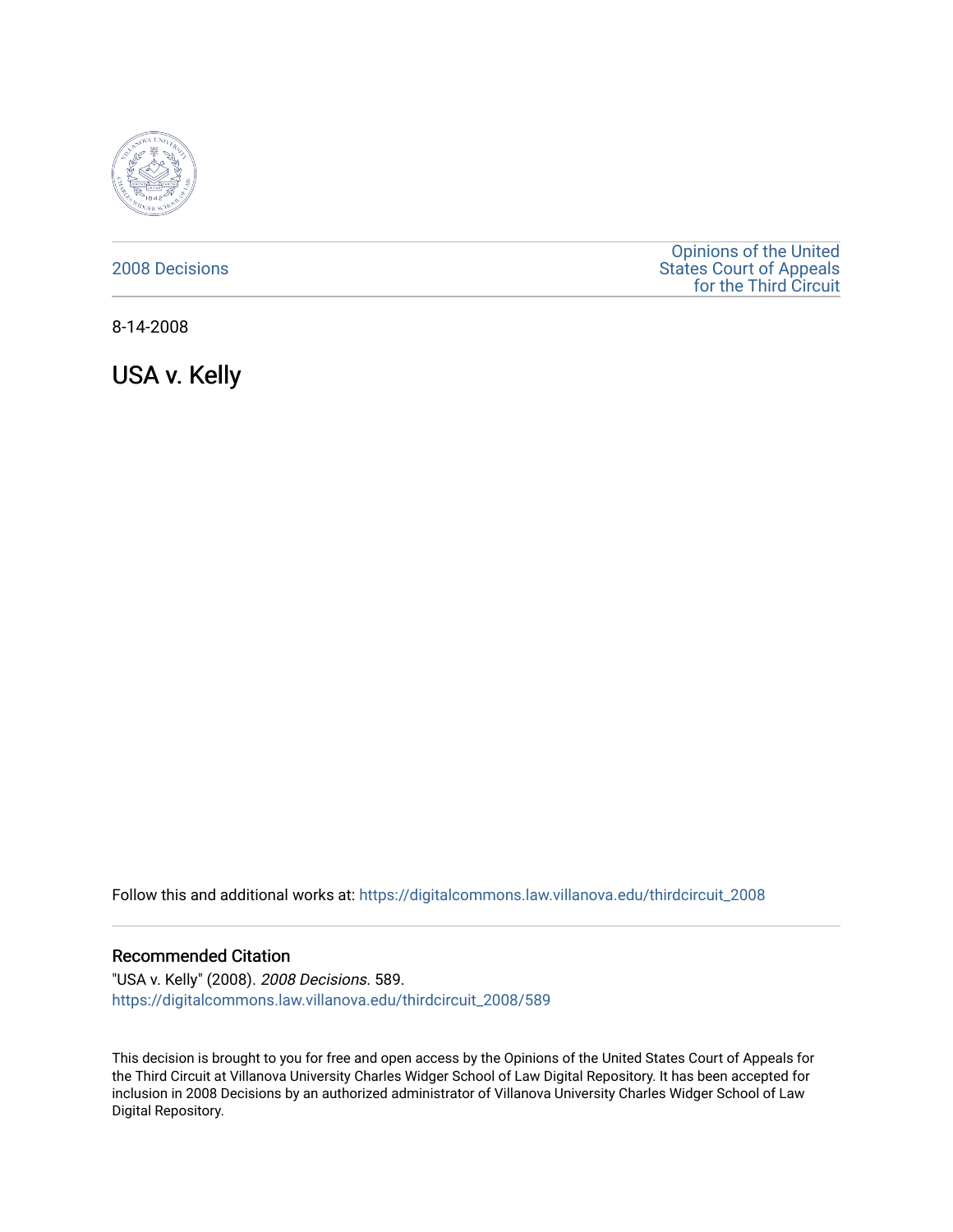

# [2008 Decisions](https://digitalcommons.law.villanova.edu/thirdcircuit_2008)

[Opinions of the United](https://digitalcommons.law.villanova.edu/thirdcircuit)  [States Court of Appeals](https://digitalcommons.law.villanova.edu/thirdcircuit)  [for the Third Circuit](https://digitalcommons.law.villanova.edu/thirdcircuit) 

8-14-2008

USA v. Kelly

Follow this and additional works at: [https://digitalcommons.law.villanova.edu/thirdcircuit\\_2008](https://digitalcommons.law.villanova.edu/thirdcircuit_2008?utm_source=digitalcommons.law.villanova.edu%2Fthirdcircuit_2008%2F589&utm_medium=PDF&utm_campaign=PDFCoverPages) 

## Recommended Citation

"USA v. Kelly" (2008). 2008 Decisions. 589. [https://digitalcommons.law.villanova.edu/thirdcircuit\\_2008/589](https://digitalcommons.law.villanova.edu/thirdcircuit_2008/589?utm_source=digitalcommons.law.villanova.edu%2Fthirdcircuit_2008%2F589&utm_medium=PDF&utm_campaign=PDFCoverPages)

This decision is brought to you for free and open access by the Opinions of the United States Court of Appeals for the Third Circuit at Villanova University Charles Widger School of Law Digital Repository. It has been accepted for inclusion in 2008 Decisions by an authorized administrator of Villanova University Charles Widger School of Law Digital Repository.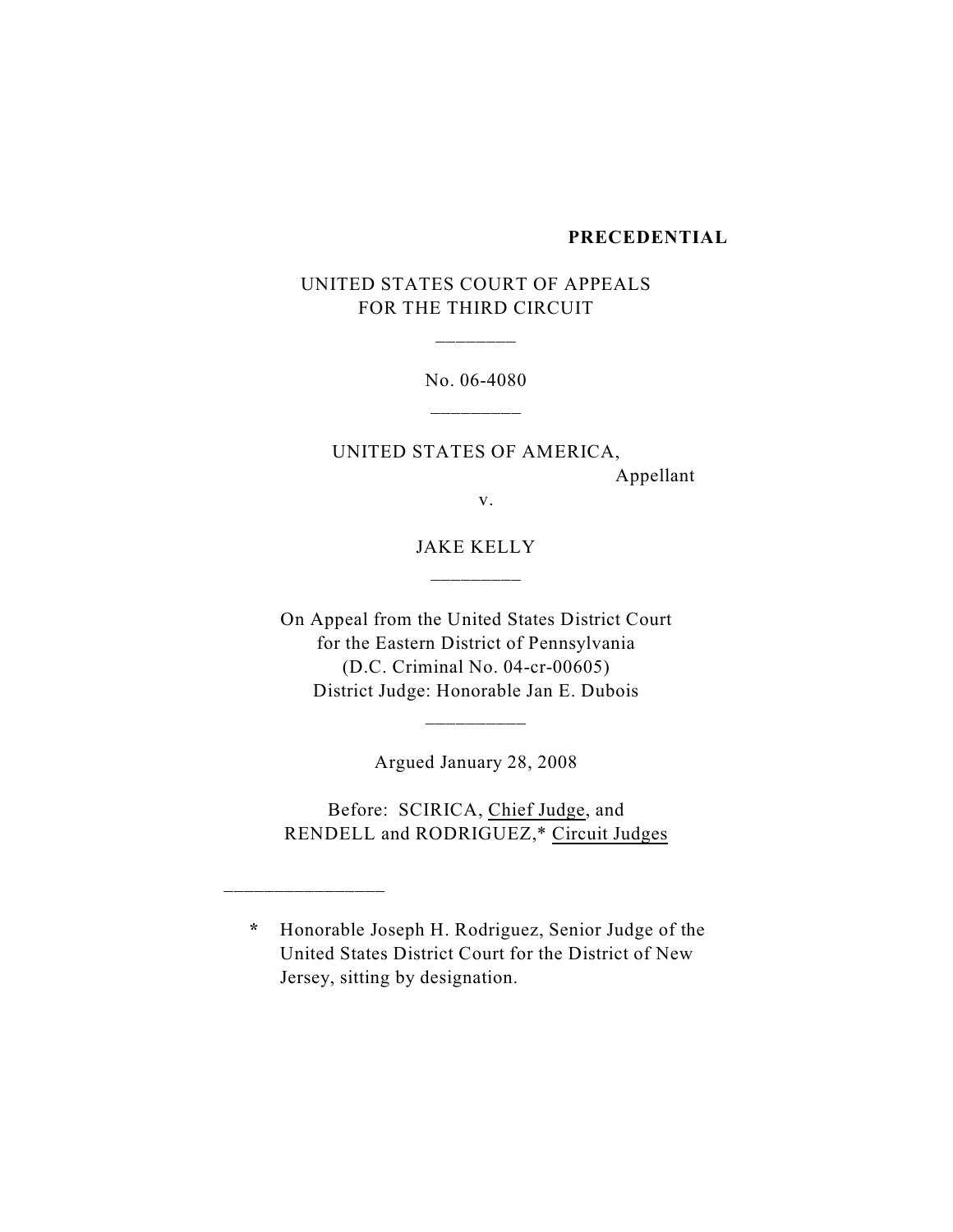#### **PRECEDENTIAL**

# UNITED STATES COURT OF APPEALS FOR THE THIRD CIRCUIT

\_\_\_\_\_\_\_\_

No. 06-4080

UNITED STATES OF AMERICA, Appellant

v.

JAKE KELLY \_\_\_\_\_\_\_\_\_

On Appeal from the United States District Court for the Eastern District of Pennsylvania (D.C. Criminal No. 04-cr-00605) District Judge: Honorable Jan E. Dubois

Argued January 28, 2008

\_\_\_\_\_\_\_\_\_\_

Before: SCIRICA, Chief Judge, and RENDELL and RODRIGUEZ,\* Circuit Judges

\_\_\_\_\_\_\_\_\_\_\_\_\_\_\_\_

**\*** Honorable Joseph H. Rodriguez, Senior Judge of the United States District Court for the District of New Jersey, sitting by designation.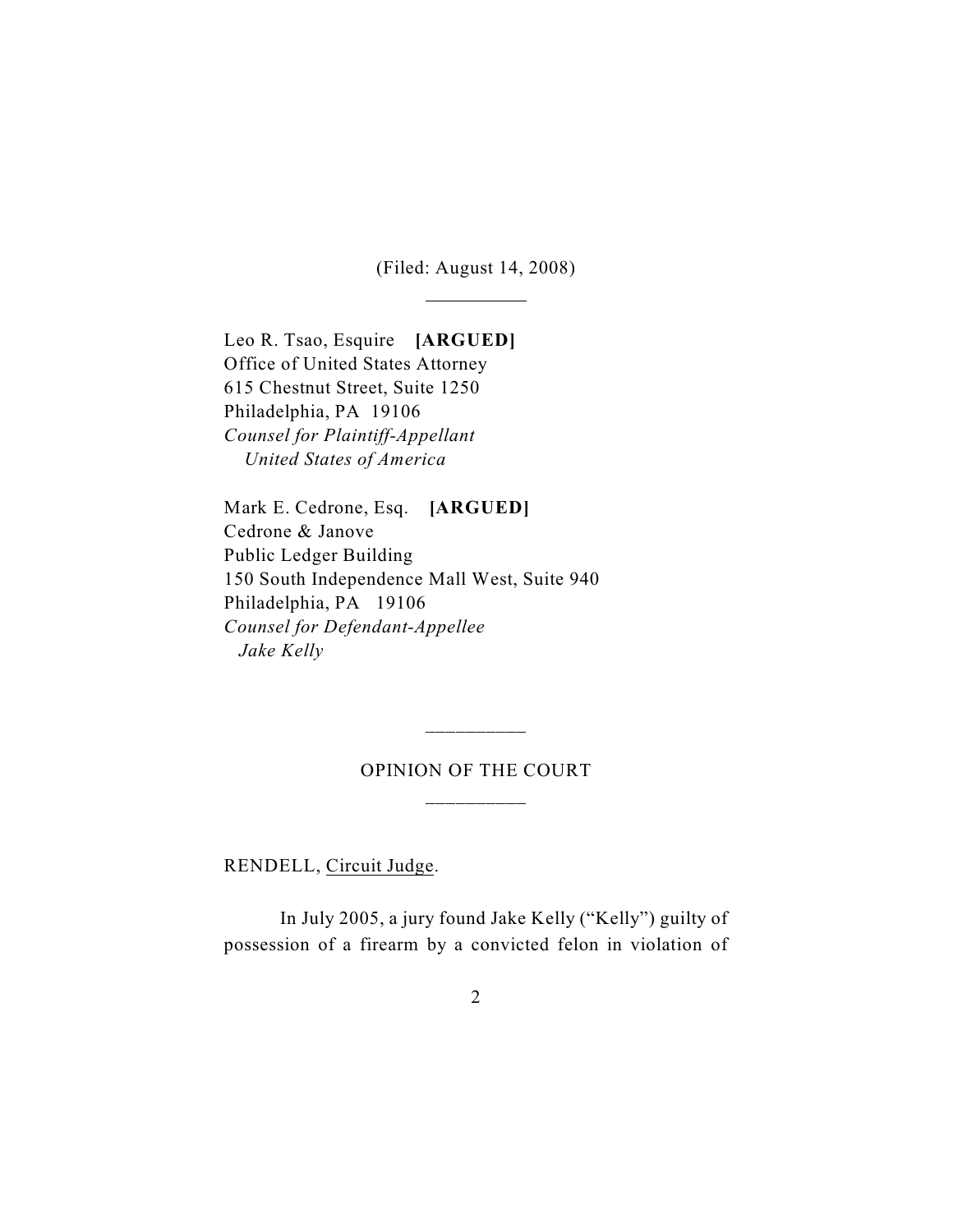(Filed: August 14, 2008)

 $\overline{a}$ 

Leo R. Tsao, Esquire **[ARGUED]** Office of United States Attorney 615 Chestnut Street, Suite 1250 Philadelphia, PA 19106 *Counsel for Plaintiff-Appellant United States of America*

Mark E. Cedrone, Esq. **[ARGUED]** Cedrone & Janove Public Ledger Building 150 South Independence Mall West, Suite 940 Philadelphia, PA 19106 *Counsel for Defendant-Appellee Jake Kelly*

# OPINION OF THE COURT \_\_\_\_\_\_\_\_\_\_

\_\_\_\_\_\_\_\_\_\_

RENDELL, Circuit Judge.

In July 2005, a jury found Jake Kelly ("Kelly") guilty of possession of a firearm by a convicted felon in violation of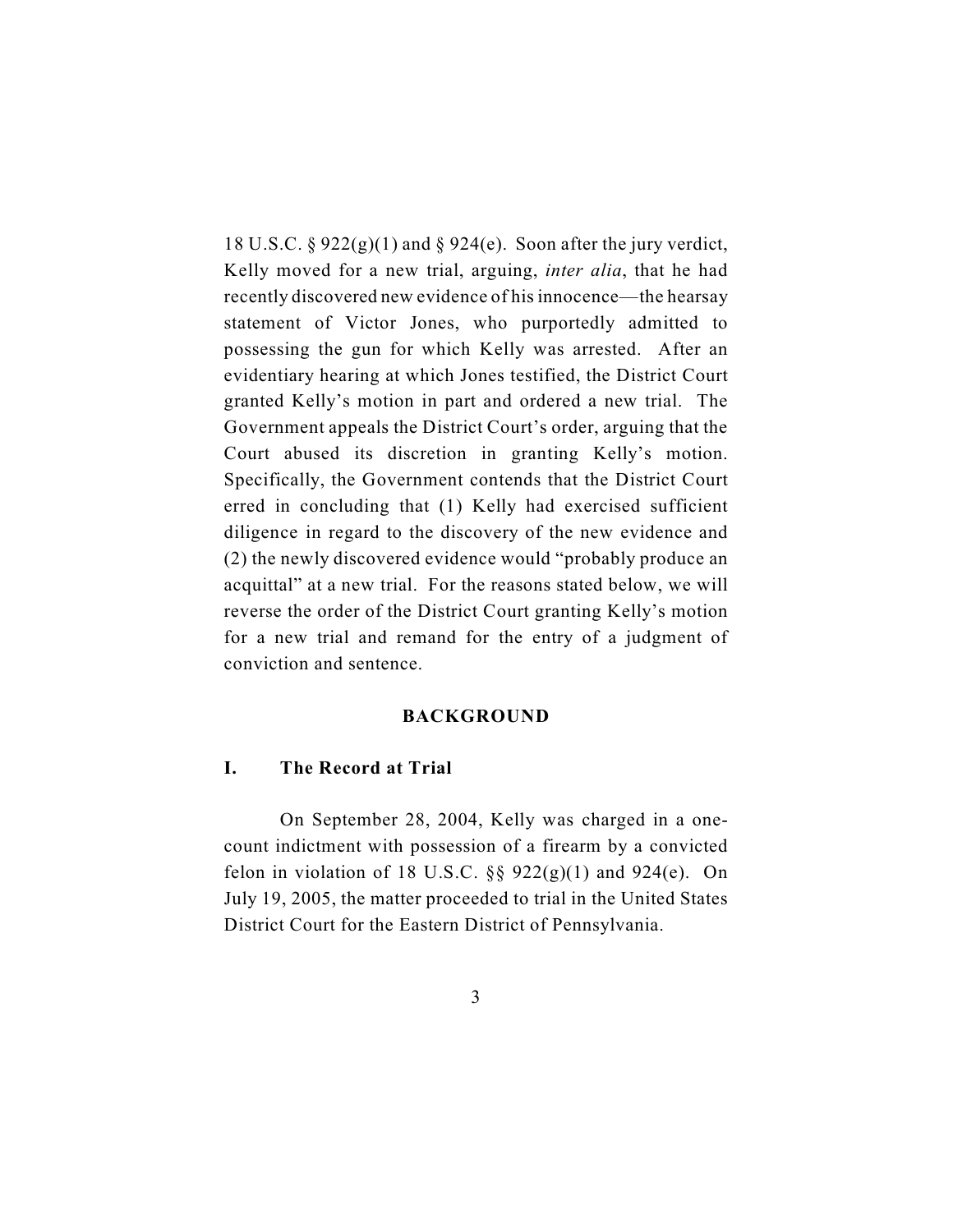18 U.S.C. § 922 $(g)(1)$  and § 924 $(e)$ . Soon after the jury verdict, Kelly moved for a new trial, arguing, *inter alia*, that he had recently discovered new evidence of his innocence—the hearsay statement of Victor Jones, who purportedly admitted to possessing the gun for which Kelly was arrested. After an evidentiary hearing at which Jones testified, the District Court granted Kelly's motion in part and ordered a new trial. The Government appeals the District Court's order, arguing that the Court abused its discretion in granting Kelly's motion. Specifically, the Government contends that the District Court erred in concluding that (1) Kelly had exercised sufficient diligence in regard to the discovery of the new evidence and (2) the newly discovered evidence would "probably produce an acquittal" at a new trial. For the reasons stated below, we will reverse the order of the District Court granting Kelly's motion for a new trial and remand for the entry of a judgment of conviction and sentence.

#### **BACKGROUND**

#### **I. The Record at Trial**

On September 28, 2004, Kelly was charged in a onecount indictment with possession of a firearm by a convicted felon in violation of 18 U.S.C.  $\S$ § 922(g)(1) and 924(e). On July 19, 2005, the matter proceeded to trial in the United States District Court for the Eastern District of Pennsylvania.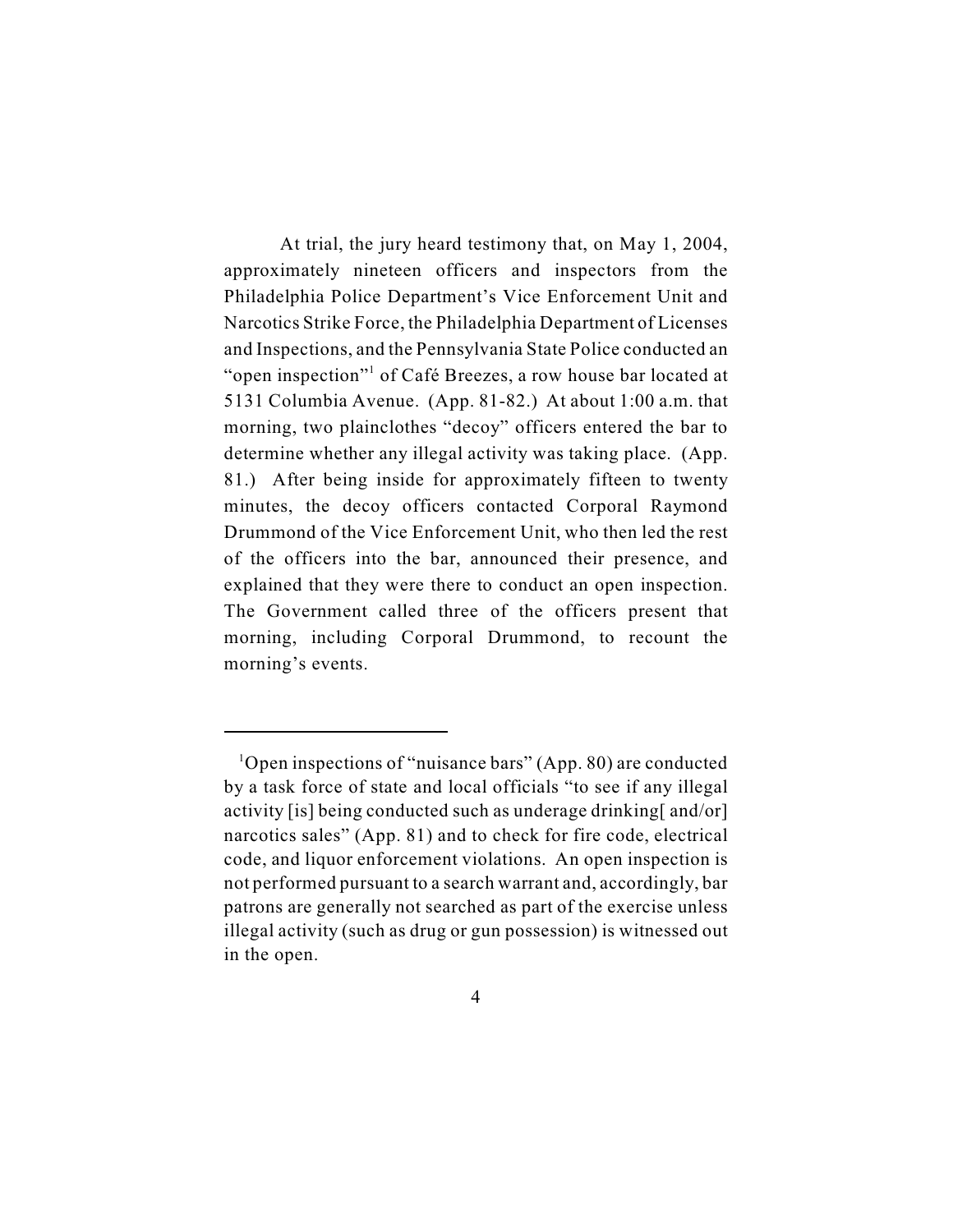At trial, the jury heard testimony that, on May 1, 2004, approximately nineteen officers and inspectors from the Philadelphia Police Department's Vice Enforcement Unit and Narcotics Strike Force, the Philadelphia Department of Licenses and Inspections, and the Pennsylvania State Police conducted an "open inspection"<sup>1</sup> of Café Breezes, a row house bar located at 5131 Columbia Avenue. (App. 81-82.) At about 1:00 a.m. that morning, two plainclothes "decoy" officers entered the bar to determine whether any illegal activity was taking place. (App. 81.) After being inside for approximately fifteen to twenty minutes, the decoy officers contacted Corporal Raymond Drummond of the Vice Enforcement Unit, who then led the rest of the officers into the bar, announced their presence, and explained that they were there to conduct an open inspection. The Government called three of the officers present that morning, including Corporal Drummond, to recount the morning's events.

<sup>&</sup>lt;sup>1</sup>Open inspections of "nuisance bars" (App. 80) are conducted by a task force of state and local officials "to see if any illegal activity [is] being conducted such as underage drinking[ and/or] narcotics sales" (App. 81) and to check for fire code, electrical code, and liquor enforcement violations. An open inspection is not performed pursuant to a search warrant and, accordingly, bar patrons are generally not searched as part of the exercise unless illegal activity (such as drug or gun possession) is witnessed out in the open.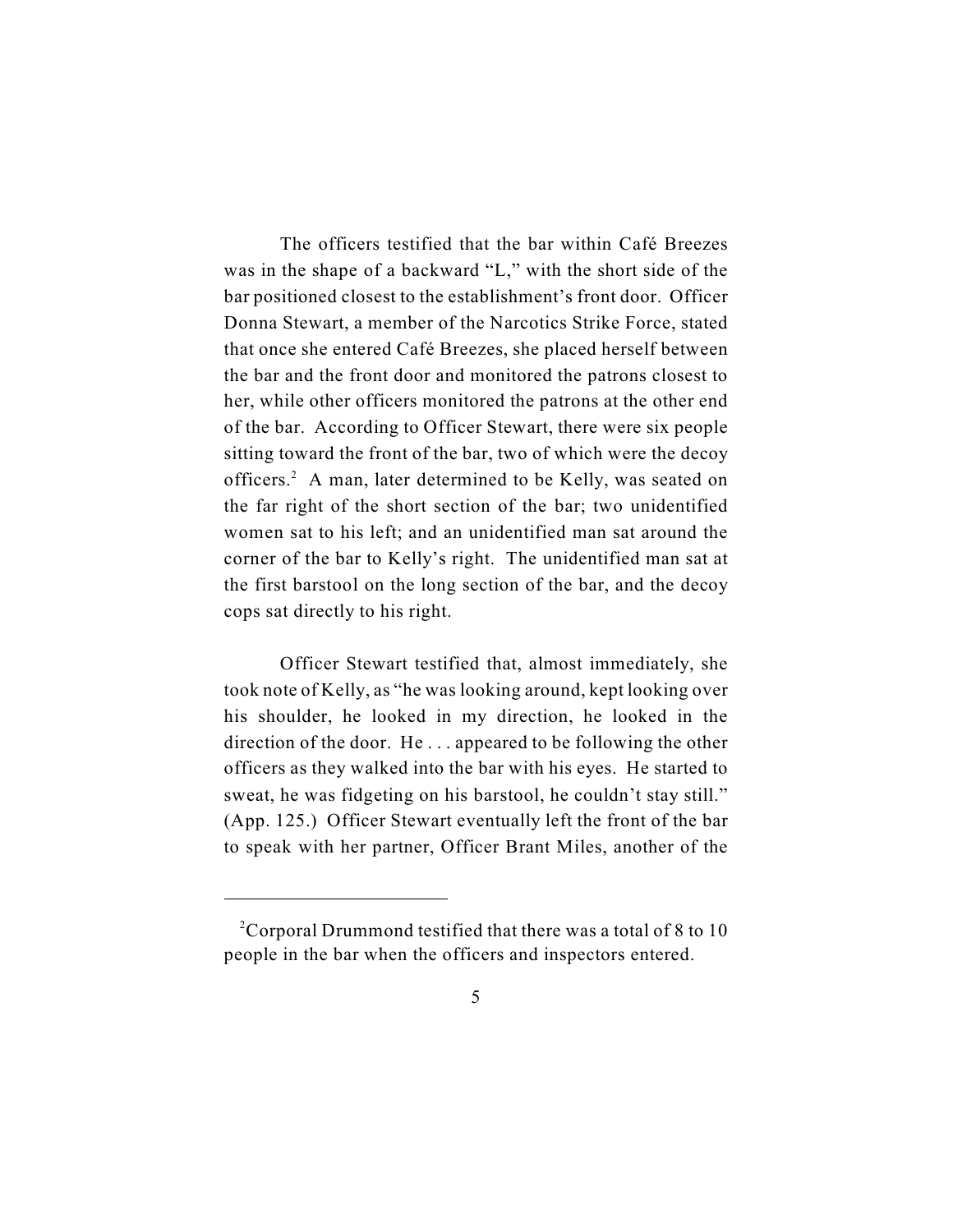The officers testified that the bar within Café Breezes was in the shape of a backward "L," with the short side of the bar positioned closest to the establishment's front door. Officer Donna Stewart, a member of the Narcotics Strike Force, stated that once she entered Café Breezes, she placed herself between the bar and the front door and monitored the patrons closest to her, while other officers monitored the patrons at the other end of the bar. According to Officer Stewart, there were six people sitting toward the front of the bar, two of which were the decoy officers.<sup>2</sup> A man, later determined to be Kelly, was seated on the far right of the short section of the bar; two unidentified women sat to his left; and an unidentified man sat around the corner of the bar to Kelly's right. The unidentified man sat at the first barstool on the long section of the bar, and the decoy cops sat directly to his right.

Officer Stewart testified that, almost immediately, she took note of Kelly, as "he was looking around, kept looking over his shoulder, he looked in my direction, he looked in the direction of the door. He . . . appeared to be following the other officers as they walked into the bar with his eyes. He started to sweat, he was fidgeting on his barstool, he couldn't stay still." (App. 125.) Officer Stewart eventually left the front of the bar to speak with her partner, Officer Brant Miles, another of the

<sup>&</sup>lt;sup>2</sup> Corporal Drummond testified that there was a total of 8 to 10 people in the bar when the officers and inspectors entered.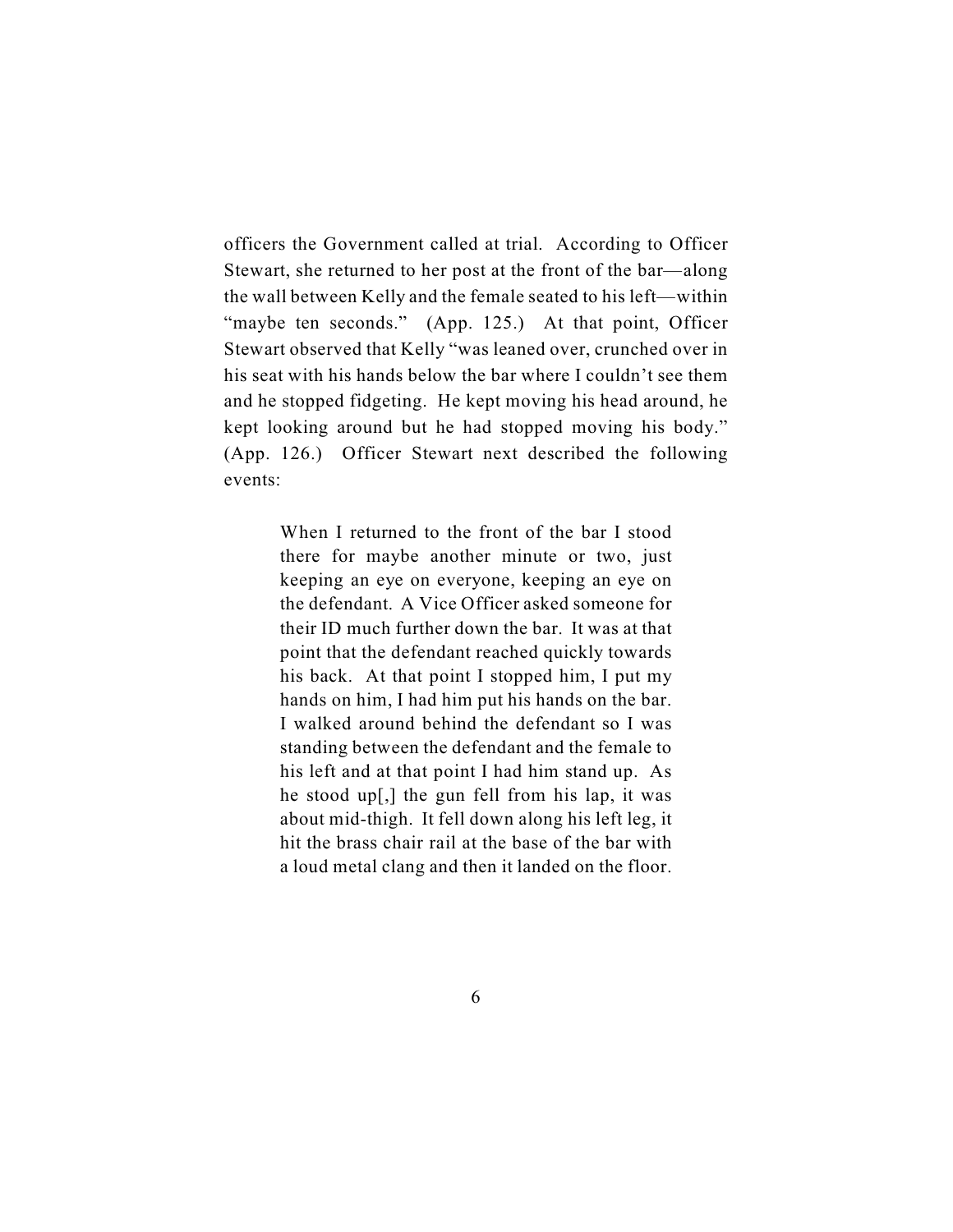officers the Government called at trial. According to Officer Stewart, she returned to her post at the front of the bar—along the wall between Kelly and the female seated to his left—within "maybe ten seconds." (App. 125.) At that point, Officer Stewart observed that Kelly "was leaned over, crunched over in his seat with his hands below the bar where I couldn't see them and he stopped fidgeting. He kept moving his head around, he kept looking around but he had stopped moving his body." (App. 126.) Officer Stewart next described the following events:

> When I returned to the front of the bar I stood there for maybe another minute or two, just keeping an eye on everyone, keeping an eye on the defendant. A Vice Officer asked someone for their ID much further down the bar. It was at that point that the defendant reached quickly towards his back. At that point I stopped him, I put my hands on him, I had him put his hands on the bar. I walked around behind the defendant so I was standing between the defendant and the female to his left and at that point I had him stand up. As he stood up[,] the gun fell from his lap, it was about mid-thigh. It fell down along his left leg, it hit the brass chair rail at the base of the bar with a loud metal clang and then it landed on the floor.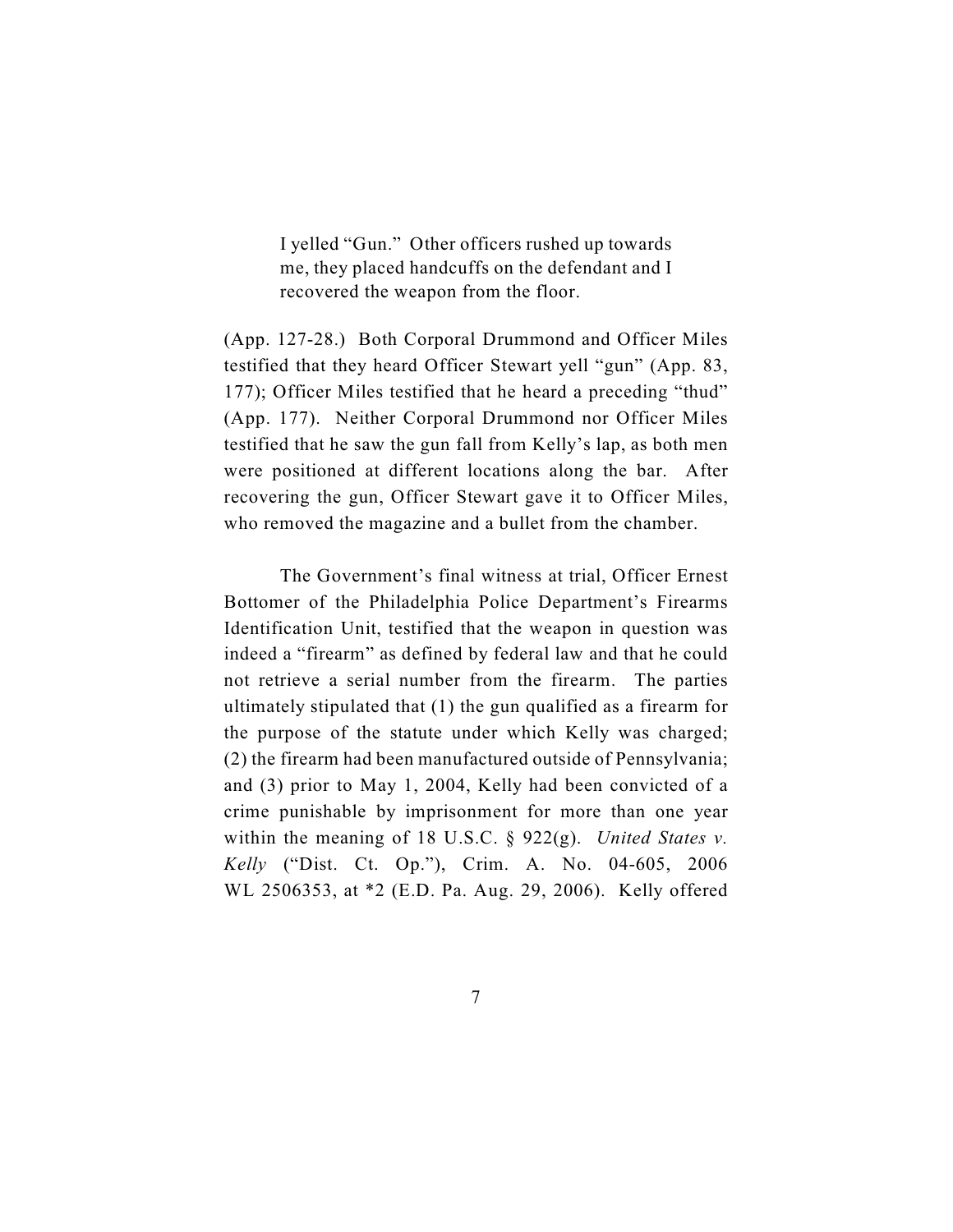I yelled "Gun." Other officers rushed up towards me, they placed handcuffs on the defendant and I recovered the weapon from the floor.

(App. 127-28.) Both Corporal Drummond and Officer Miles testified that they heard Officer Stewart yell "gun" (App. 83, 177); Officer Miles testified that he heard a preceding "thud" (App. 177). Neither Corporal Drummond nor Officer Miles testified that he saw the gun fall from Kelly's lap, as both men were positioned at different locations along the bar. After recovering the gun, Officer Stewart gave it to Officer Miles, who removed the magazine and a bullet from the chamber.

The Government's final witness at trial, Officer Ernest Bottomer of the Philadelphia Police Department's Firearms Identification Unit, testified that the weapon in question was indeed a "firearm" as defined by federal law and that he could not retrieve a serial number from the firearm. The parties ultimately stipulated that (1) the gun qualified as a firearm for the purpose of the statute under which Kelly was charged; (2) the firearm had been manufactured outside of Pennsylvania; and (3) prior to May 1, 2004, Kelly had been convicted of a crime punishable by imprisonment for more than one year within the meaning of 18 U.S.C. § 922(g). *United States v. Kelly* ("Dist. Ct. Op."), Crim. A. No. 04-605, 2006 WL 2506353, at \*2 (E.D. Pa. Aug. 29, 2006). Kelly offered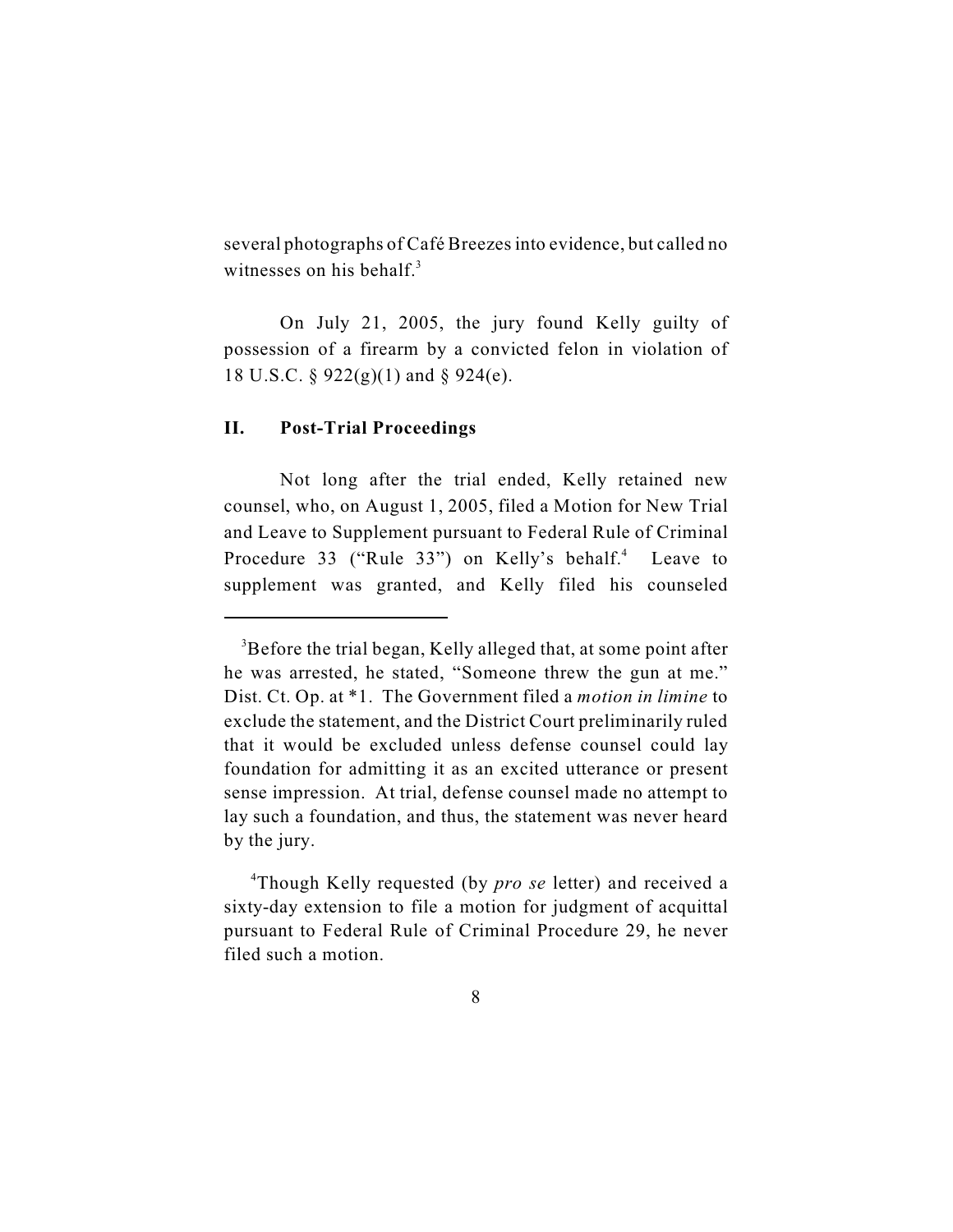several photographs of Café Breezes into evidence, but called no witnesses on his behalf. $3$ 

On July 21, 2005, the jury found Kelly guilty of possession of a firearm by a convicted felon in violation of 18 U.S.C. § 922(g)(1) and § 924(e).

## **II. Post-Trial Proceedings**

Not long after the trial ended, Kelly retained new counsel, who, on August 1, 2005, filed a Motion for New Trial and Leave to Supplement pursuant to Federal Rule of Criminal Procedure 33 ("Rule 33") on Kelly's behalf.<sup>4</sup> Leave to supplement was granted, and Kelly filed his counseled

<sup>&</sup>lt;sup>3</sup>Before the trial began, Kelly alleged that, at some point after he was arrested, he stated, "Someone threw the gun at me." Dist. Ct. Op. at \*1. The Government filed a *motion in limine* to exclude the statement, and the District Court preliminarily ruled that it would be excluded unless defense counsel could lay foundation for admitting it as an excited utterance or present sense impression. At trial, defense counsel made no attempt to lay such a foundation, and thus, the statement was never heard by the jury.

Though Kelly requested (by *pro se* letter) and received a <sup>4</sup> sixty-day extension to file a motion for judgment of acquittal pursuant to Federal Rule of Criminal Procedure 29, he never filed such a motion.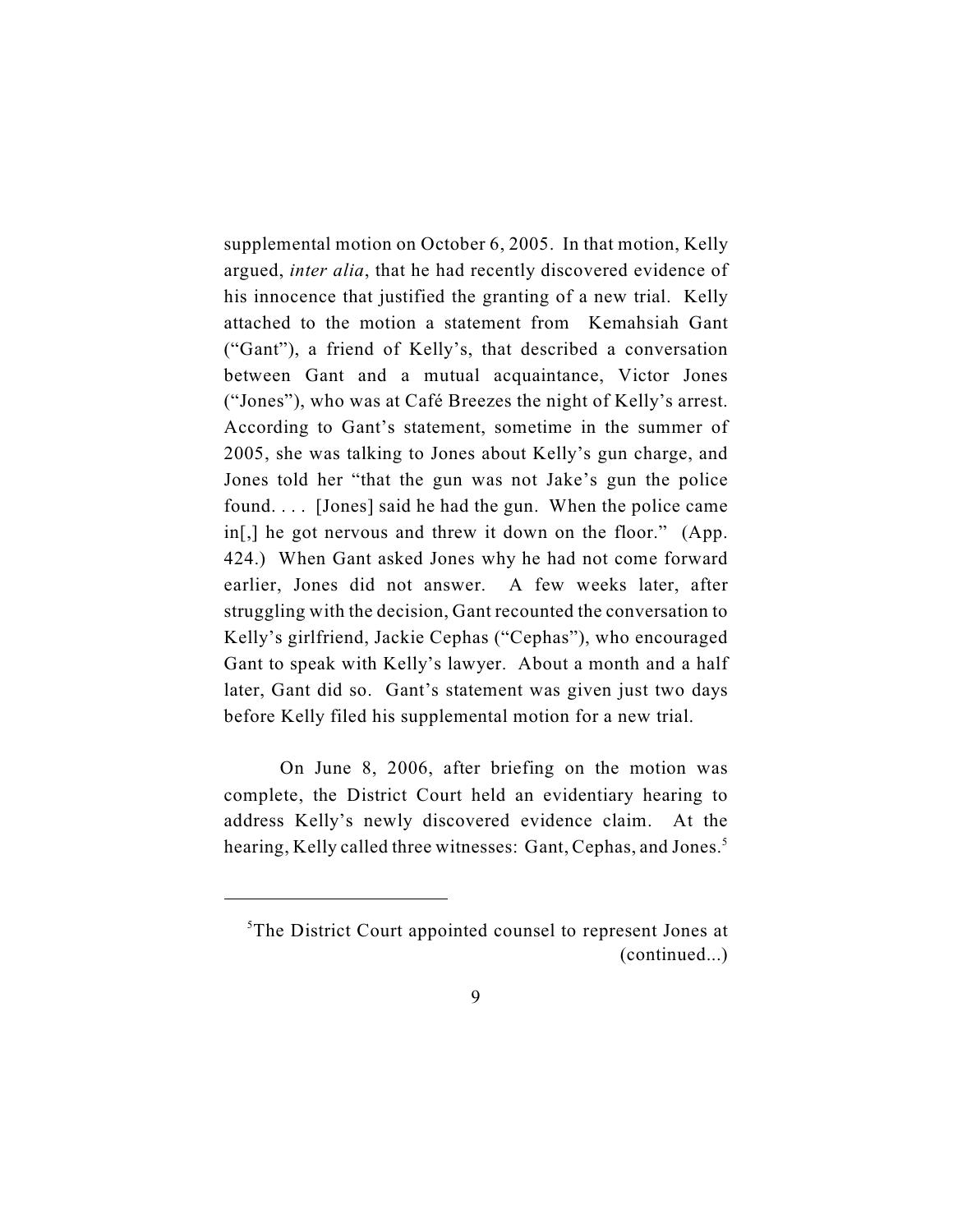supplemental motion on October 6, 2005. In that motion, Kelly argued, *inter alia*, that he had recently discovered evidence of his innocence that justified the granting of a new trial. Kelly attached to the motion a statement from Kemahsiah Gant ("Gant"), a friend of Kelly's, that described a conversation between Gant and a mutual acquaintance, Victor Jones ("Jones"), who was at Café Breezes the night of Kelly's arrest. According to Gant's statement, sometime in the summer of 2005, she was talking to Jones about Kelly's gun charge, and Jones told her "that the gun was not Jake's gun the police found. . . . [Jones] said he had the gun. When the police came in[,] he got nervous and threw it down on the floor." (App. 424.) When Gant asked Jones why he had not come forward earlier, Jones did not answer. A few weeks later, after struggling with the decision, Gant recounted the conversation to Kelly's girlfriend, Jackie Cephas ("Cephas"), who encouraged Gant to speak with Kelly's lawyer. About a month and a half later, Gant did so. Gant's statement was given just two days before Kelly filed his supplemental motion for a new trial.

On June 8, 2006, after briefing on the motion was complete, the District Court held an evidentiary hearing to address Kelly's newly discovered evidence claim. At the hearing, Kelly called three witnesses: Gant, Cephas, and Jones.<sup>5</sup>

 ${}^5$ The District Court appointed counsel to represent Jones at (continued...)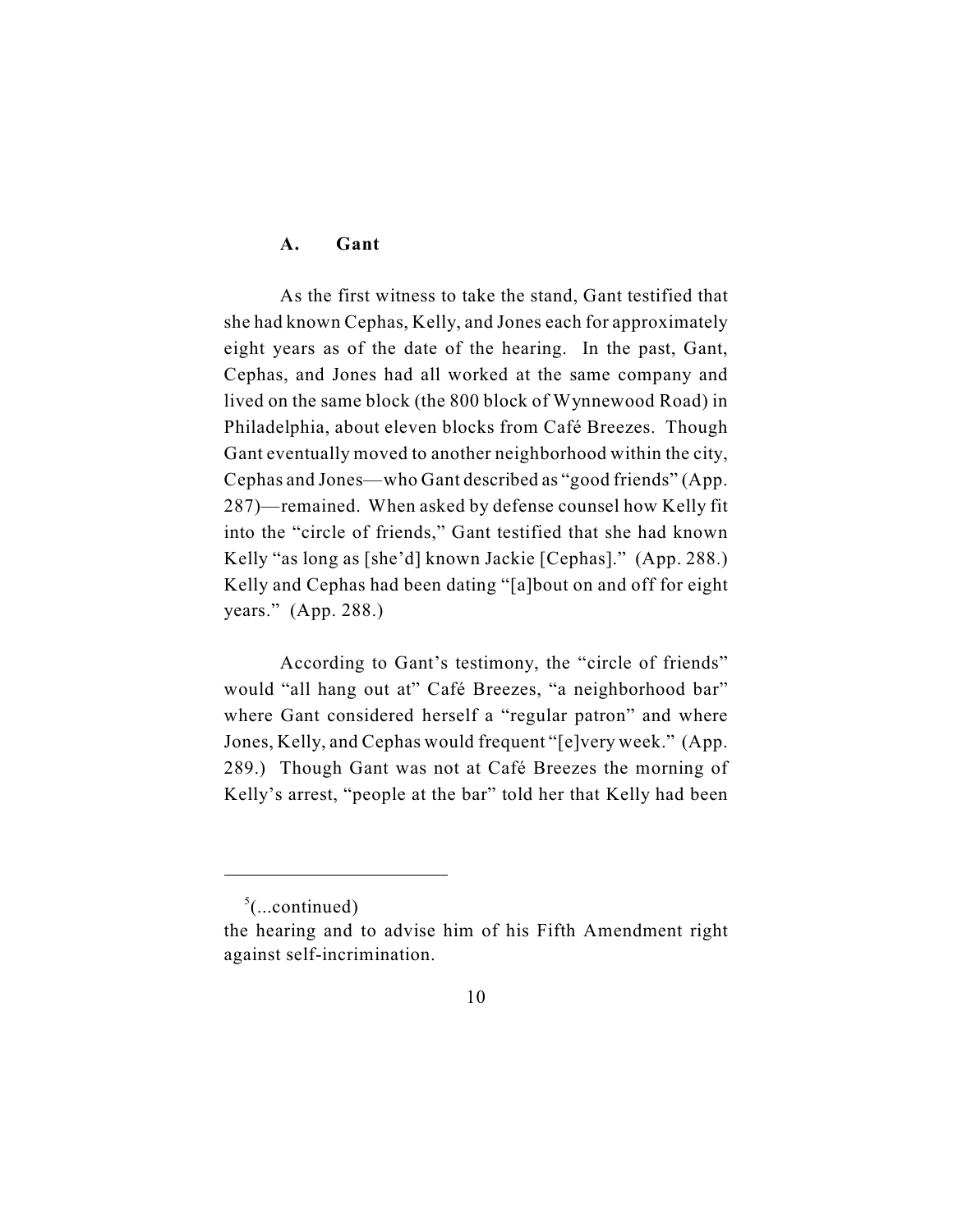## **A. Gant**

As the first witness to take the stand, Gant testified that she had known Cephas, Kelly, and Jones each for approximately eight years as of the date of the hearing. In the past, Gant, Cephas, and Jones had all worked at the same company and lived on the same block (the 800 block of Wynnewood Road) in Philadelphia, about eleven blocks from Café Breezes. Though Gant eventually moved to another neighborhood within the city, Cephas and Jones—who Gant described as "good friends" (App. 287)—remained. When asked by defense counsel how Kelly fit into the "circle of friends," Gant testified that she had known Kelly "as long as [she'd] known Jackie [Cephas]." (App. 288.) Kelly and Cephas had been dating "[a]bout on and off for eight years." (App. 288.)

According to Gant's testimony, the "circle of friends" would "all hang out at" Café Breezes, "a neighborhood bar" where Gant considered herself a "regular patron" and where Jones, Kelly, and Cephas would frequent "[e]very week." (App. 289.) Though Gant was not at Café Breezes the morning of Kelly's arrest, "people at the bar" told her that Kelly had been

 $\frac{5}{2}$ (...continued)

the hearing and to advise him of his Fifth Amendment right against self-incrimination.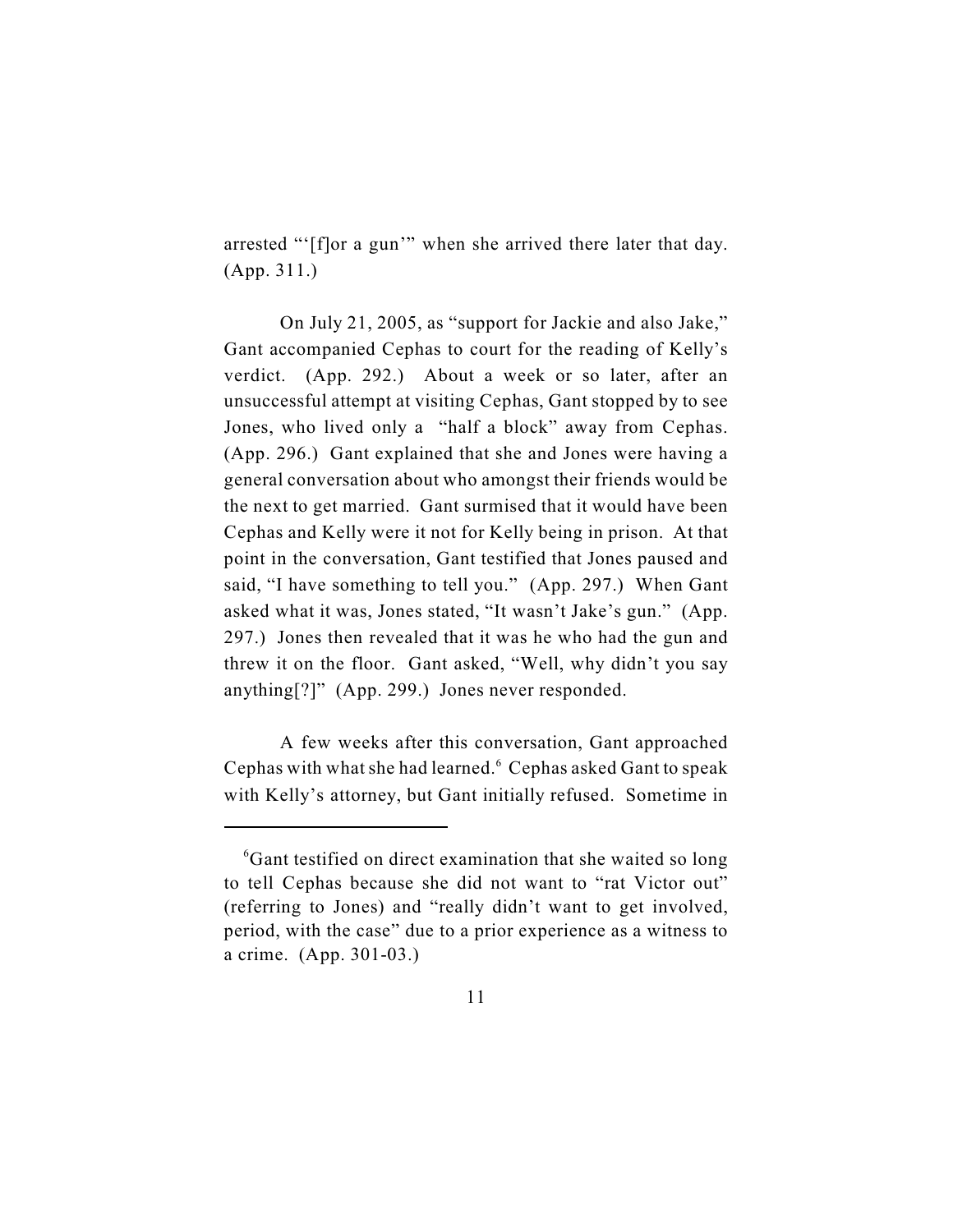arrested "'[f]or a gun'" when she arrived there later that day. (App. 311.)

On July 21, 2005, as "support for Jackie and also Jake," Gant accompanied Cephas to court for the reading of Kelly's verdict. (App. 292.) About a week or so later, after an unsuccessful attempt at visiting Cephas, Gant stopped by to see Jones, who lived only a "half a block" away from Cephas. (App. 296.) Gant explained that she and Jones were having a general conversation about who amongst their friends would be the next to get married. Gant surmised that it would have been Cephas and Kelly were it not for Kelly being in prison. At that point in the conversation, Gant testified that Jones paused and said, "I have something to tell you." (App. 297.) When Gant asked what it was, Jones stated, "It wasn't Jake's gun." (App. 297.) Jones then revealed that it was he who had the gun and threw it on the floor. Gant asked, "Well, why didn't you say anything[?]" (App. 299.) Jones never responded.

A few weeks after this conversation, Gant approached Cephas with what she had learned.<sup>6</sup> Cephas asked Gant to speak with Kelly's attorney, but Gant initially refused. Sometime in

 ${}^6$ Gant testified on direct examination that she waited so long to tell Cephas because she did not want to "rat Victor out" (referring to Jones) and "really didn't want to get involved, period, with the case" due to a prior experience as a witness to a crime. (App. 301-03.)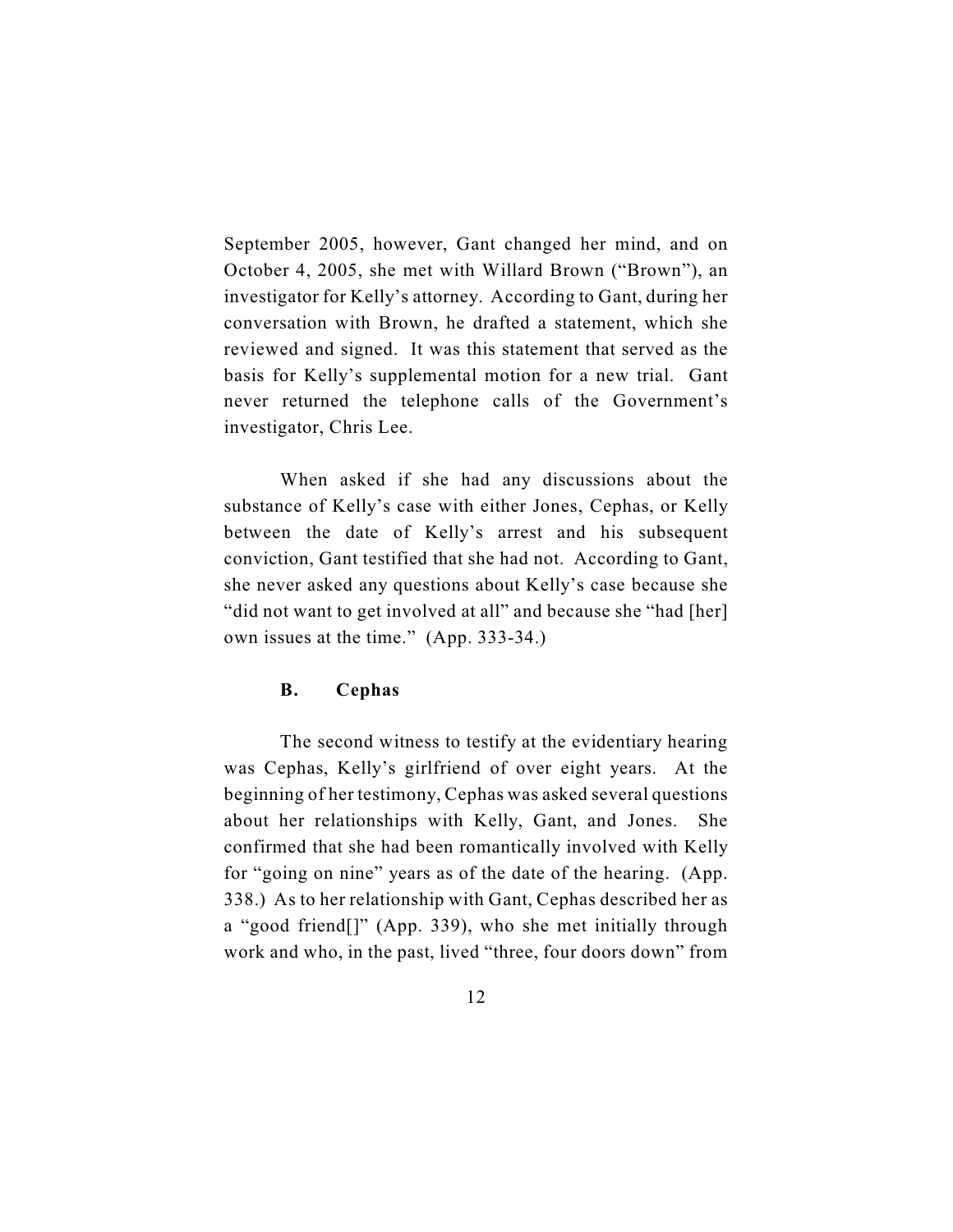September 2005, however, Gant changed her mind, and on October 4, 2005, she met with Willard Brown ("Brown"), an investigator for Kelly's attorney. According to Gant, during her conversation with Brown, he drafted a statement, which she reviewed and signed. It was this statement that served as the basis for Kelly's supplemental motion for a new trial. Gant never returned the telephone calls of the Government's investigator, Chris Lee.

When asked if she had any discussions about the substance of Kelly's case with either Jones, Cephas, or Kelly between the date of Kelly's arrest and his subsequent conviction, Gant testified that she had not. According to Gant, she never asked any questions about Kelly's case because she "did not want to get involved at all" and because she "had [her] own issues at the time." (App. 333-34.)

## **B. Cephas**

The second witness to testify at the evidentiary hearing was Cephas, Kelly's girlfriend of over eight years. At the beginning of her testimony, Cephas was asked several questions about her relationships with Kelly, Gant, and Jones. She confirmed that she had been romantically involved with Kelly for "going on nine" years as of the date of the hearing. (App. 338.) As to her relationship with Gant, Cephas described her as a "good friend[]" (App. 339), who she met initially through work and who, in the past, lived "three, four doors down" from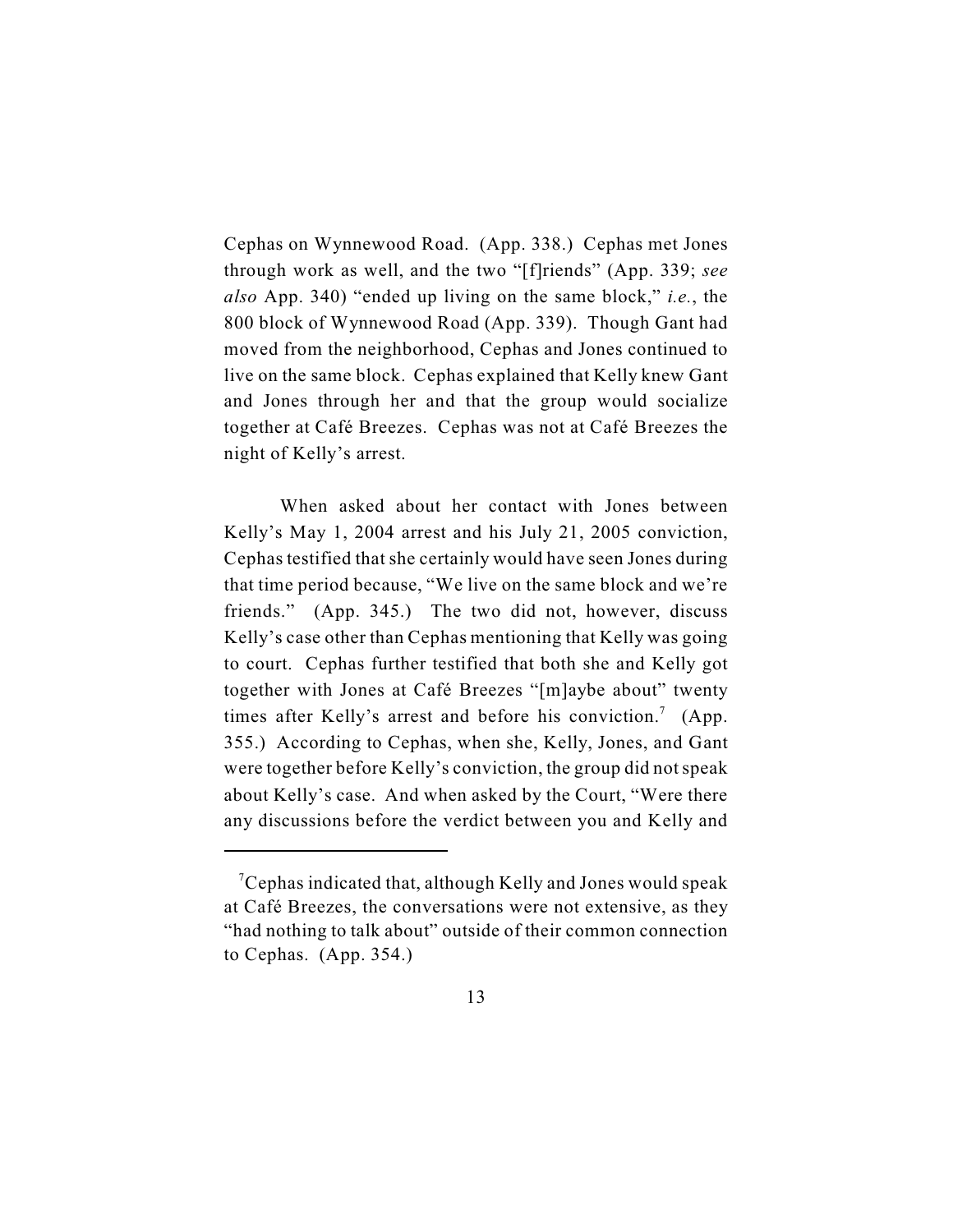Cephas on Wynnewood Road. (App. 338.) Cephas met Jones through work as well, and the two "[f]riends" (App. 339; *see also* App. 340) "ended up living on the same block," *i.e.*, the 800 block of Wynnewood Road (App. 339). Though Gant had moved from the neighborhood, Cephas and Jones continued to live on the same block. Cephas explained that Kelly knew Gant and Jones through her and that the group would socialize together at Café Breezes. Cephas was not at Café Breezes the night of Kelly's arrest.

When asked about her contact with Jones between Kelly's May 1, 2004 arrest and his July 21, 2005 conviction, Cephas testified that she certainly would have seen Jones during that time period because, "We live on the same block and we're friends." (App. 345.) The two did not, however, discuss Kelly's case other than Cephas mentioning that Kelly was going to court. Cephas further testified that both she and Kelly got together with Jones at Café Breezes "[m]aybe about" twenty times after Kelly's arrest and before his conviction.<sup>7</sup> (App. 355.) According to Cephas, when she, Kelly, Jones, and Gant were together before Kelly's conviction, the group did not speak about Kelly's case. And when asked by the Court, "Were there any discussions before the verdict between you and Kelly and

 $\mathrm{7C}$ ephas indicated that, although Kelly and Jones would speak at Café Breezes, the conversations were not extensive, as they "had nothing to talk about" outside of their common connection to Cephas. (App. 354.)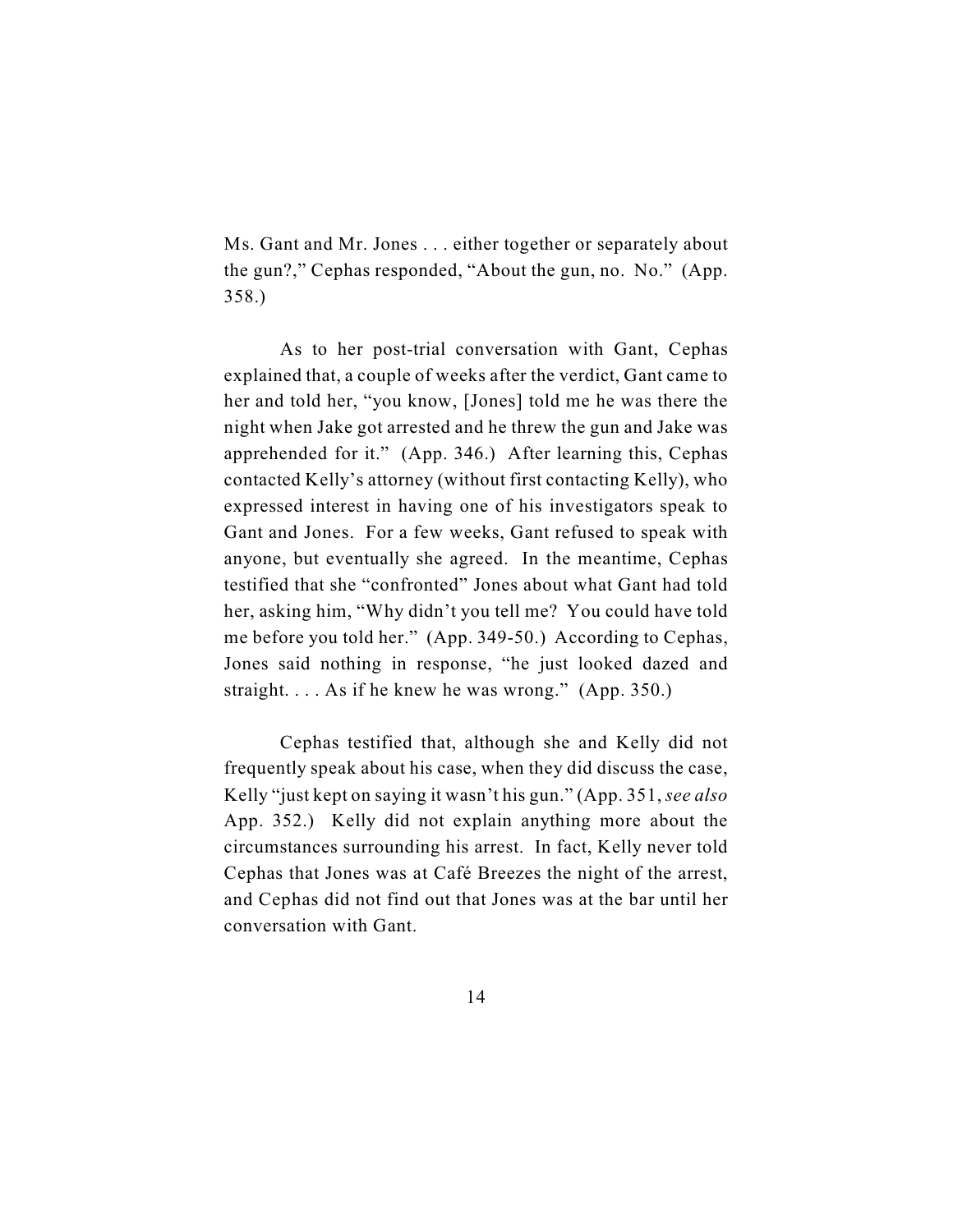Ms. Gant and Mr. Jones . . . either together or separately about the gun?," Cephas responded, "About the gun, no. No." (App. 358.)

As to her post-trial conversation with Gant, Cephas explained that, a couple of weeks after the verdict, Gant came to her and told her, "you know, [Jones] told me he was there the night when Jake got arrested and he threw the gun and Jake was apprehended for it." (App. 346.) After learning this, Cephas contacted Kelly's attorney (without first contacting Kelly), who expressed interest in having one of his investigators speak to Gant and Jones. For a few weeks, Gant refused to speak with anyone, but eventually she agreed. In the meantime, Cephas testified that she "confronted" Jones about what Gant had told her, asking him, "Why didn't you tell me? You could have told me before you told her." (App. 349-50.) According to Cephas, Jones said nothing in response, "he just looked dazed and straight. . . . As if he knew he was wrong." (App. 350.)

Cephas testified that, although she and Kelly did not frequently speak about his case, when they did discuss the case, Kelly "just kept on saying it wasn't his gun." (App. 351, *see also* App. 352.) Kelly did not explain anything more about the circumstances surrounding his arrest. In fact, Kelly never told Cephas that Jones was at Café Breezes the night of the arrest, and Cephas did not find out that Jones was at the bar until her conversation with Gant.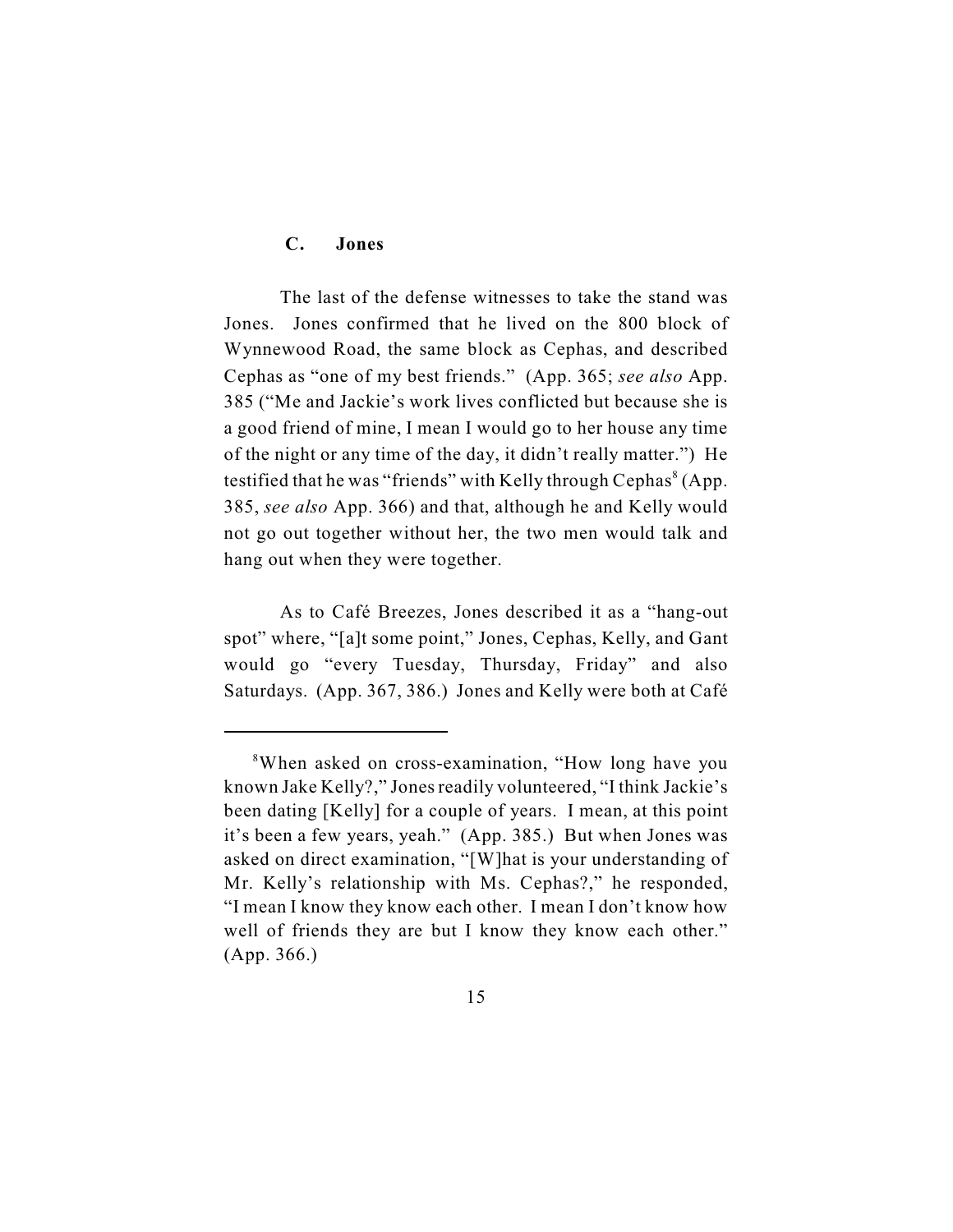# **C. Jones**

The last of the defense witnesses to take the stand was Jones. Jones confirmed that he lived on the 800 block of Wynnewood Road, the same block as Cephas, and described Cephas as "one of my best friends." (App. 365; *see also* App. 385 ("Me and Jackie's work lives conflicted but because she is a good friend of mine, I mean I would go to her house any time of the night or any time of the day, it didn't really matter.") He testified that he was "friends" with Kelly through Cephas $\delta$  (App. 385, *see also* App. 366) and that, although he and Kelly would not go out together without her, the two men would talk and hang out when they were together.

As to Café Breezes, Jones described it as a "hang-out spot" where, "[a]t some point," Jones, Cephas, Kelly, and Gant would go "every Tuesday, Thursday, Friday" and also Saturdays. (App. 367, 386.) Jones and Kelly were both at Café

<sup>&</sup>lt;sup>8</sup>When asked on cross-examination, "How long have you known Jake Kelly?," Jones readily volunteered, "I think Jackie's been dating [Kelly] for a couple of years. I mean, at this point it's been a few years, yeah." (App. 385.) But when Jones was asked on direct examination, "[W]hat is your understanding of Mr. Kelly's relationship with Ms. Cephas?," he responded, "I mean I know they know each other. I mean I don't know how well of friends they are but I know they know each other." (App. 366.)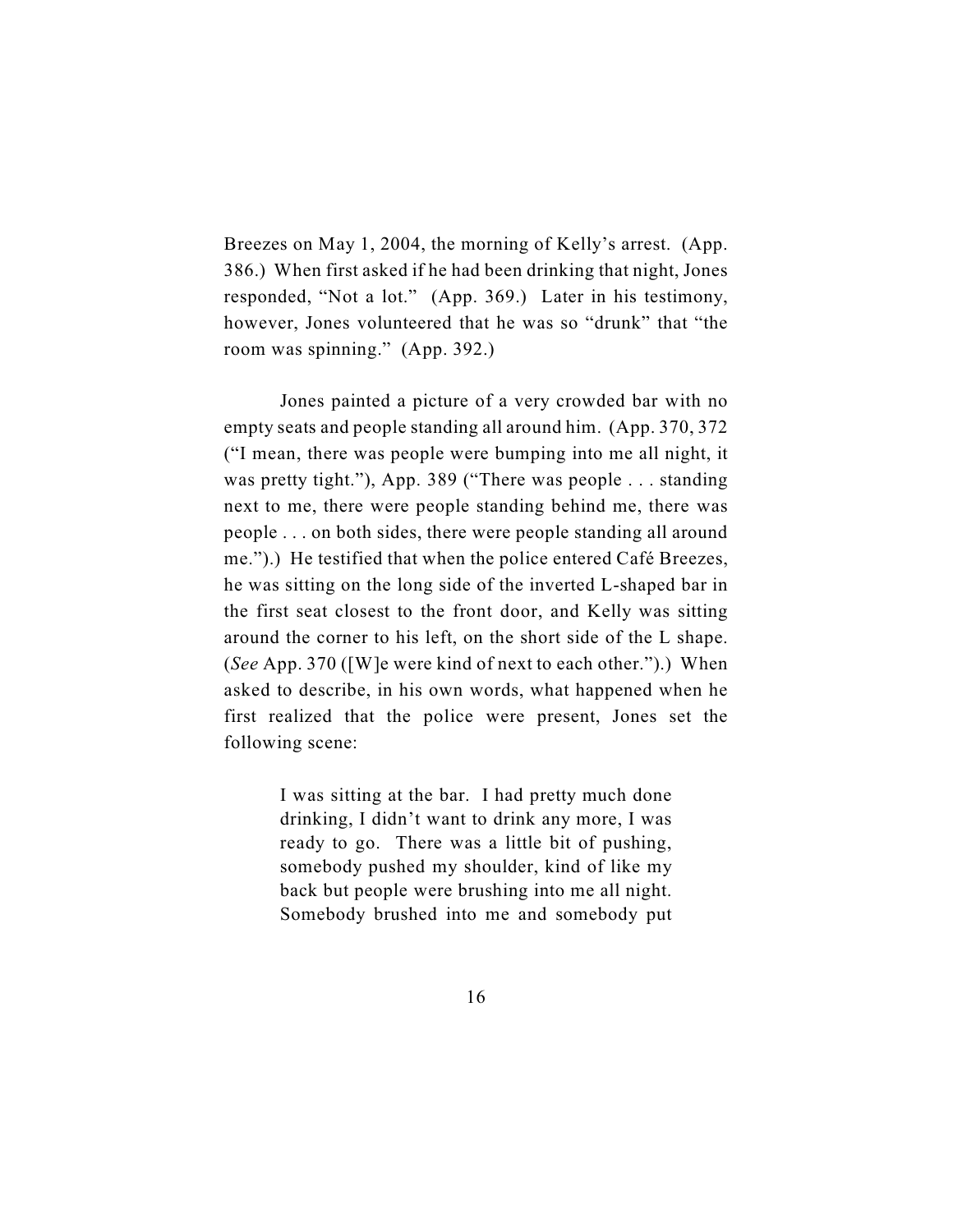Breezes on May 1, 2004, the morning of Kelly's arrest. (App. 386.) When first asked if he had been drinking that night, Jones responded, "Not a lot." (App. 369.) Later in his testimony, however, Jones volunteered that he was so "drunk" that "the room was spinning." (App. 392.)

Jones painted a picture of a very crowded bar with no empty seats and people standing all around him. (App. 370, 372 ("I mean, there was people were bumping into me all night, it was pretty tight."), App. 389 ("There was people . . . standing next to me, there were people standing behind me, there was people . . . on both sides, there were people standing all around me.").) He testified that when the police entered Café Breezes, he was sitting on the long side of the inverted L-shaped bar in the first seat closest to the front door, and Kelly was sitting around the corner to his left, on the short side of the L shape. (*See* App. 370 ([W]e were kind of next to each other.").) When asked to describe, in his own words, what happened when he first realized that the police were present, Jones set the following scene:

> I was sitting at the bar. I had pretty much done drinking, I didn't want to drink any more, I was ready to go. There was a little bit of pushing, somebody pushed my shoulder, kind of like my back but people were brushing into me all night. Somebody brushed into me and somebody put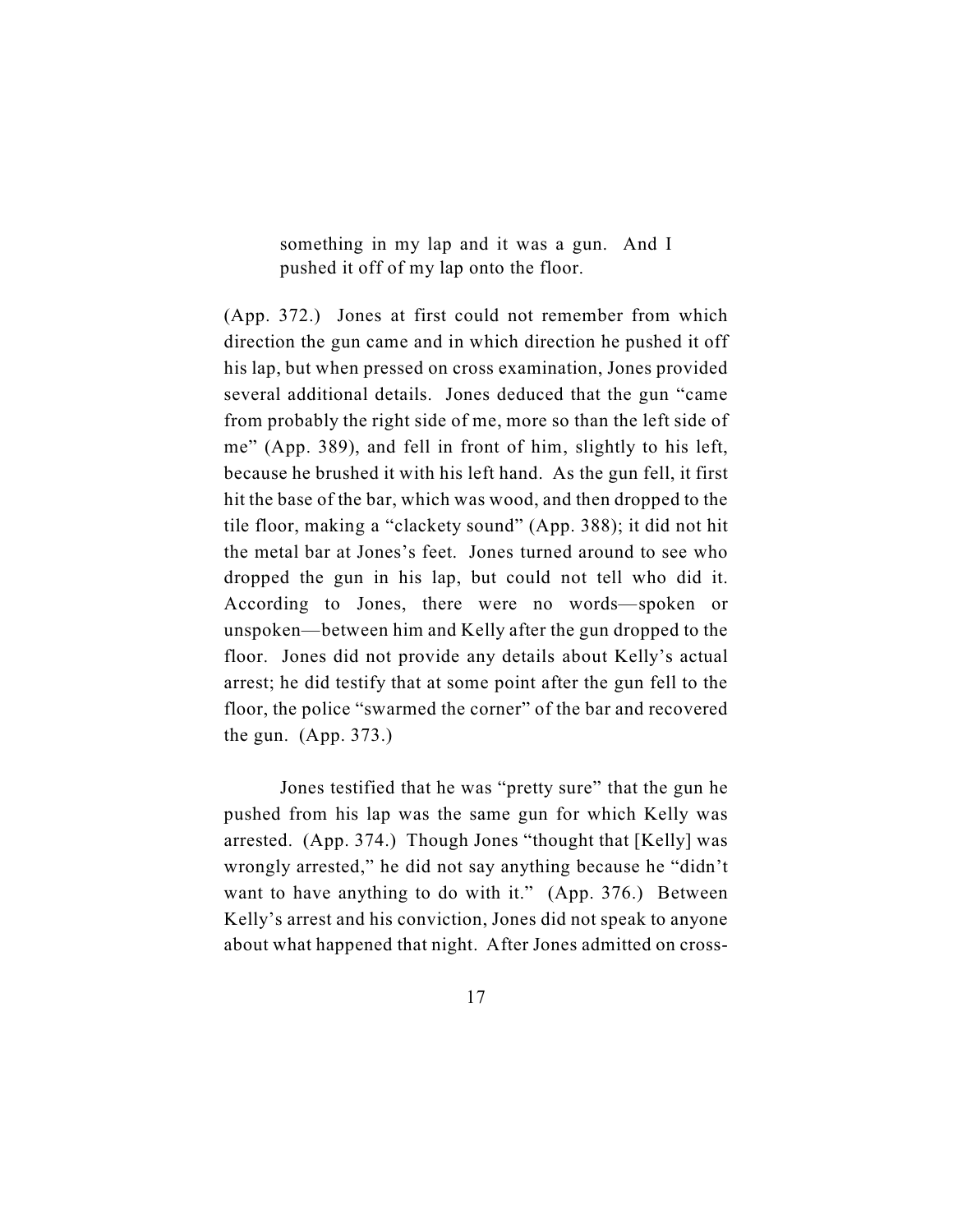something in my lap and it was a gun. And I pushed it off of my lap onto the floor.

(App. 372.) Jones at first could not remember from which direction the gun came and in which direction he pushed it off his lap, but when pressed on cross examination, Jones provided several additional details. Jones deduced that the gun "came from probably the right side of me, more so than the left side of me" (App. 389), and fell in front of him, slightly to his left, because he brushed it with his left hand. As the gun fell, it first hit the base of the bar, which was wood, and then dropped to the tile floor, making a "clackety sound" (App. 388); it did not hit the metal bar at Jones's feet. Jones turned around to see who dropped the gun in his lap, but could not tell who did it. According to Jones, there were no words—spoken or unspoken—between him and Kelly after the gun dropped to the floor. Jones did not provide any details about Kelly's actual arrest; he did testify that at some point after the gun fell to the floor, the police "swarmed the corner" of the bar and recovered the gun. (App. 373.)

Jones testified that he was "pretty sure" that the gun he pushed from his lap was the same gun for which Kelly was arrested. (App. 374.) Though Jones "thought that [Kelly] was wrongly arrested," he did not say anything because he "didn't want to have anything to do with it." (App. 376.) Between Kelly's arrest and his conviction, Jones did not speak to anyone about what happened that night. After Jones admitted on cross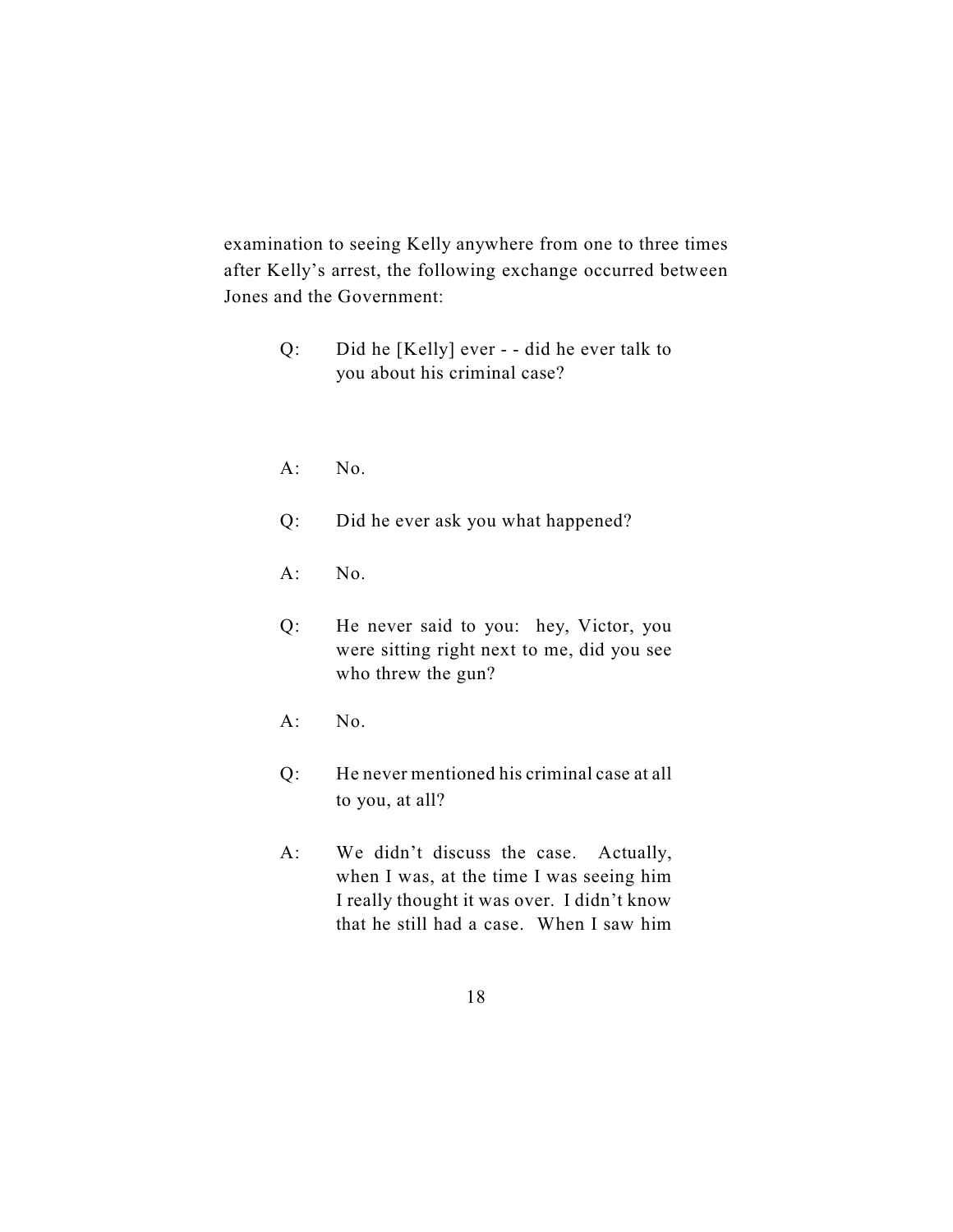examination to seeing Kelly anywhere from one to three times after Kelly's arrest, the following exchange occurred between Jones and the Government:

- Q: Did he [Kelly] ever - did he ever talk to you about his criminal case?
- A: No.
- Q: Did he ever ask you what happened?
- A: No.
- Q: He never said to you: hey, Victor, you were sitting right next to me, did you see who threw the gun?
- $A:$  No.
- Q: He never mentioned his criminal case at all to you, at all?
- A: We didn't discuss the case. Actually, when I was, at the time I was seeing him I really thought it was over. I didn't know that he still had a case. When I saw him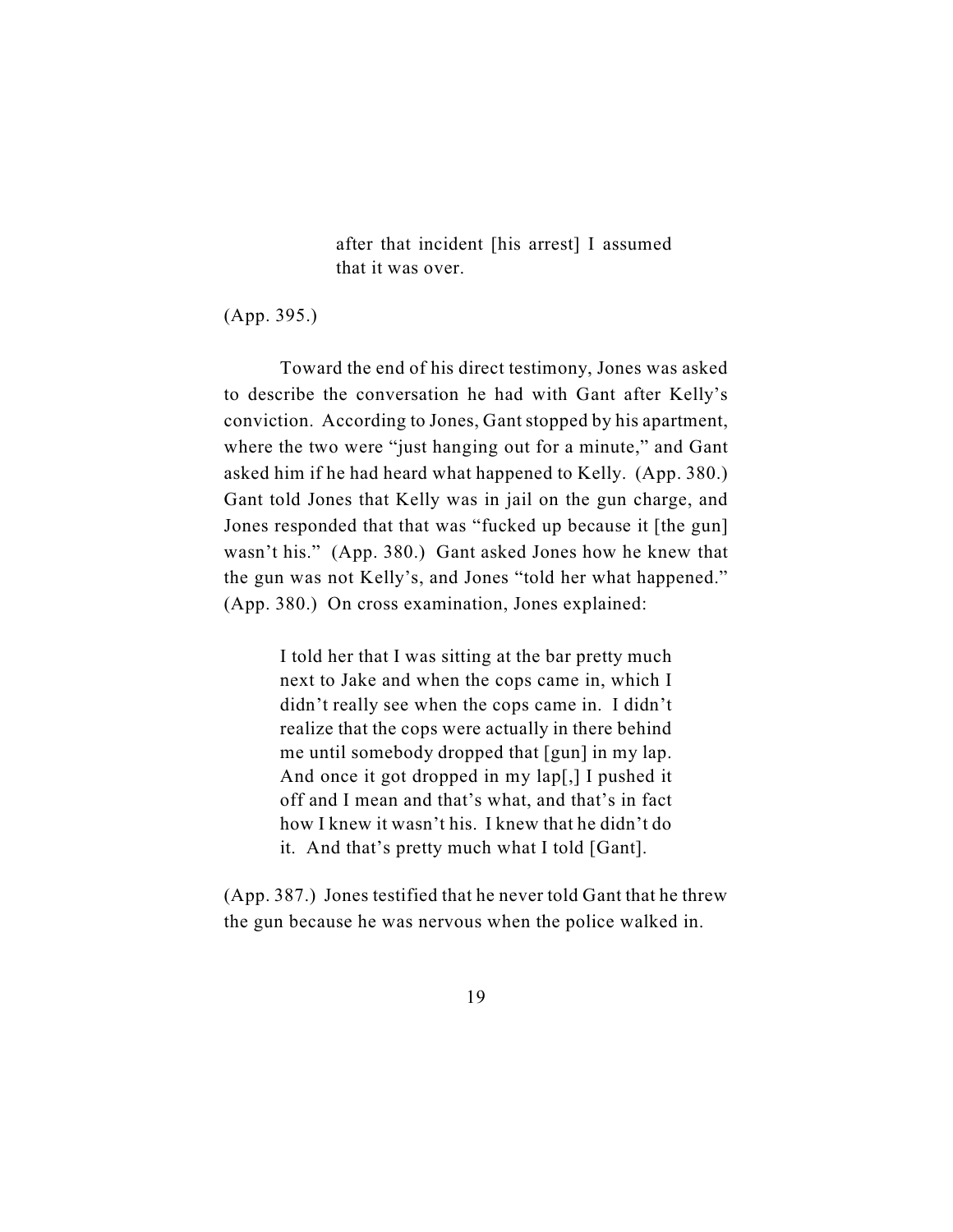after that incident [his arrest] I assumed that it was over.

(App. 395.)

Toward the end of his direct testimony, Jones was asked to describe the conversation he had with Gant after Kelly's conviction. According to Jones, Gant stopped by his apartment, where the two were "just hanging out for a minute," and Gant asked him if he had heard what happened to Kelly. (App. 380.) Gant told Jones that Kelly was in jail on the gun charge, and Jones responded that that was "fucked up because it [the gun] wasn't his." (App. 380.) Gant asked Jones how he knew that the gun was not Kelly's, and Jones "told her what happened." (App. 380.) On cross examination, Jones explained:

> I told her that I was sitting at the bar pretty much next to Jake and when the cops came in, which I didn't really see when the cops came in. I didn't realize that the cops were actually in there behind me until somebody dropped that [gun] in my lap. And once it got dropped in my lap[,] I pushed it off and I mean and that's what, and that's in fact how I knew it wasn't his. I knew that he didn't do it. And that's pretty much what I told [Gant].

(App. 387.) Jones testified that he never told Gant that he threw the gun because he was nervous when the police walked in.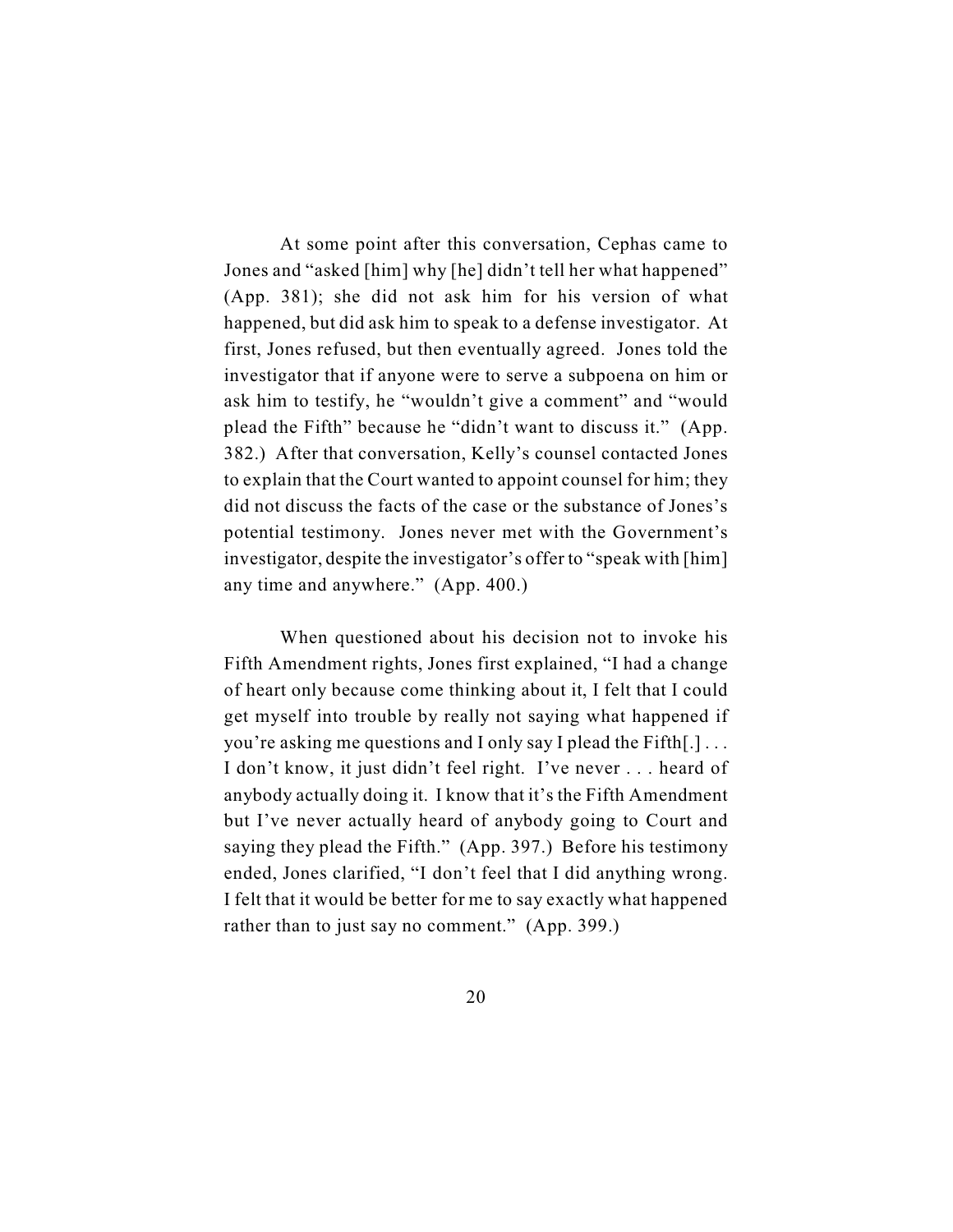At some point after this conversation, Cephas came to Jones and "asked [him] why [he] didn't tell her what happened" (App. 381); she did not ask him for his version of what happened, but did ask him to speak to a defense investigator. At first, Jones refused, but then eventually agreed. Jones told the investigator that if anyone were to serve a subpoena on him or ask him to testify, he "wouldn't give a comment" and "would plead the Fifth" because he "didn't want to discuss it." (App. 382.) After that conversation, Kelly's counsel contacted Jones to explain that the Court wanted to appoint counsel for him; they did not discuss the facts of the case or the substance of Jones's potential testimony. Jones never met with the Government's investigator, despite the investigator's offer to "speak with [him] any time and anywhere." (App. 400.)

When questioned about his decision not to invoke his Fifth Amendment rights, Jones first explained, "I had a change of heart only because come thinking about it, I felt that I could get myself into trouble by really not saying what happened if you're asking me questions and I only say I plead the Fifth[.] . . . I don't know, it just didn't feel right. I've never . . . heard of anybody actually doing it. I know that it's the Fifth Amendment but I've never actually heard of anybody going to Court and saying they plead the Fifth." (App. 397.) Before his testimony ended, Jones clarified, "I don't feel that I did anything wrong. I felt that it would be better for me to say exactly what happened rather than to just say no comment." (App. 399.)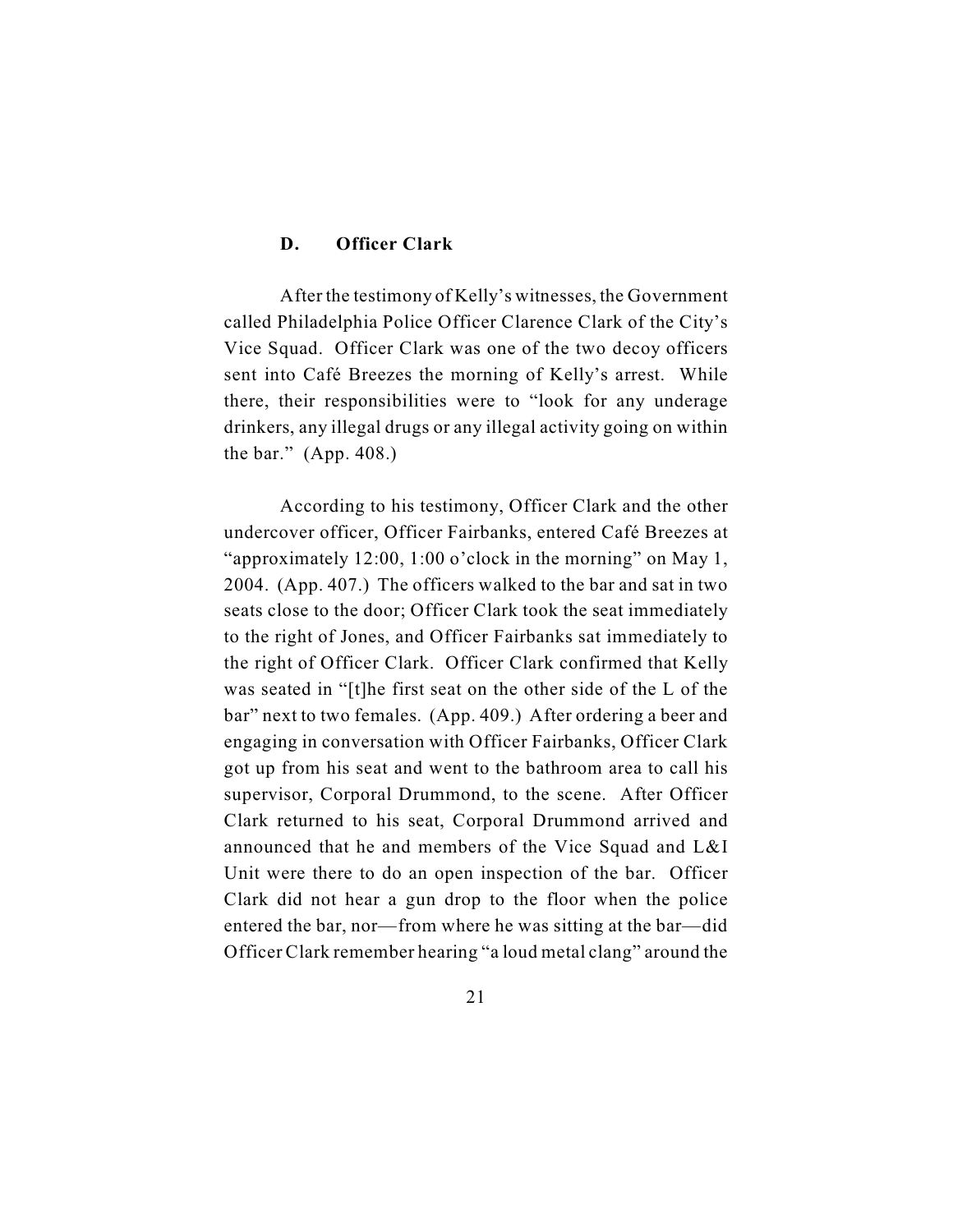## **D. Officer Clark**

After the testimony of Kelly's witnesses, the Government called Philadelphia Police Officer Clarence Clark of the City's Vice Squad. Officer Clark was one of the two decoy officers sent into Café Breezes the morning of Kelly's arrest. While there, their responsibilities were to "look for any underage drinkers, any illegal drugs or any illegal activity going on within the bar." (App. 408.)

According to his testimony, Officer Clark and the other undercover officer, Officer Fairbanks, entered Café Breezes at "approximately 12:00, 1:00 o'clock in the morning" on May 1, 2004. (App. 407.) The officers walked to the bar and sat in two seats close to the door; Officer Clark took the seat immediately to the right of Jones, and Officer Fairbanks sat immediately to the right of Officer Clark. Officer Clark confirmed that Kelly was seated in "[t]he first seat on the other side of the L of the bar" next to two females. (App. 409.) After ordering a beer and engaging in conversation with Officer Fairbanks, Officer Clark got up from his seat and went to the bathroom area to call his supervisor, Corporal Drummond, to the scene. After Officer Clark returned to his seat, Corporal Drummond arrived and announced that he and members of the Vice Squad and L&I Unit were there to do an open inspection of the bar. Officer Clark did not hear a gun drop to the floor when the police entered the bar, nor—from where he was sitting at the bar—did Officer Clark remember hearing "a loud metal clang" around the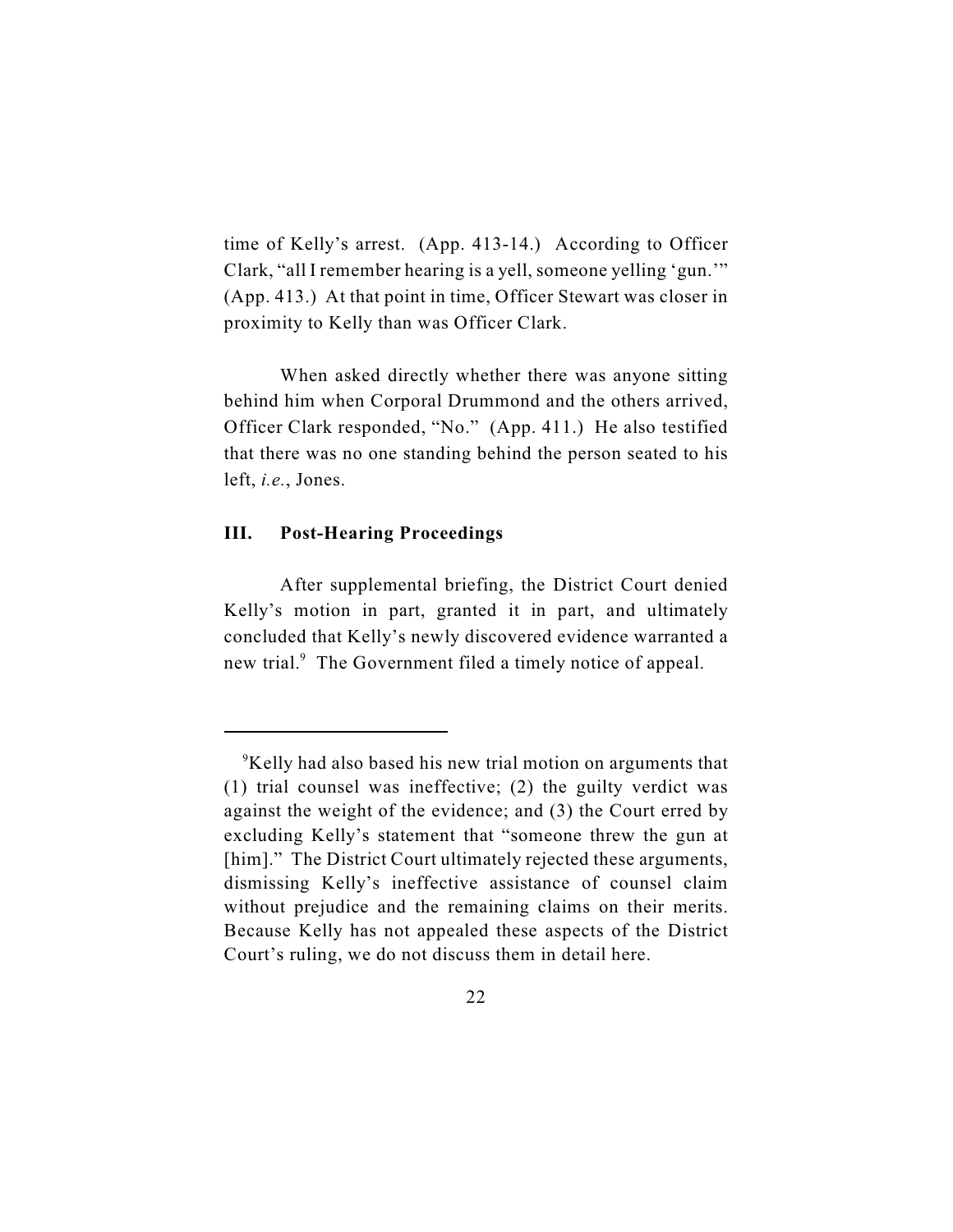time of Kelly's arrest. (App. 413-14.) According to Officer Clark, "all I remember hearing is a yell, someone yelling 'gun.'" (App. 413.) At that point in time, Officer Stewart was closer in proximity to Kelly than was Officer Clark.

When asked directly whether there was anyone sitting behind him when Corporal Drummond and the others arrived, Officer Clark responded, "No." (App. 411.) He also testified that there was no one standing behind the person seated to his left, *i.e.*, Jones.

# **III. Post-Hearing Proceedings**

After supplemental briefing, the District Court denied Kelly's motion in part, granted it in part, and ultimately concluded that Kelly's newly discovered evidence warranted a new trial.<sup>9</sup> The Government filed a timely notice of appeal.

 $\rm{P}$ Kelly had also based his new trial motion on arguments that (1) trial counsel was ineffective; (2) the guilty verdict was against the weight of the evidence; and (3) the Court erred by excluding Kelly's statement that "someone threw the gun at [him]." The District Court ultimately rejected these arguments, dismissing Kelly's ineffective assistance of counsel claim without prejudice and the remaining claims on their merits. Because Kelly has not appealed these aspects of the District Court's ruling, we do not discuss them in detail here.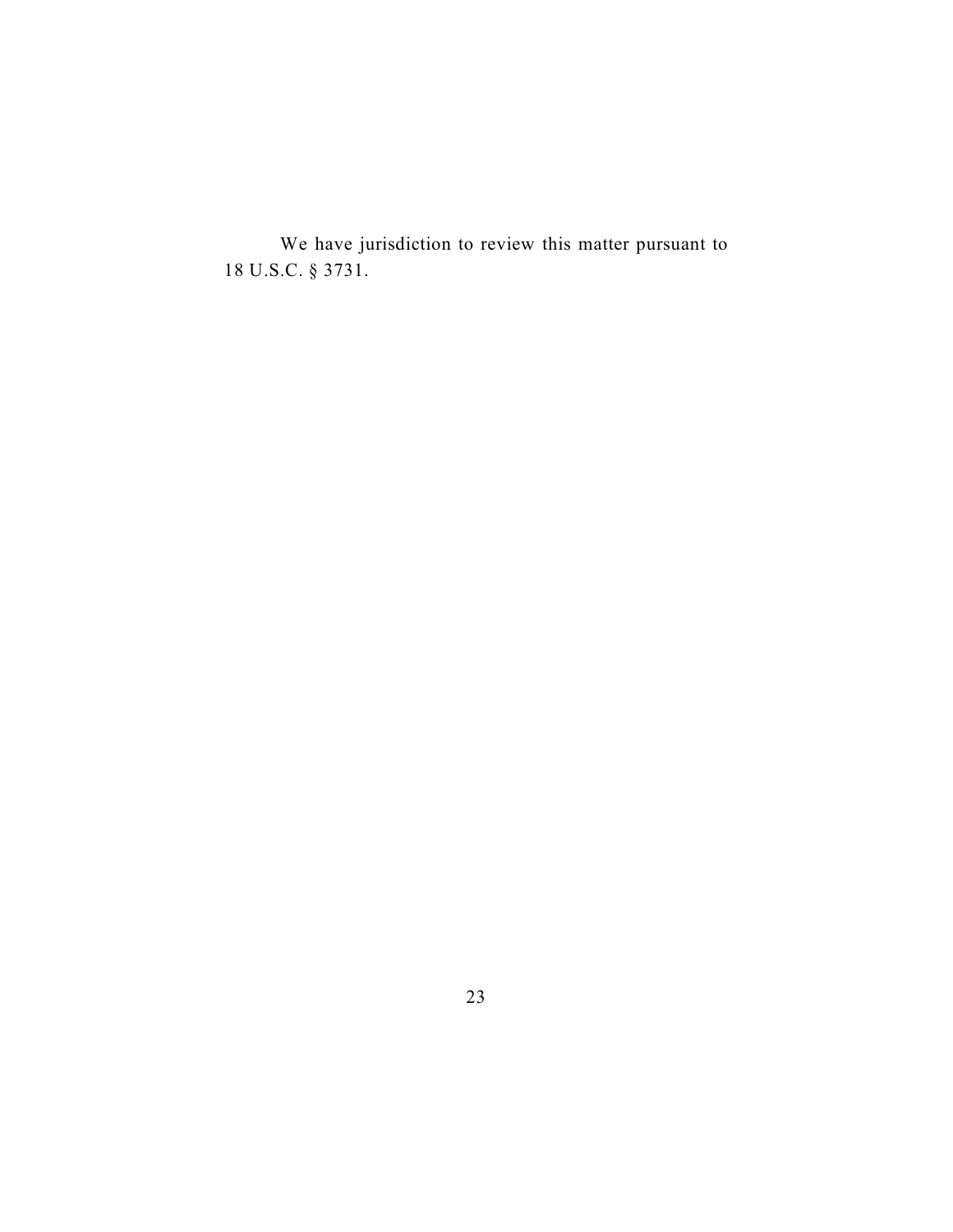We have jurisdiction to review this matter pursuant to 18 U.S.C. § 3731.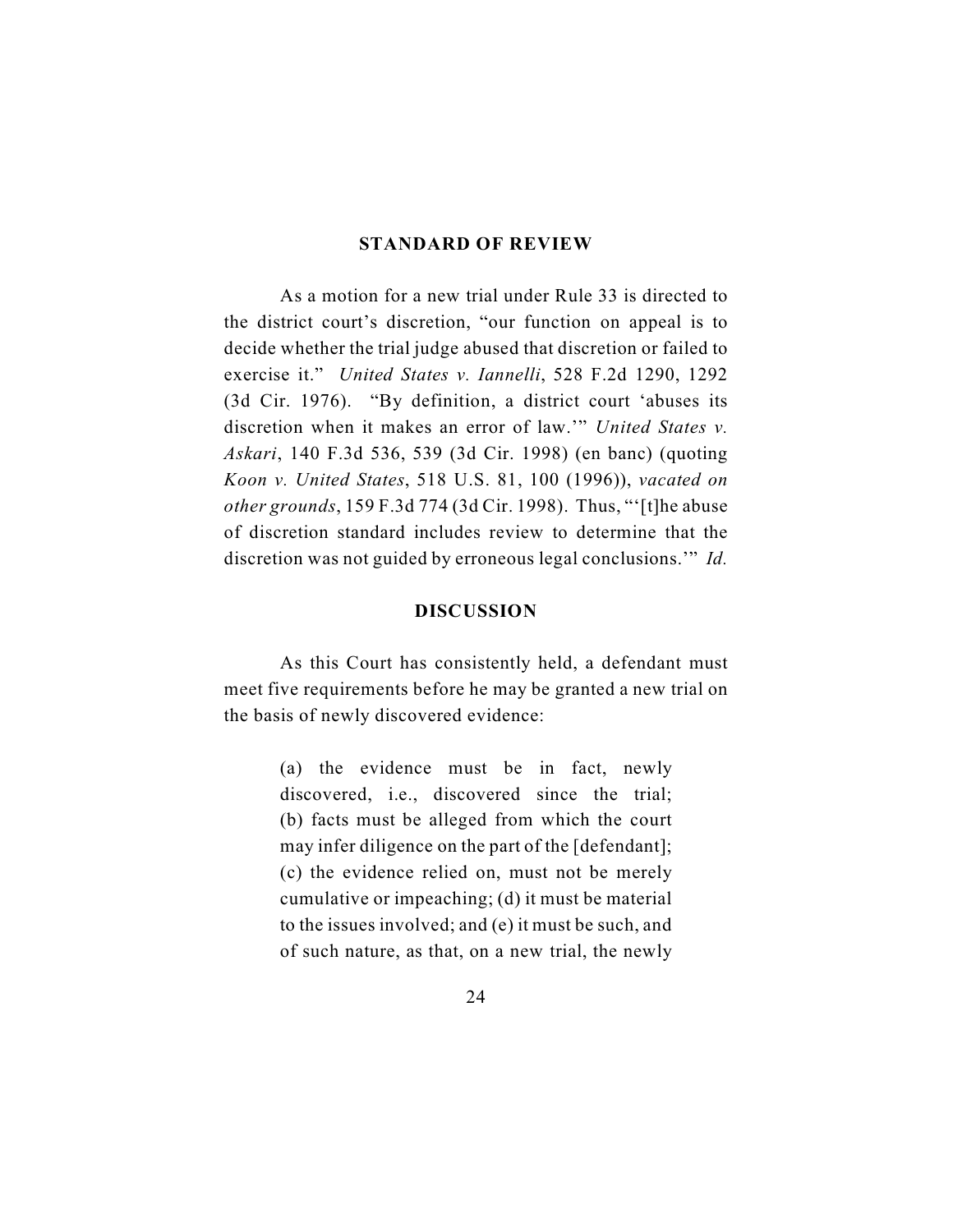#### **STANDARD OF REVIEW**

As a motion for a new trial under Rule 33 is directed to the district court's discretion, "our function on appeal is to decide whether the trial judge abused that discretion or failed to exercise it." *United States v. Iannelli*, 528 F.2d 1290, 1292 (3d Cir. 1976). "By definition, a district court 'abuses its discretion when it makes an error of law.'" *United States v. Askari*, 140 F.3d 536, 539 (3d Cir. 1998) (en banc) (quoting *Koon v. United States*, 518 U.S. 81, 100 (1996)), *vacated on other grounds*, 159 F.3d 774 (3d Cir. 1998). Thus, "'[t]he abuse of discretion standard includes review to determine that the discretion was not guided by erroneous legal conclusions.'" *Id.*

# **DISCUSSION**

As this Court has consistently held, a defendant must meet five requirements before he may be granted a new trial on the basis of newly discovered evidence:

> (a) the evidence must be in fact, newly discovered, i.e., discovered since the trial; (b) facts must be alleged from which the court may infer diligence on the part of the [defendant]; (c) the evidence relied on, must not be merely cumulative or impeaching; (d) it must be material to the issues involved; and (e) it must be such, and of such nature, as that, on a new trial, the newly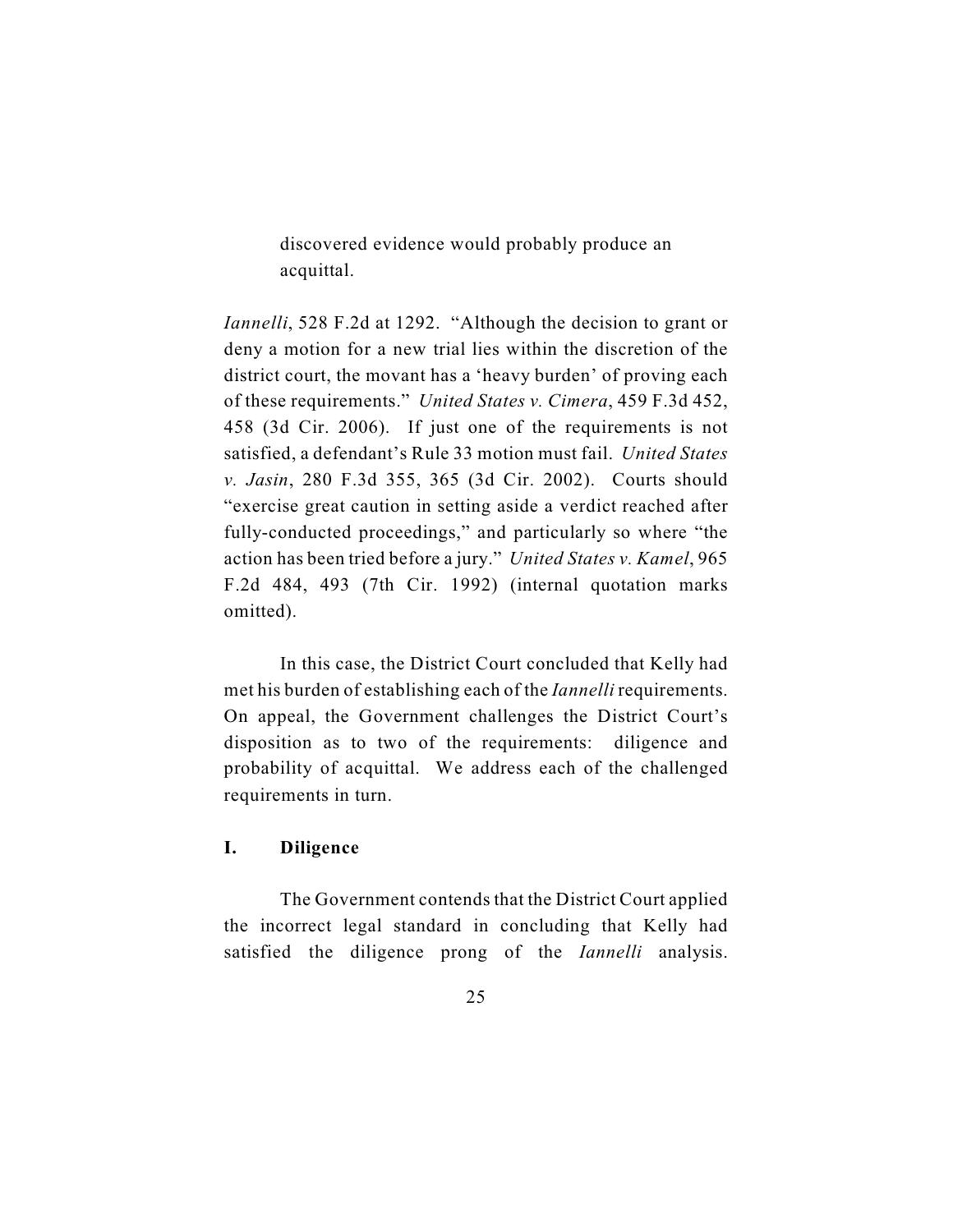discovered evidence would probably produce an acquittal.

*Iannelli*, 528 F.2d at 1292. "Although the decision to grant or deny a motion for a new trial lies within the discretion of the district court, the movant has a 'heavy burden' of proving each of these requirements." *United States v. Cimera*, 459 F.3d 452, 458 (3d Cir. 2006). If just one of the requirements is not satisfied, a defendant's Rule 33 motion must fail. *United States v. Jasin*, 280 F.3d 355, 365 (3d Cir. 2002). Courts should "exercise great caution in setting aside a verdict reached after fully-conducted proceedings," and particularly so where "the action has been tried before a jury." *United States v. Kamel*, 965 F.2d 484, 493 (7th Cir. 1992) (internal quotation marks omitted).

In this case, the District Court concluded that Kelly had met his burden of establishing each of the *Iannelli* requirements. On appeal, the Government challenges the District Court's disposition as to two of the requirements: diligence and probability of acquittal. We address each of the challenged requirements in turn.

# **I. Diligence**

The Government contends that the District Court applied the incorrect legal standard in concluding that Kelly had satisfied the diligence prong of the *Iannelli* analysis.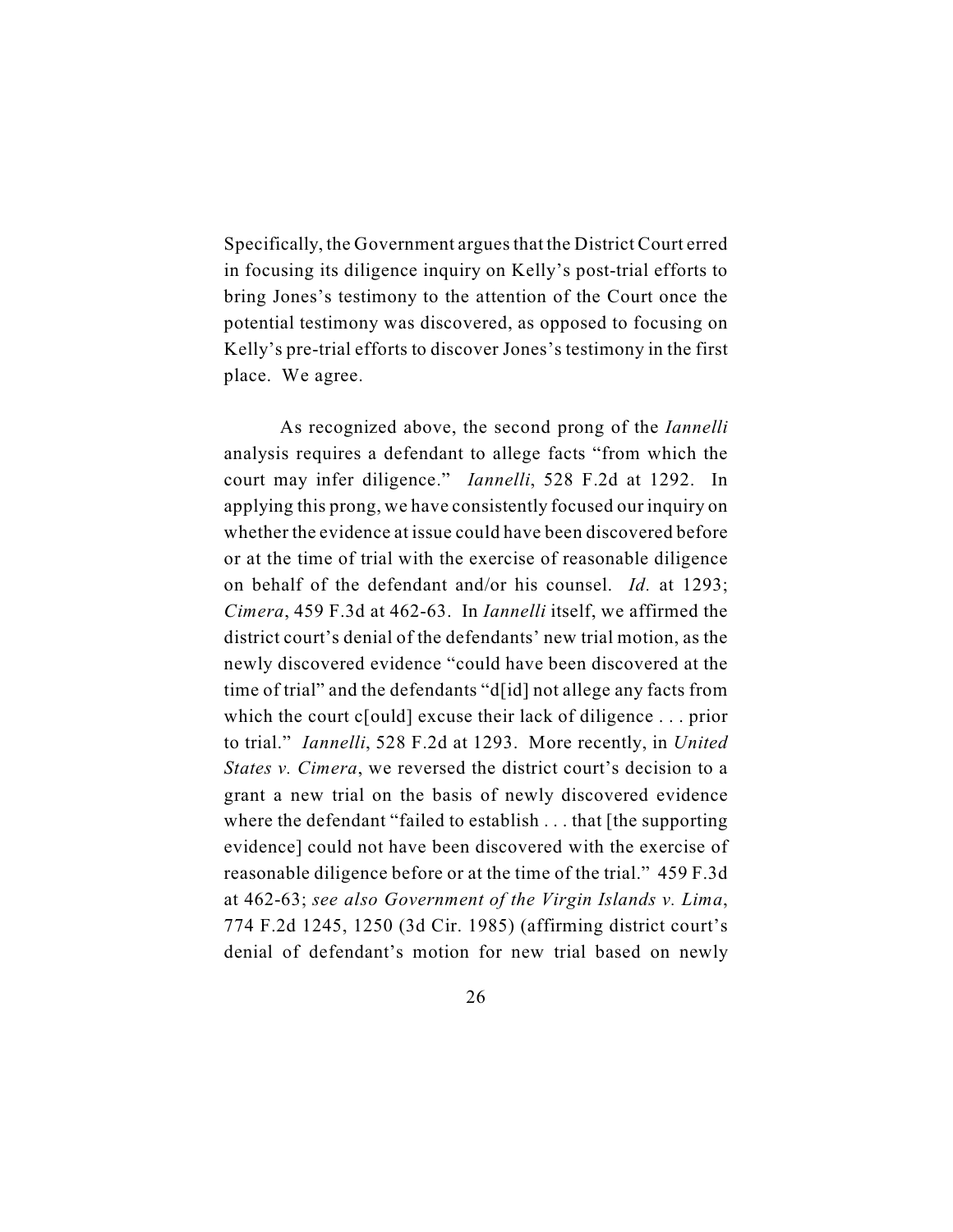Specifically, the Government argues that the District Court erred in focusing its diligence inquiry on Kelly's post-trial efforts to bring Jones's testimony to the attention of the Court once the potential testimony was discovered, as opposed to focusing on Kelly's pre-trial efforts to discover Jones's testimony in the first place. We agree.

As recognized above, the second prong of the *Iannelli* analysis requires a defendant to allege facts "from which the court may infer diligence." *Iannelli*, 528 F.2d at 1292. In applying this prong, we have consistently focused our inquiry on whether the evidence at issue could have been discovered before or at the time of trial with the exercise of reasonable diligence on behalf of the defendant and/or his counsel. *Id.* at 1293; *Cimera*, 459 F.3d at 462-63. In *Iannelli* itself, we affirmed the district court's denial of the defendants' new trial motion, as the newly discovered evidence "could have been discovered at the time of trial" and the defendants "d[id] not allege any facts from which the court c[ould] excuse their lack of diligence . . . prior to trial." *Iannelli*, 528 F.2d at 1293. More recently, in *United States v. Cimera*, we reversed the district court's decision to a grant a new trial on the basis of newly discovered evidence where the defendant "failed to establish . . . that [the supporting] evidence] could not have been discovered with the exercise of reasonable diligence before or at the time of the trial." 459 F.3d at 462-63; *see also Government of the Virgin Islands v. Lima*, 774 F.2d 1245, 1250 (3d Cir. 1985) (affirming district court's denial of defendant's motion for new trial based on newly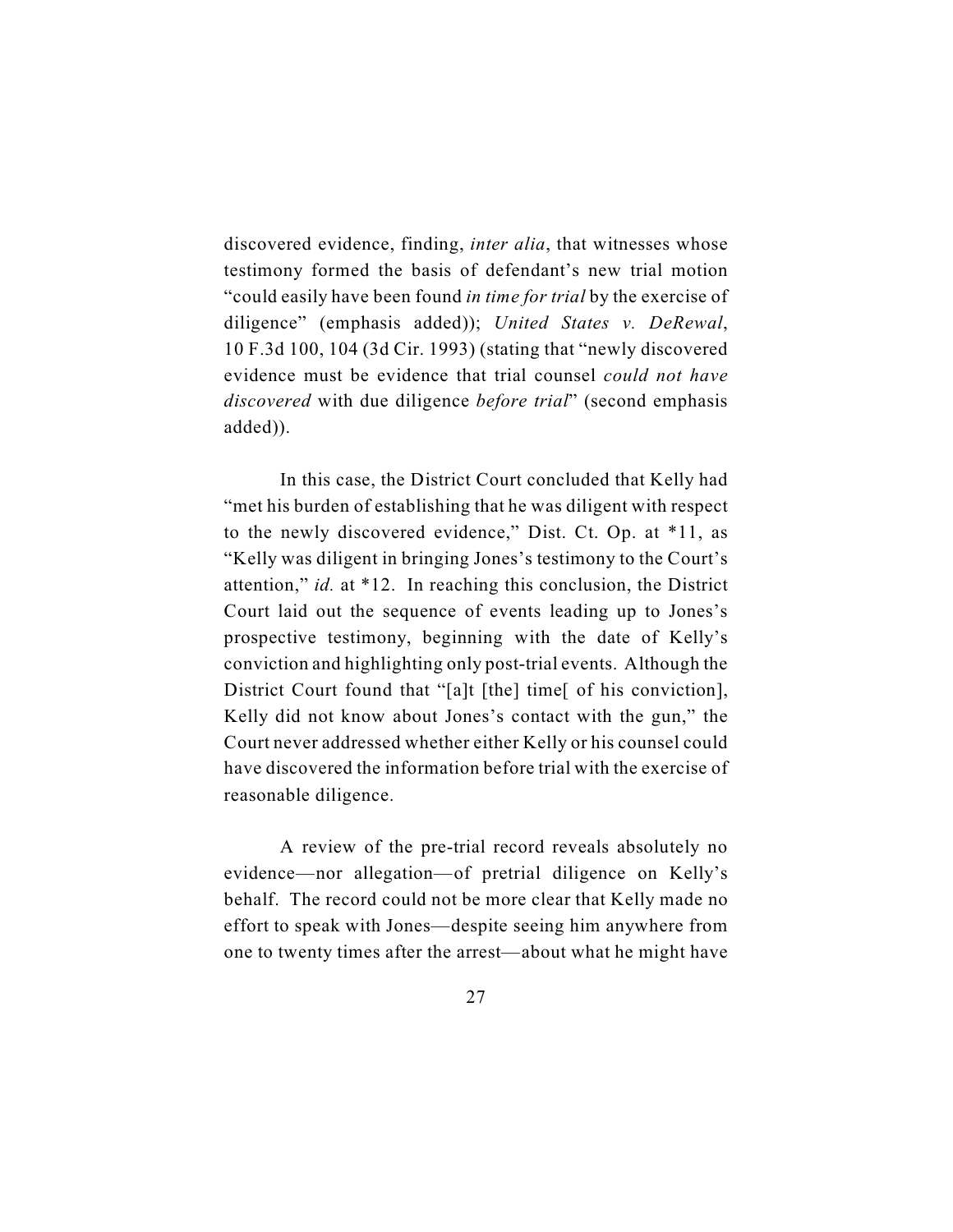discovered evidence, finding, *inter alia*, that witnesses whose testimony formed the basis of defendant's new trial motion "could easily have been found *in time for trial* by the exercise of diligence" (emphasis added)); *United States v. DeRewal*, 10 F.3d 100, 104 (3d Cir. 1993) (stating that "newly discovered evidence must be evidence that trial counsel *could not have discovered* with due diligence *before trial*" (second emphasis added)).

In this case, the District Court concluded that Kelly had "met his burden of establishing that he was diligent with respect to the newly discovered evidence," Dist. Ct. Op. at \*11, as "Kelly was diligent in bringing Jones's testimony to the Court's attention," *id.* at \*12. In reaching this conclusion, the District Court laid out the sequence of events leading up to Jones's prospective testimony, beginning with the date of Kelly's conviction and highlighting only post-trial events. Although the District Court found that "[a]t [the] time[ of his conviction], Kelly did not know about Jones's contact with the gun," the Court never addressed whether either Kelly or his counsel could have discovered the information before trial with the exercise of reasonable diligence.

A review of the pre-trial record reveals absolutely no evidence—nor allegation—of pretrial diligence on Kelly's behalf. The record could not be more clear that Kelly made no effort to speak with Jones—despite seeing him anywhere from one to twenty times after the arrest—about what he might have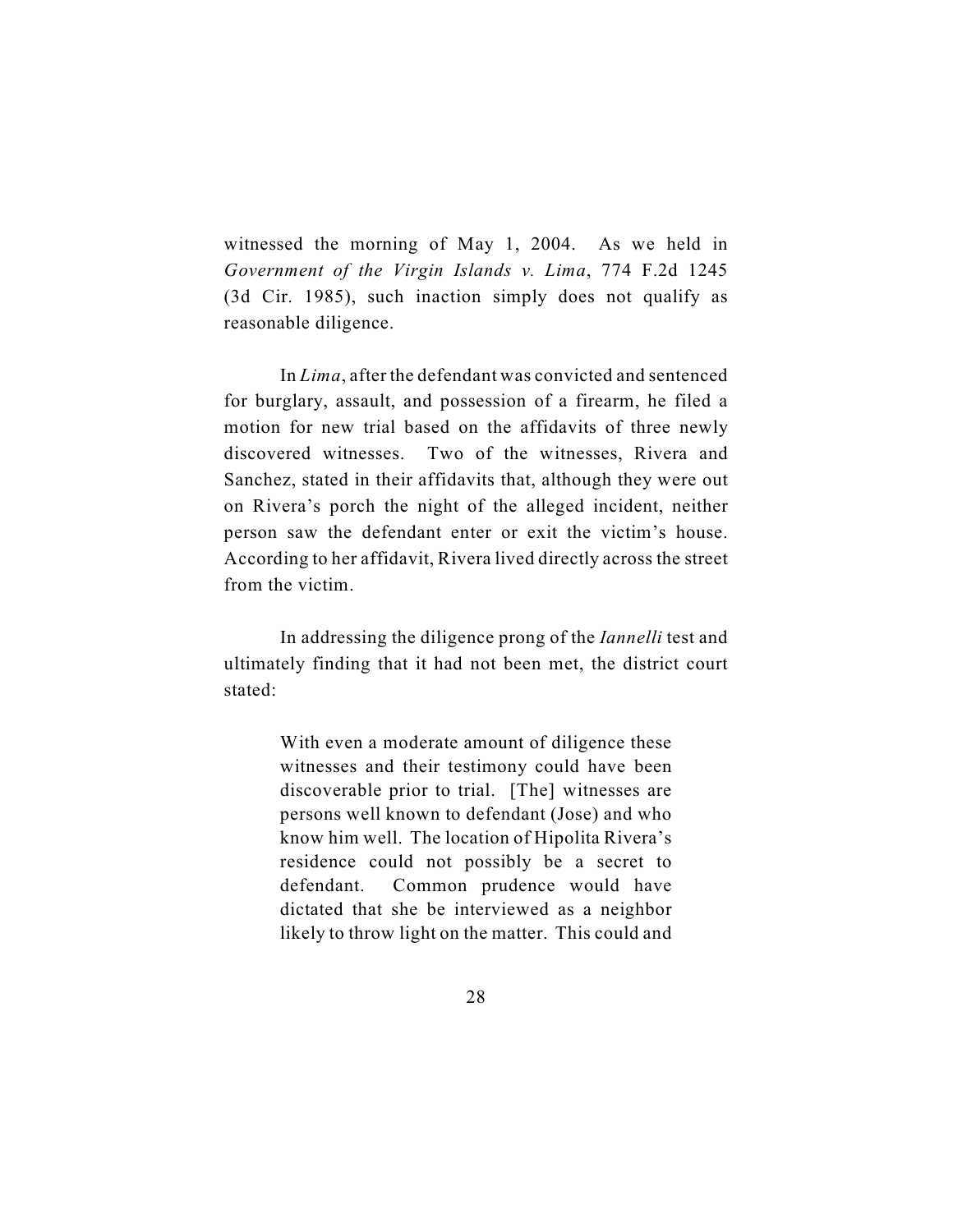witnessed the morning of May 1, 2004. As we held in *Government of the Virgin Islands v. Lima*, 774 F.2d 1245 (3d Cir. 1985), such inaction simply does not qualify as reasonable diligence.

In *Lima*, after the defendant was convicted and sentenced for burglary, assault, and possession of a firearm, he filed a motion for new trial based on the affidavits of three newly discovered witnesses. Two of the witnesses, Rivera and Sanchez, stated in their affidavits that, although they were out on Rivera's porch the night of the alleged incident, neither person saw the defendant enter or exit the victim's house. According to her affidavit, Rivera lived directly across the street from the victim.

In addressing the diligence prong of the *Iannelli* test and ultimately finding that it had not been met, the district court stated:

> With even a moderate amount of diligence these witnesses and their testimony could have been discoverable prior to trial. [The] witnesses are persons well known to defendant (Jose) and who know him well. The location of Hipolita Rivera's residence could not possibly be a secret to defendant. Common prudence would have dictated that she be interviewed as a neighbor likely to throw light on the matter. This could and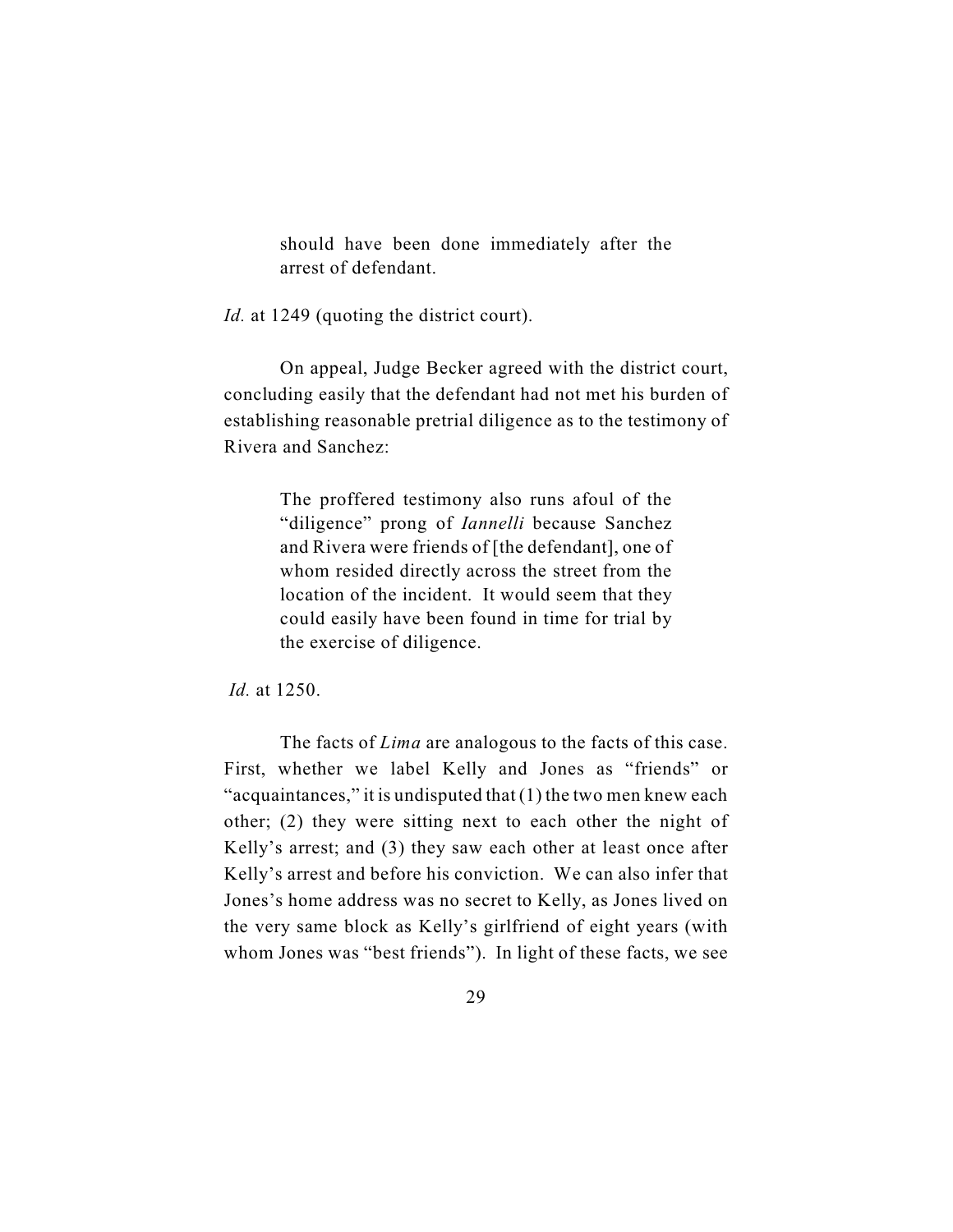should have been done immediately after the arrest of defendant.

*Id.* at 1249 (quoting the district court).

On appeal, Judge Becker agreed with the district court, concluding easily that the defendant had not met his burden of establishing reasonable pretrial diligence as to the testimony of Rivera and Sanchez:

> The proffered testimony also runs afoul of the "diligence" prong of *Iannelli* because Sanchez and Rivera were friends of [the defendant], one of whom resided directly across the street from the location of the incident. It would seem that they could easily have been found in time for trial by the exercise of diligence.

*Id.* at 1250.

The facts of *Lima* are analogous to the facts of this case. First, whether we label Kelly and Jones as "friends" or "acquaintances," it is undisputed that  $(1)$  the two men knew each other; (2) they were sitting next to each other the night of Kelly's arrest; and (3) they saw each other at least once after Kelly's arrest and before his conviction. We can also infer that Jones's home address was no secret to Kelly, as Jones lived on the very same block as Kelly's girlfriend of eight years (with whom Jones was "best friends"). In light of these facts, we see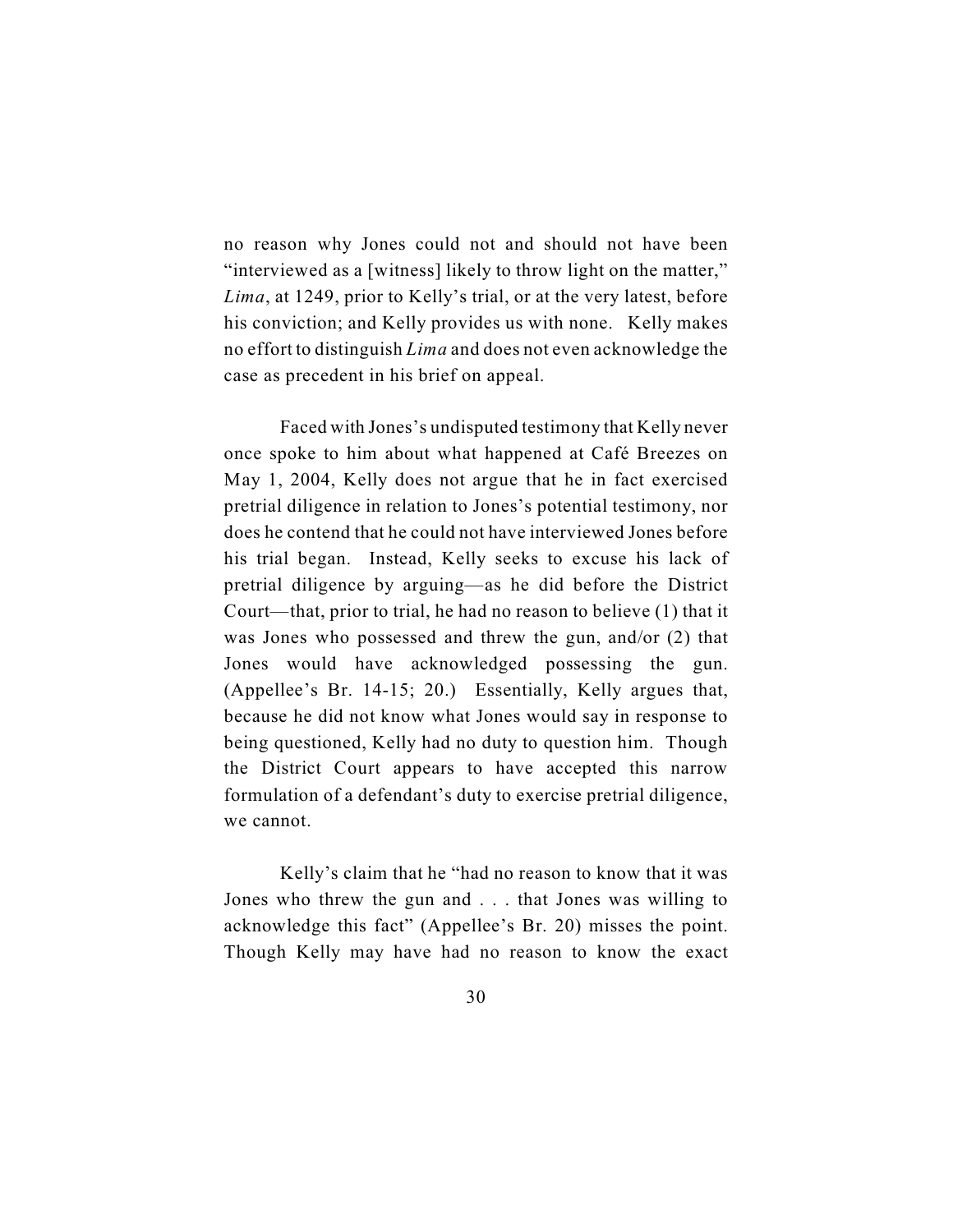no reason why Jones could not and should not have been "interviewed as a [witness] likely to throw light on the matter," *Lima*, at 1249, prior to Kelly's trial, or at the very latest, before his conviction; and Kelly provides us with none. Kelly makes no effort to distinguish *Lima* and does not even acknowledge the case as precedent in his brief on appeal.

Faced with Jones's undisputed testimony that Kelly never once spoke to him about what happened at Café Breezes on May 1, 2004, Kelly does not argue that he in fact exercised pretrial diligence in relation to Jones's potential testimony, nor does he contend that he could not have interviewed Jones before his trial began. Instead, Kelly seeks to excuse his lack of pretrial diligence by arguing—as he did before the District Court—that, prior to trial, he had no reason to believe (1) that it was Jones who possessed and threw the gun, and/or (2) that Jones would have acknowledged possessing the gun. (Appellee's Br. 14-15; 20.) Essentially, Kelly argues that, because he did not know what Jones would say in response to being questioned, Kelly had no duty to question him. Though the District Court appears to have accepted this narrow formulation of a defendant's duty to exercise pretrial diligence, we cannot.

Kelly's claim that he "had no reason to know that it was Jones who threw the gun and . . . that Jones was willing to acknowledge this fact" (Appellee's Br. 20) misses the point. Though Kelly may have had no reason to know the exact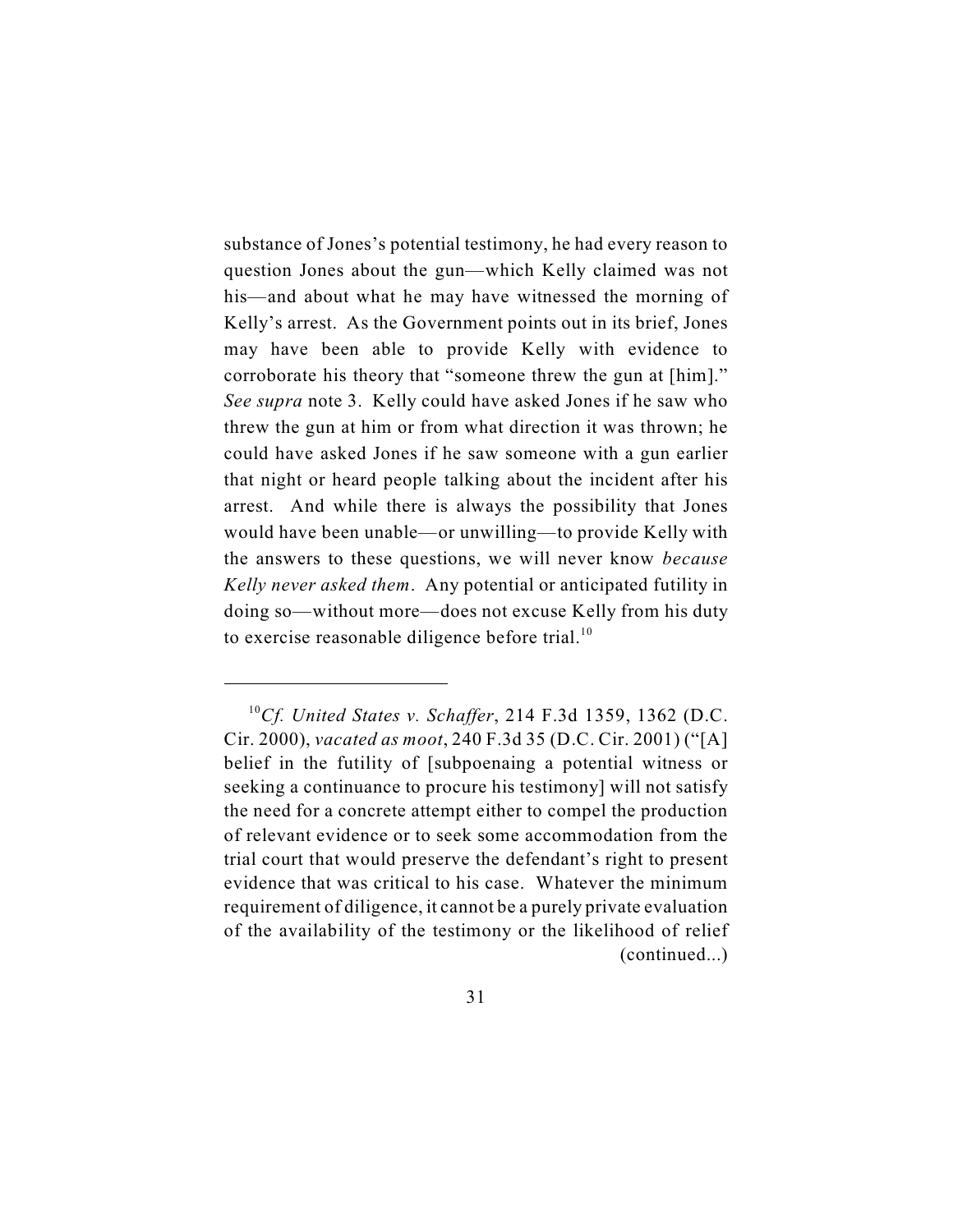substance of Jones's potential testimony, he had every reason to question Jones about the gun—which Kelly claimed was not his—and about what he may have witnessed the morning of Kelly's arrest. As the Government points out in its brief, Jones may have been able to provide Kelly with evidence to corroborate his theory that "someone threw the gun at [him]." *See supra* note 3. Kelly could have asked Jones if he saw who threw the gun at him or from what direction it was thrown; he could have asked Jones if he saw someone with a gun earlier that night or heard people talking about the incident after his arrest. And while there is always the possibility that Jones would have been unable—or unwilling—to provide Kelly with the answers to these questions, we will never know *because Kelly never asked them*. Any potential or anticipated futility in doing so—without more—does not excuse Kelly from his duty to exercise reasonable diligence before trial. $10$ 

<sup>&</sup>lt;sup>10</sup>Cf. United States v. Schaffer, 214 F.3d 1359, 1362 (D.C. Cir. 2000), *vacated as moot*, 240 F.3d 35 (D.C. Cir. 2001) ("[A] belief in the futility of [subpoenaing a potential witness or seeking a continuance to procure his testimony] will not satisfy the need for a concrete attempt either to compel the production of relevant evidence or to seek some accommodation from the trial court that would preserve the defendant's right to present evidence that was critical to his case. Whatever the minimum requirement of diligence, it cannot be a purely private evaluation of the availability of the testimony or the likelihood of relief (continued...)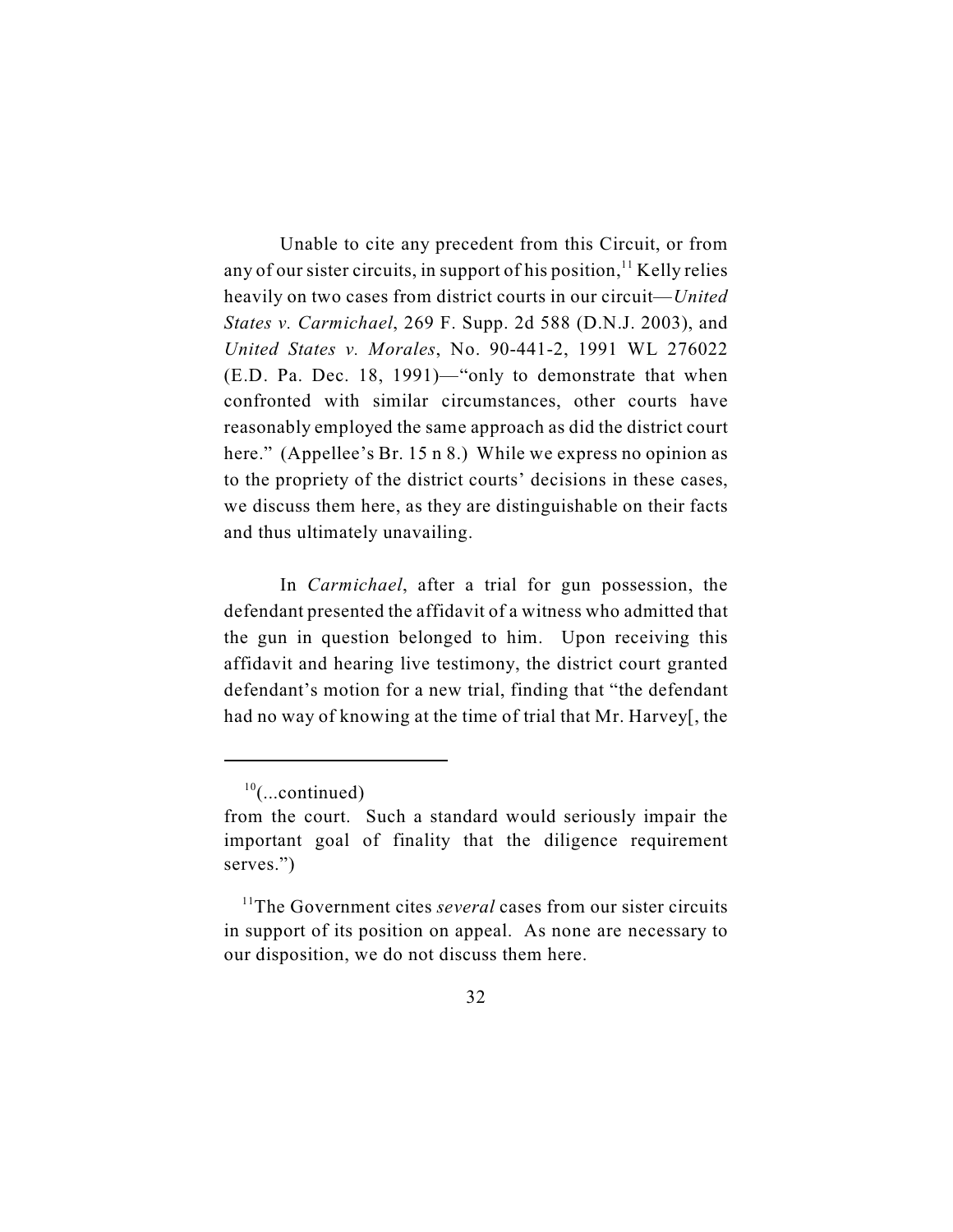Unable to cite any precedent from this Circuit, or from any of our sister circuits, in support of his position,  $\frac{11}{11}$  Kelly relies heavily on two cases from district courts in our circuit—*United States v. Carmichael*, 269 F. Supp. 2d 588 (D.N.J. 2003), and *United States v. Morales*, No. 90-441-2, 1991 WL 276022 (E.D. Pa. Dec. 18, 1991)—"only to demonstrate that when confronted with similar circumstances, other courts have reasonably employed the same approach as did the district court here." (Appellee's Br. 15 n 8.) While we express no opinion as to the propriety of the district courts' decisions in these cases, we discuss them here, as they are distinguishable on their facts and thus ultimately unavailing.

In *Carmichael*, after a trial for gun possession, the defendant presented the affidavit of a witness who admitted that the gun in question belonged to him. Upon receiving this affidavit and hearing live testimony, the district court granted defendant's motion for a new trial, finding that "the defendant had no way of knowing at the time of trial that Mr. Harvey[, the

 $^{10}$ (...continued)

from the court. Such a standard would seriously impair the important goal of finality that the diligence requirement serves.")

<sup>&</sup>lt;sup>11</sup>The Government cites *several* cases from our sister circuits in support of its position on appeal. As none are necessary to our disposition, we do not discuss them here.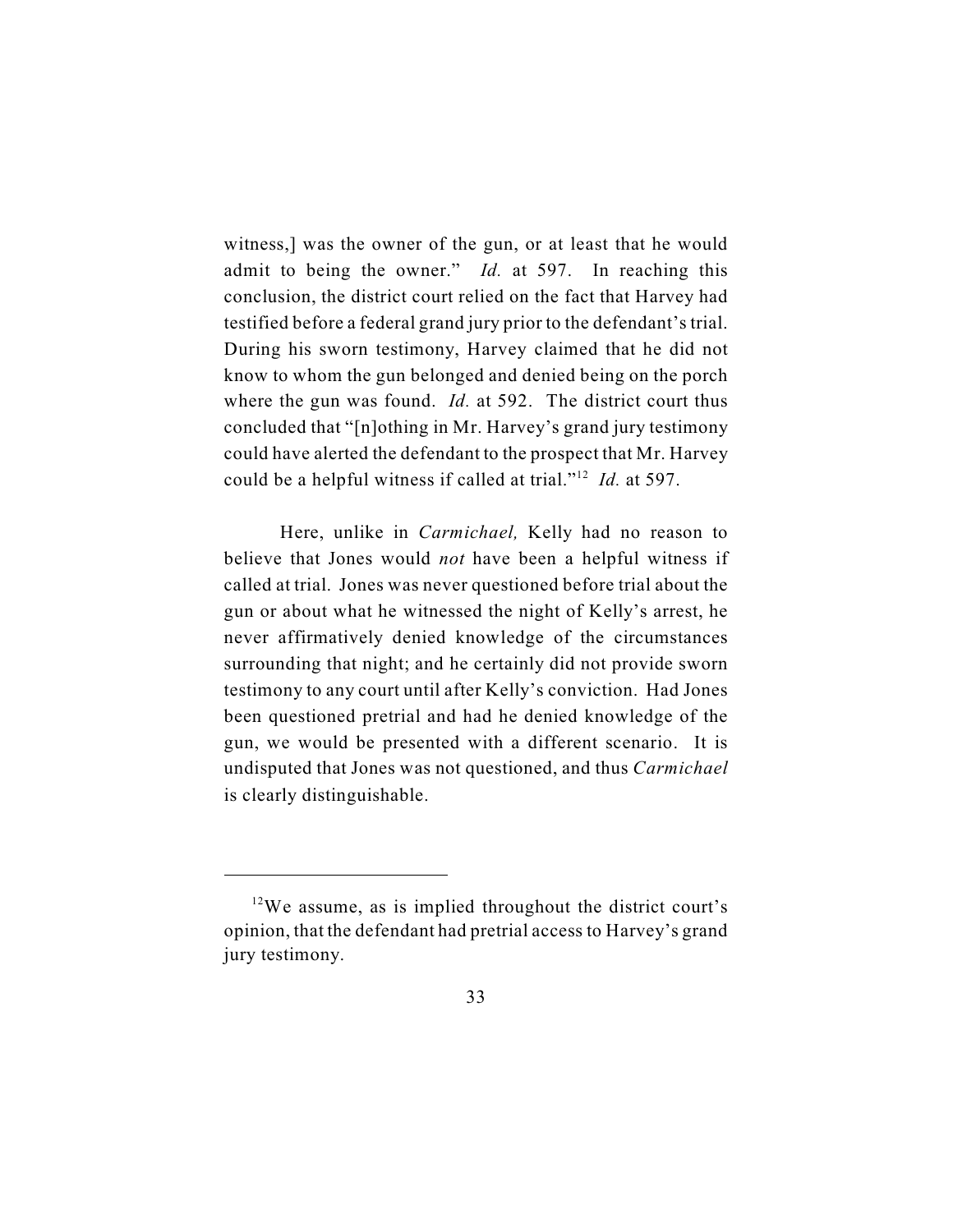witness,] was the owner of the gun, or at least that he would admit to being the owner." *Id.* at 597. In reaching this conclusion, the district court relied on the fact that Harvey had testified before a federal grand jury prior to the defendant's trial. During his sworn testimony, Harvey claimed that he did not know to whom the gun belonged and denied being on the porch where the gun was found. *Id.* at 592. The district court thus concluded that "[n]othing in Mr. Harvey's grand jury testimony could have alerted the defendant to the prospect that Mr. Harvey could be a helpful witness if called at trial."<sup>12</sup> *Id.* at 597.

Here, unlike in *Carmichael,* Kelly had no reason to believe that Jones would *not* have been a helpful witness if called at trial. Jones was never questioned before trial about the gun or about what he witnessed the night of Kelly's arrest, he never affirmatively denied knowledge of the circumstances surrounding that night; and he certainly did not provide sworn testimony to any court until after Kelly's conviction. Had Jones been questioned pretrial and had he denied knowledge of the gun, we would be presented with a different scenario. It is undisputed that Jones was not questioned, and thus *Carmichael* is clearly distinguishable.

 $12$ We assume, as is implied throughout the district court's opinion, that the defendant had pretrial access to Harvey's grand jury testimony.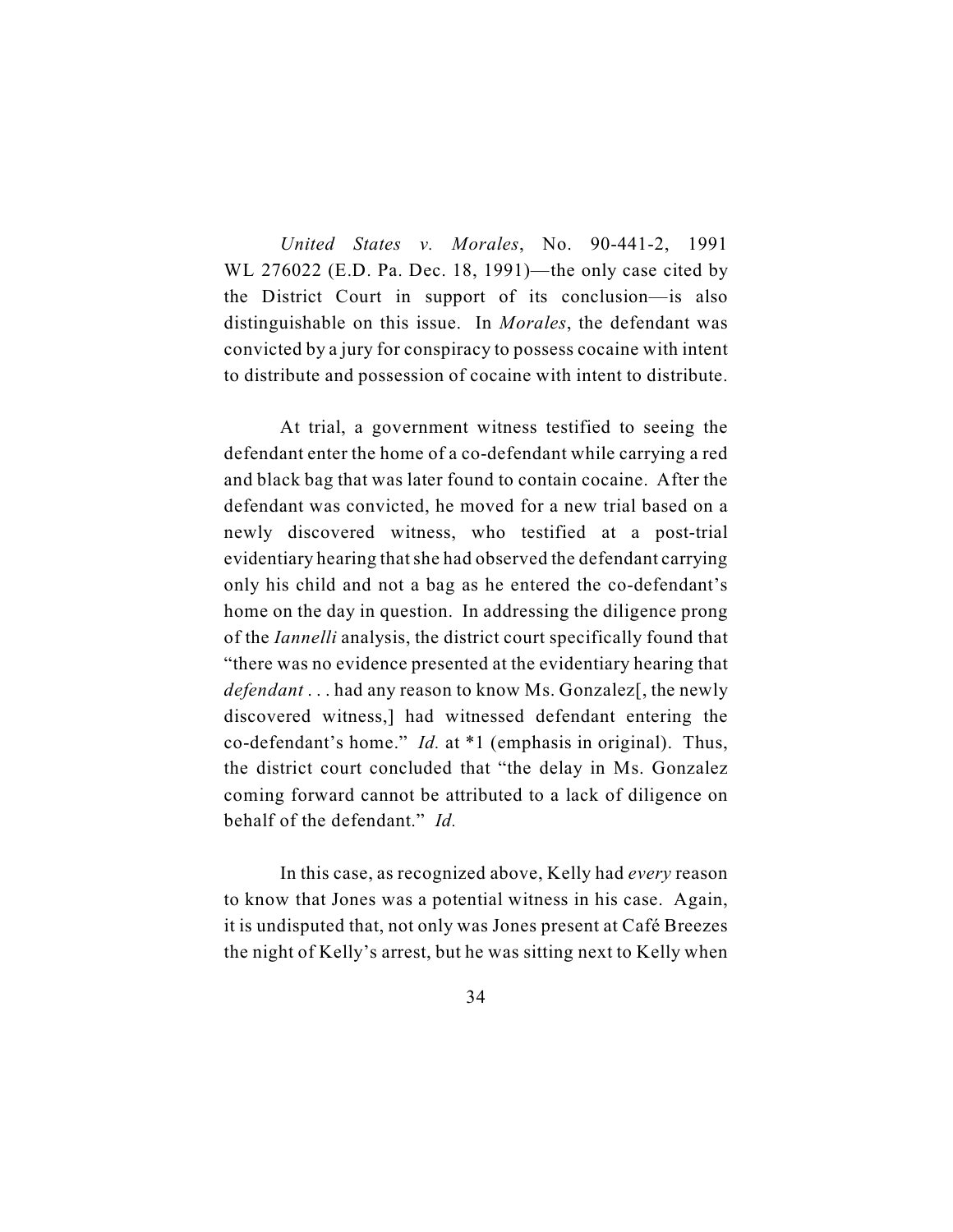*United States v. Morales*, No. 90-441-2, 1991 WL 276022 (E.D. Pa. Dec. 18, 1991)—the only case cited by the District Court in support of its conclusion—is also distinguishable on this issue. In *Morales*, the defendant was convicted by a jury for conspiracy to possess cocaine with intent to distribute and possession of cocaine with intent to distribute.

At trial, a government witness testified to seeing the defendant enter the home of a co-defendant while carrying a red and black bag that was later found to contain cocaine. After the defendant was convicted, he moved for a new trial based on a newly discovered witness, who testified at a post-trial evidentiary hearing that she had observed the defendant carrying only his child and not a bag as he entered the co-defendant's home on the day in question. In addressing the diligence prong of the *Iannelli* analysis, the district court specifically found that "there was no evidence presented at the evidentiary hearing that *defendant* . . . had any reason to know Ms. Gonzalez<sup>[</sup>, the newly discovered witness,] had witnessed defendant entering the co-defendant's home." *Id.* at \*1 (emphasis in original). Thus, the district court concluded that "the delay in Ms. Gonzalez coming forward cannot be attributed to a lack of diligence on behalf of the defendant." *Id.*

In this case, as recognized above, Kelly had *every* reason to know that Jones was a potential witness in his case. Again, it is undisputed that, not only was Jones present at Café Breezes the night of Kelly's arrest, but he was sitting next to Kelly when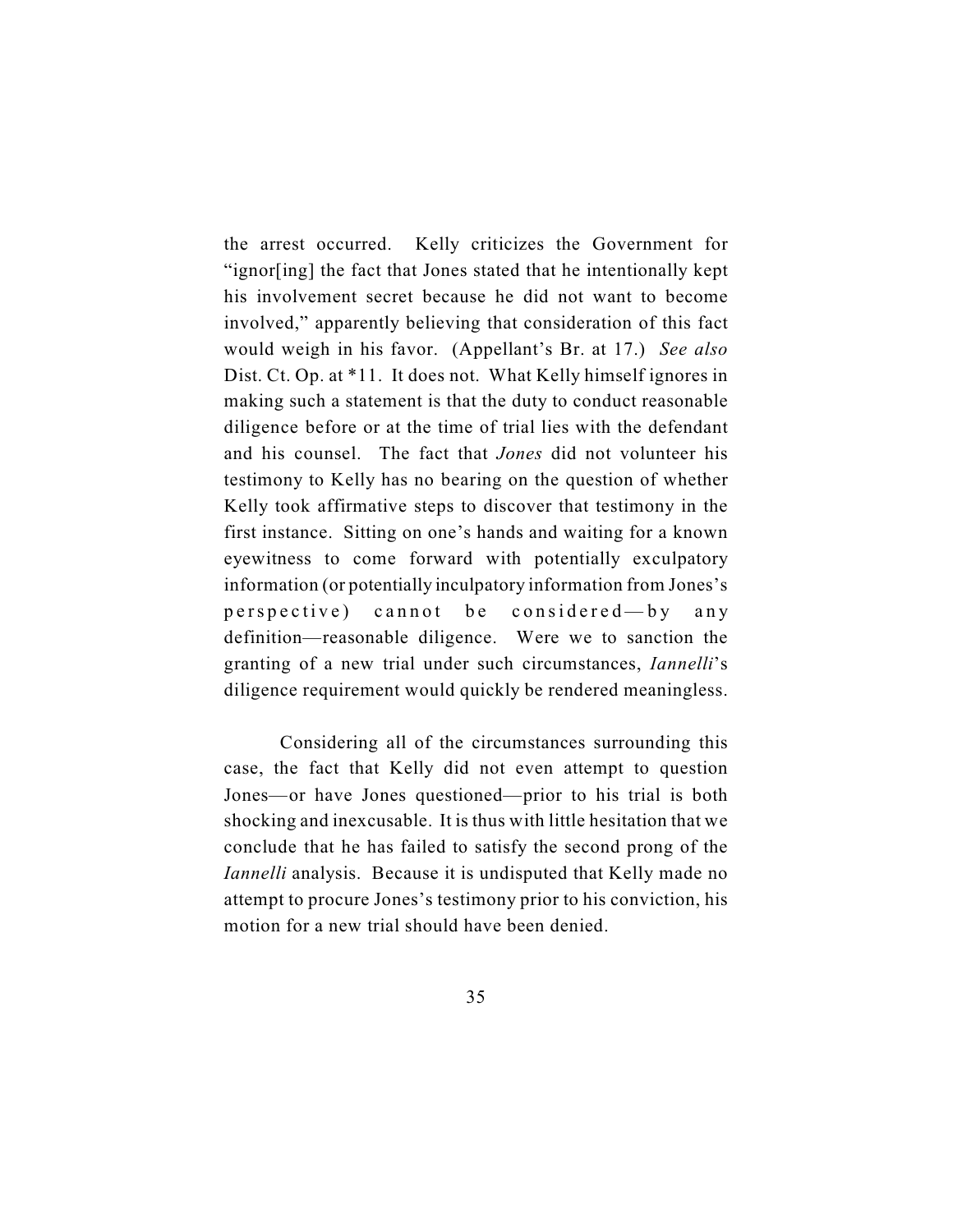the arrest occurred. Kelly criticizes the Government for "ignor[ing] the fact that Jones stated that he intentionally kept his involvement secret because he did not want to become involved," apparently believing that consideration of this fact would weigh in his favor. (Appellant's Br. at 17.) *See also* Dist. Ct. Op. at \*11. It does not. What Kelly himself ignores in making such a statement is that the duty to conduct reasonable diligence before or at the time of trial lies with the defendant and his counsel. The fact that *Jones* did not volunteer his testimony to Kelly has no bearing on the question of whether Kelly took affirmative steps to discover that testimony in the first instance. Sitting on one's hands and waiting for a known eyewitness to come forward with potentially exculpatory information (or potentially inculpatory information from Jones's perspective) cannot be considered—by any definition—reasonable diligence. Were we to sanction the granting of a new trial under such circumstances, *Iannelli*'s diligence requirement would quickly be rendered meaningless.

Considering all of the circumstances surrounding this case, the fact that Kelly did not even attempt to question Jones—or have Jones questioned—prior to his trial is both shocking and inexcusable. It is thus with little hesitation that we conclude that he has failed to satisfy the second prong of the *Iannelli* analysis. Because it is undisputed that Kelly made no attempt to procure Jones's testimony prior to his conviction, his motion for a new trial should have been denied.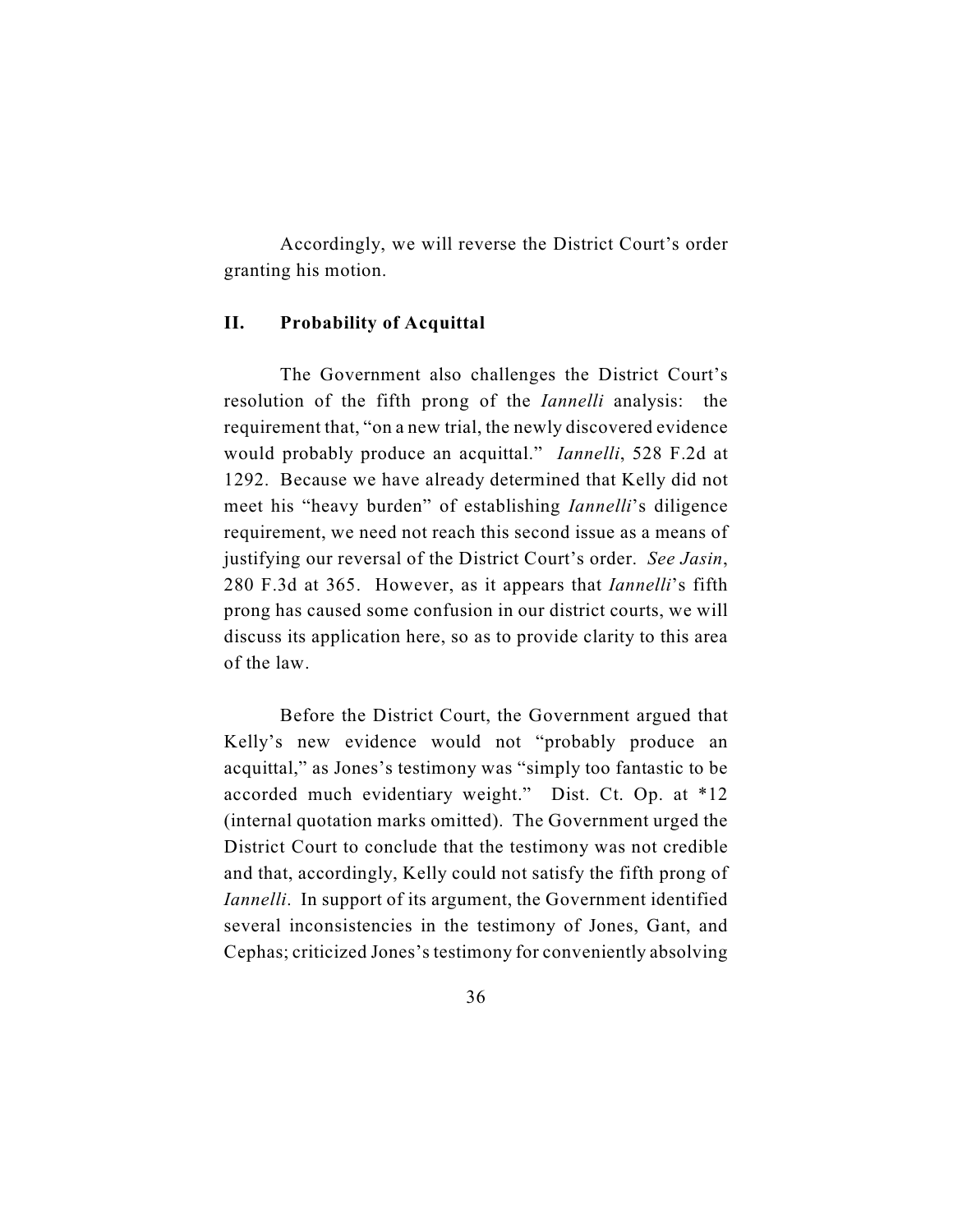Accordingly, we will reverse the District Court's order granting his motion.

### **II. Probability of Acquittal**

The Government also challenges the District Court's resolution of the fifth prong of the *Iannelli* analysis: the requirement that, "on a new trial, the newly discovered evidence would probably produce an acquittal." *Iannelli*, 528 F.2d at 1292. Because we have already determined that Kelly did not meet his "heavy burden" of establishing *Iannelli*'s diligence requirement, we need not reach this second issue as a means of justifying our reversal of the District Court's order. *See Jasin*, 280 F.3d at 365. However, as it appears that *Iannelli*'s fifth prong has caused some confusion in our district courts, we will discuss its application here, so as to provide clarity to this area of the law.

Before the District Court, the Government argued that Kelly's new evidence would not "probably produce an acquittal," as Jones's testimony was "simply too fantastic to be accorded much evidentiary weight." Dist. Ct. Op. at \*12 (internal quotation marks omitted). The Government urged the District Court to conclude that the testimony was not credible and that, accordingly, Kelly could not satisfy the fifth prong of *Iannelli*. In support of its argument, the Government identified several inconsistencies in the testimony of Jones, Gant, and Cephas; criticized Jones's testimony for conveniently absolving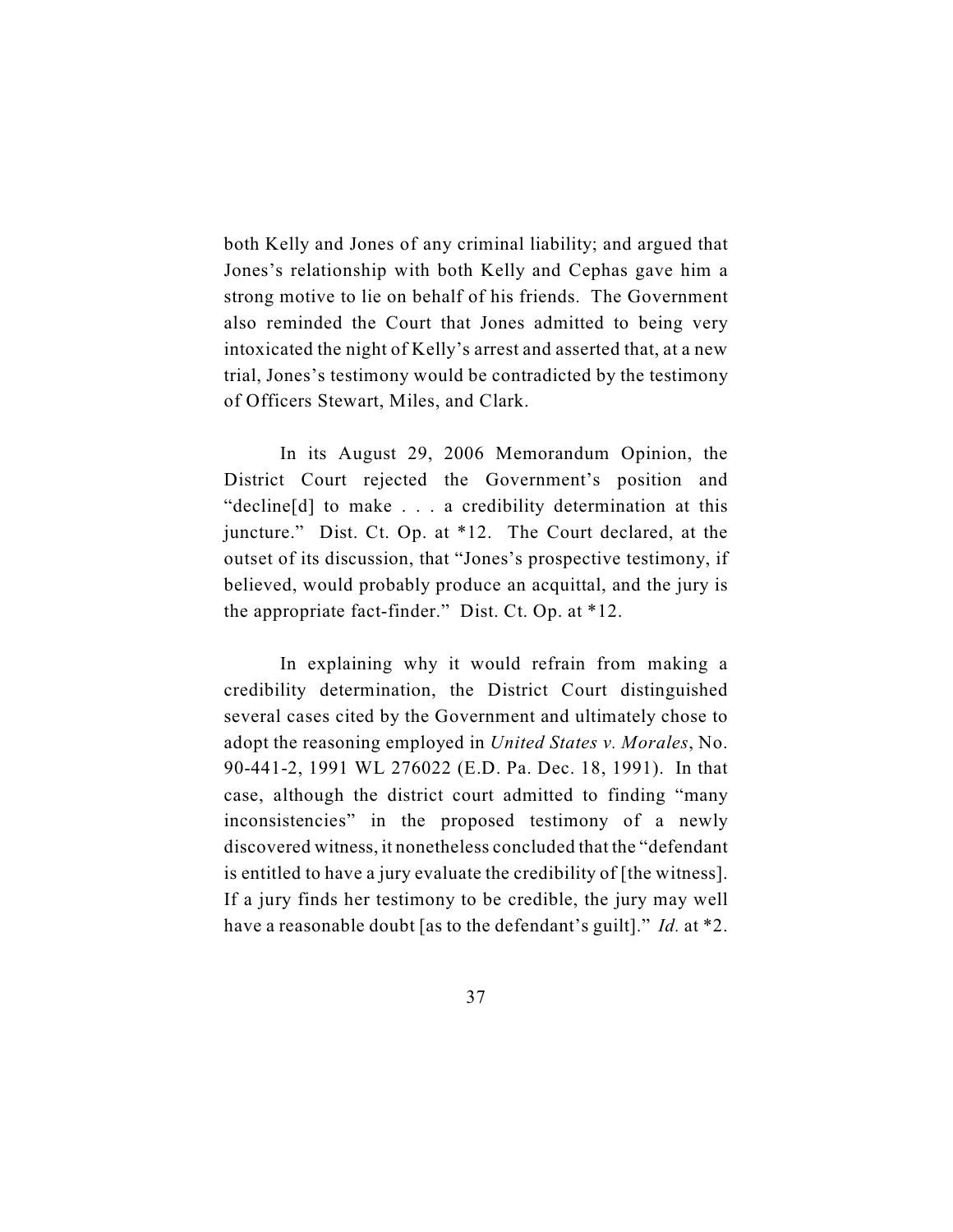both Kelly and Jones of any criminal liability; and argued that Jones's relationship with both Kelly and Cephas gave him a strong motive to lie on behalf of his friends. The Government also reminded the Court that Jones admitted to being very intoxicated the night of Kelly's arrest and asserted that, at a new trial, Jones's testimony would be contradicted by the testimony of Officers Stewart, Miles, and Clark.

In its August 29, 2006 Memorandum Opinion, the District Court rejected the Government's position and "decline[d] to make . . . a credibility determination at this juncture." Dist. Ct. Op. at \*12. The Court declared, at the outset of its discussion, that "Jones's prospective testimony, if believed, would probably produce an acquittal, and the jury is the appropriate fact-finder." Dist. Ct. Op. at \*12.

In explaining why it would refrain from making a credibility determination, the District Court distinguished several cases cited by the Government and ultimately chose to adopt the reasoning employed in *United States v. Morales*, No. 90-441-2, 1991 WL 276022 (E.D. Pa. Dec. 18, 1991). In that case, although the district court admitted to finding "many inconsistencies" in the proposed testimony of a newly discovered witness, it nonetheless concluded that the "defendant is entitled to have a jury evaluate the credibility of [the witness]. If a jury finds her testimony to be credible, the jury may well have a reasonable doubt [as to the defendant's guilt]." *Id.* at \*2.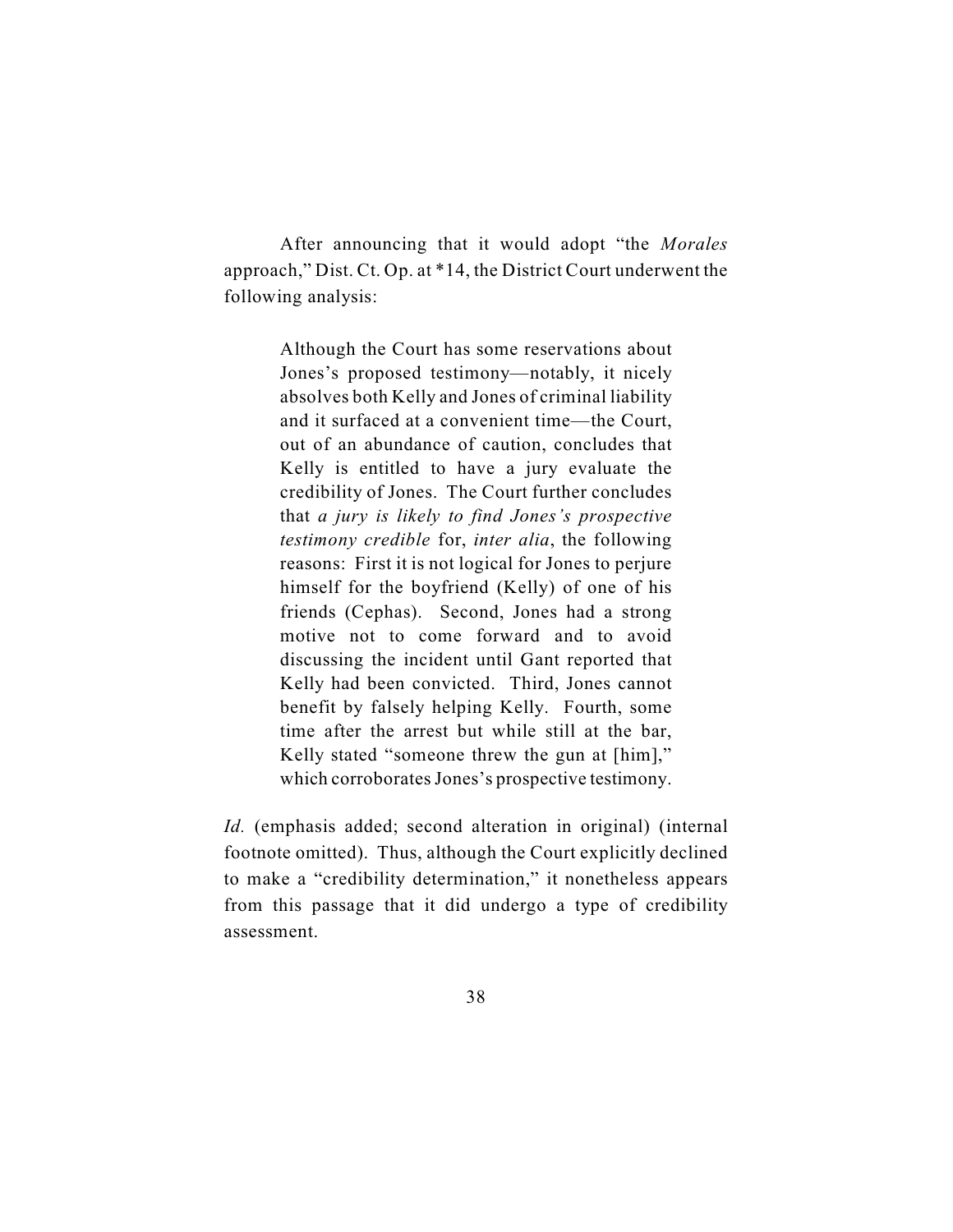After announcing that it would adopt "the *Morales* approach," Dist. Ct. Op. at \*14, the District Court underwent the following analysis:

> Although the Court has some reservations about Jones's proposed testimony—notably, it nicely absolves both Kelly and Jones of criminal liability and it surfaced at a convenient time—the Court, out of an abundance of caution, concludes that Kelly is entitled to have a jury evaluate the credibility of Jones. The Court further concludes that *a jury is likely to find Jones's prospective testimony credible* for, *inter alia*, the following reasons: First it is not logical for Jones to perjure himself for the boyfriend (Kelly) of one of his friends (Cephas). Second, Jones had a strong motive not to come forward and to avoid discussing the incident until Gant reported that Kelly had been convicted. Third, Jones cannot benefit by falsely helping Kelly. Fourth, some time after the arrest but while still at the bar, Kelly stated "someone threw the gun at [him]," which corroborates Jones's prospective testimony.

*Id.* (emphasis added; second alteration in original) (internal footnote omitted). Thus, although the Court explicitly declined to make a "credibility determination," it nonetheless appears from this passage that it did undergo a type of credibility assessment.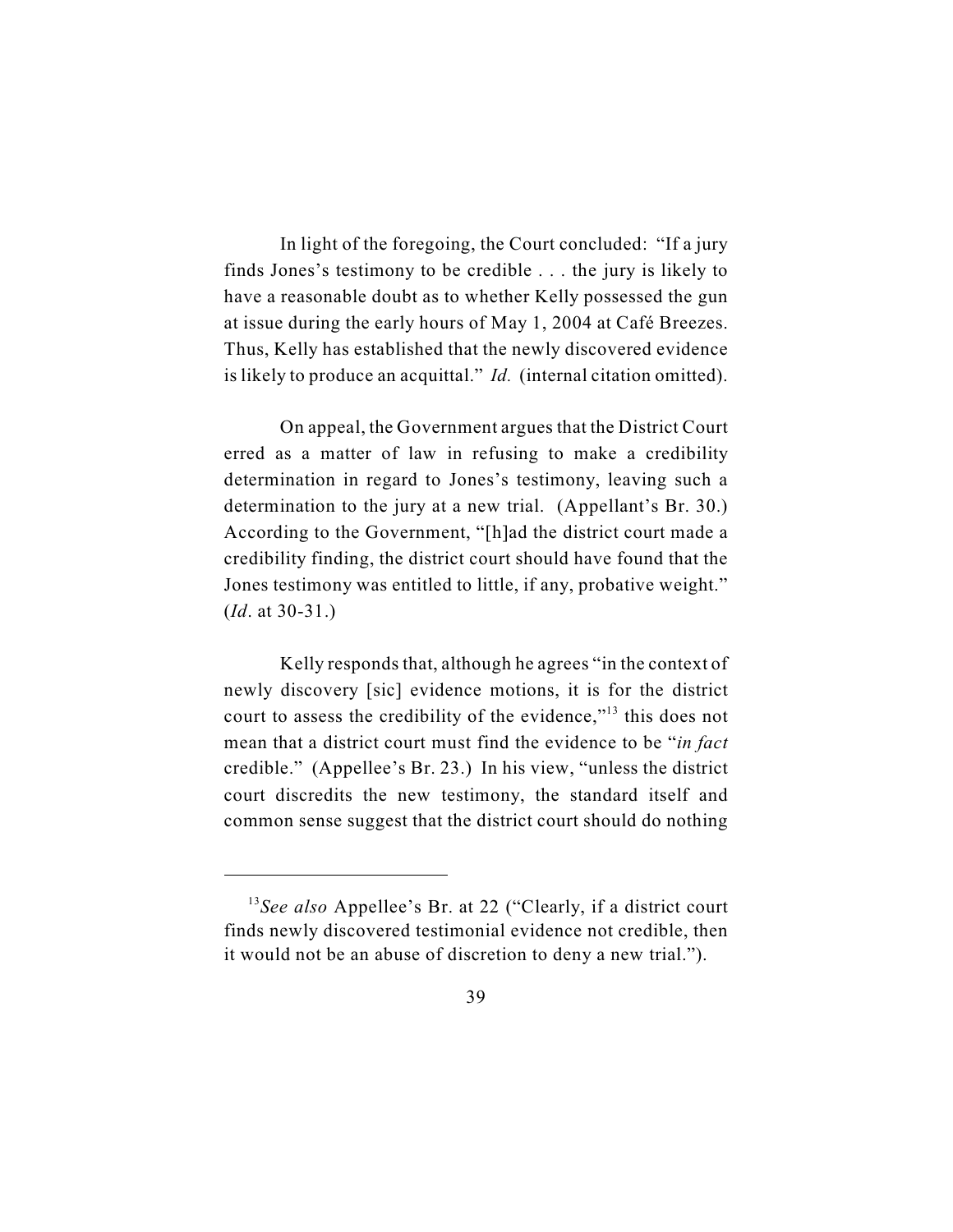In light of the foregoing, the Court concluded: "If a jury finds Jones's testimony to be credible . . . the jury is likely to have a reasonable doubt as to whether Kelly possessed the gun at issue during the early hours of May 1, 2004 at Café Breezes. Thus, Kelly has established that the newly discovered evidence is likely to produce an acquittal." *Id.* (internal citation omitted).

On appeal, the Government argues that the District Court erred as a matter of law in refusing to make a credibility determination in regard to Jones's testimony, leaving such a determination to the jury at a new trial. (Appellant's Br. 30.) According to the Government, "[h]ad the district court made a credibility finding, the district court should have found that the Jones testimony was entitled to little, if any, probative weight." (*Id*. at 30-31.)

Kelly responds that, although he agrees "in the context of newly discovery [sic] evidence motions, it is for the district court to assess the credibility of the evidence," $13$  this does not mean that a district court must find the evidence to be "*in fact* credible." (Appellee's Br. 23.) In his view, "unless the district court discredits the new testimony, the standard itself and common sense suggest that the district court should do nothing

<sup>&</sup>lt;sup>13</sup>See also Appellee's Br. at 22 ("Clearly, if a district court finds newly discovered testimonial evidence not credible, then it would not be an abuse of discretion to deny a new trial.").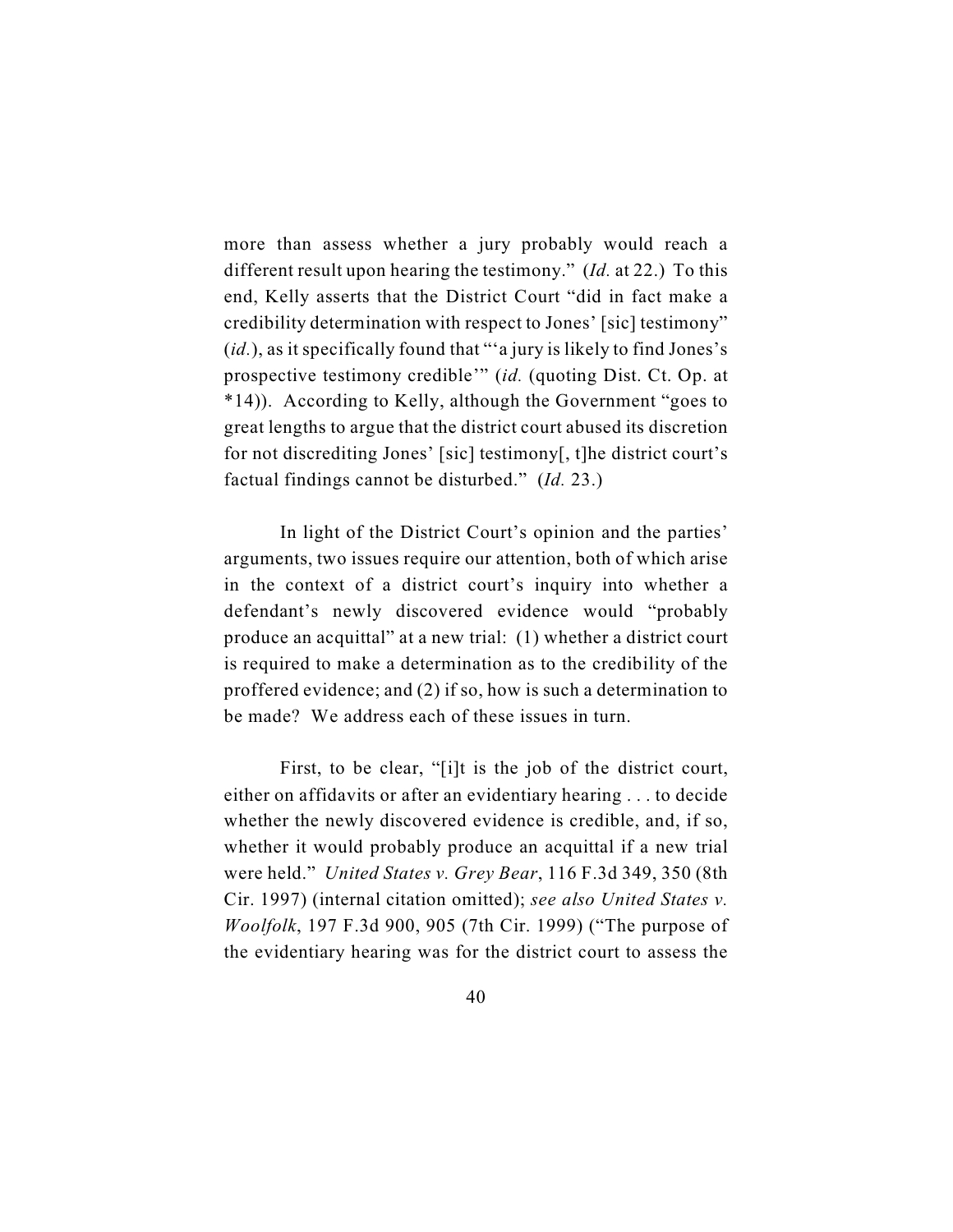more than assess whether a jury probably would reach a different result upon hearing the testimony." (*Id.* at 22.) To this end, Kelly asserts that the District Court "did in fact make a credibility determination with respect to Jones' [sic] testimony" (*id.*), as it specifically found that "'a jury is likely to find Jones's prospective testimony credible'" (*id.* (quoting Dist. Ct. Op. at \*14)). According to Kelly, although the Government "goes to great lengths to argue that the district court abused its discretion for not discrediting Jones' [sic] testimony[, t]he district court's factual findings cannot be disturbed." (*Id.* 23.)

In light of the District Court's opinion and the parties' arguments, two issues require our attention, both of which arise in the context of a district court's inquiry into whether a defendant's newly discovered evidence would "probably produce an acquittal" at a new trial: (1) whether a district court is required to make a determination as to the credibility of the proffered evidence; and (2) if so, how is such a determination to be made? We address each of these issues in turn.

First, to be clear, "[i]t is the job of the district court, either on affidavits or after an evidentiary hearing . . . to decide whether the newly discovered evidence is credible, and, if so, whether it would probably produce an acquittal if a new trial were held." *United States v. Grey Bear*, 116 F.3d 349, 350 (8th Cir. 1997) (internal citation omitted); *see also United States v. Woolfolk*, 197 F.3d 900, 905 (7th Cir. 1999) ("The purpose of the evidentiary hearing was for the district court to assess the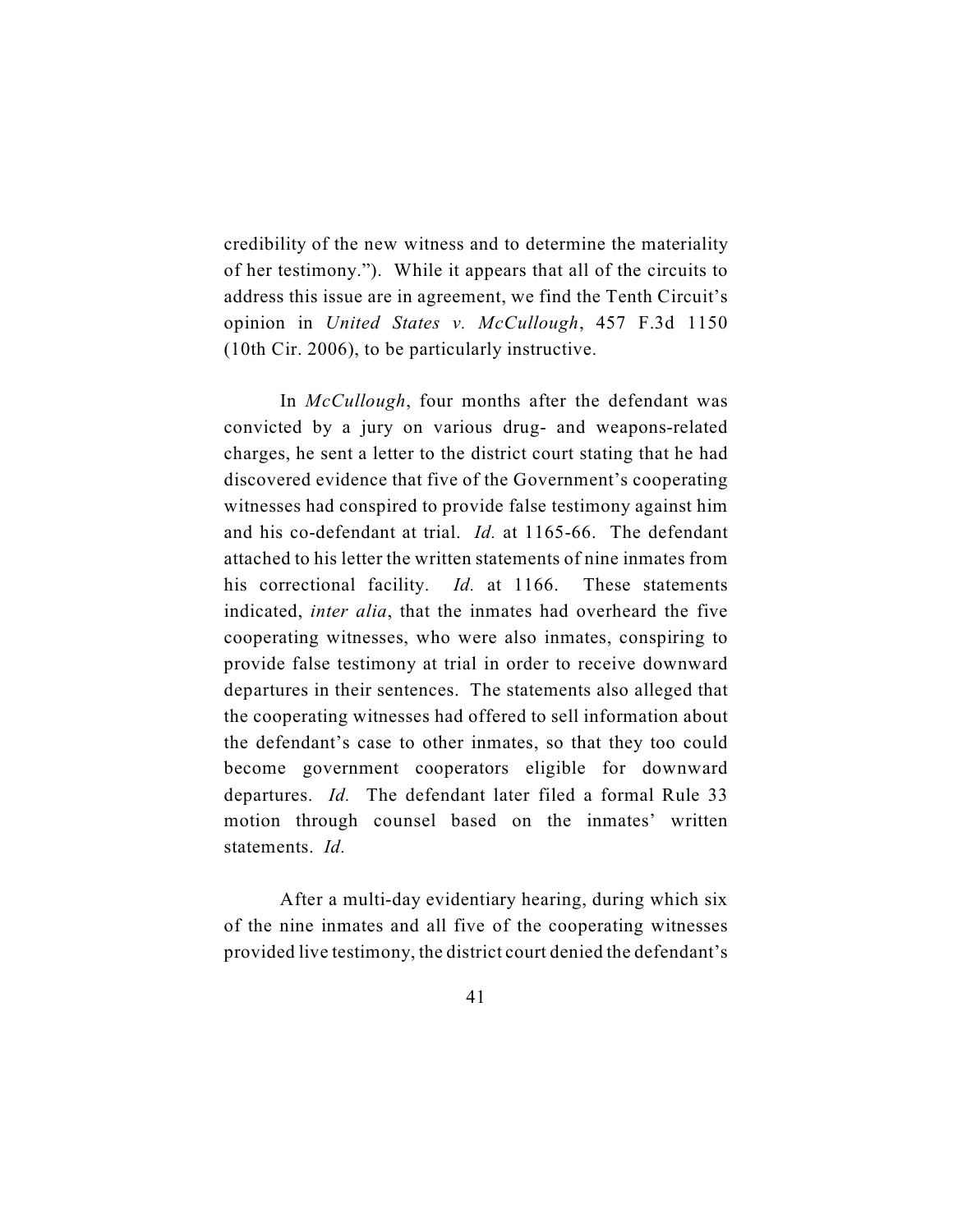credibility of the new witness and to determine the materiality of her testimony."). While it appears that all of the circuits to address this issue are in agreement, we find the Tenth Circuit's opinion in *United States v. McCullough*, 457 F.3d 1150 (10th Cir. 2006), to be particularly instructive.

In *McCullough*, four months after the defendant was convicted by a jury on various drug- and weapons-related charges, he sent a letter to the district court stating that he had discovered evidence that five of the Government's cooperating witnesses had conspired to provide false testimony against him and his co-defendant at trial. *Id.* at 1165-66. The defendant attached to his letter the written statements of nine inmates from his correctional facility. *Id.* at 1166. These statements indicated, *inter alia*, that the inmates had overheard the five cooperating witnesses, who were also inmates, conspiring to provide false testimony at trial in order to receive downward departures in their sentences. The statements also alleged that the cooperating witnesses had offered to sell information about the defendant's case to other inmates, so that they too could become government cooperators eligible for downward departures. *Id.* The defendant later filed a formal Rule 33 motion through counsel based on the inmates' written statements. *Id.*

After a multi-day evidentiary hearing, during which six of the nine inmates and all five of the cooperating witnesses provided live testimony, the district court denied the defendant's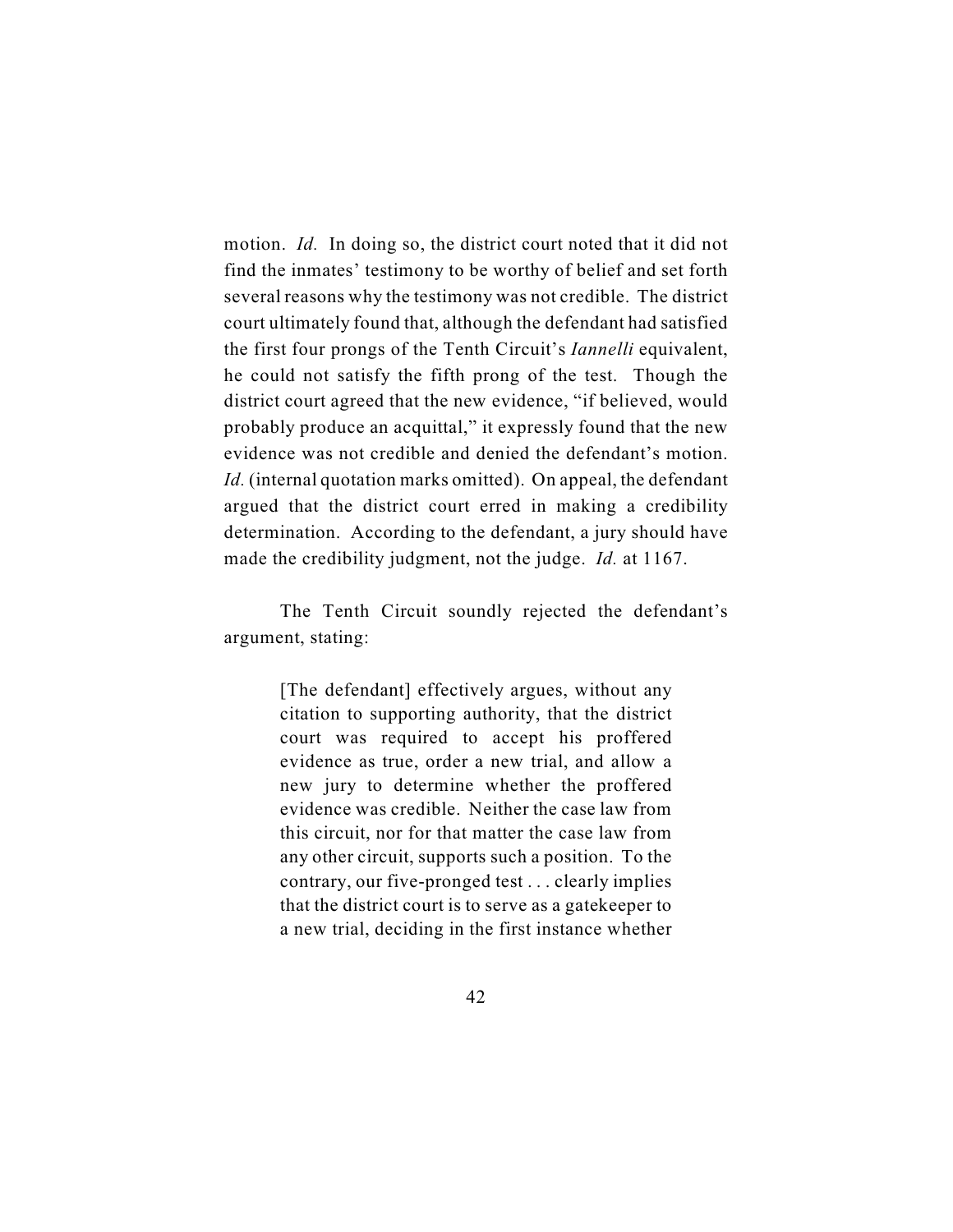motion. *Id.* In doing so, the district court noted that it did not find the inmates' testimony to be worthy of belief and set forth several reasons why the testimony was not credible. The district court ultimately found that, although the defendant had satisfied the first four prongs of the Tenth Circuit's *Iannelli* equivalent, he could not satisfy the fifth prong of the test. Though the district court agreed that the new evidence, "if believed, would probably produce an acquittal," it expressly found that the new evidence was not credible and denied the defendant's motion. *Id.* (internal quotation marks omitted). On appeal, the defendant argued that the district court erred in making a credibility determination. According to the defendant, a jury should have made the credibility judgment, not the judge. *Id.* at 1167.

The Tenth Circuit soundly rejected the defendant's argument, stating:

> [The defendant] effectively argues, without any citation to supporting authority, that the district court was required to accept his proffered evidence as true, order a new trial, and allow a new jury to determine whether the proffered evidence was credible. Neither the case law from this circuit, nor for that matter the case law from any other circuit, supports such a position. To the contrary, our five-pronged test . . . clearly implies that the district court is to serve as a gatekeeper to a new trial, deciding in the first instance whether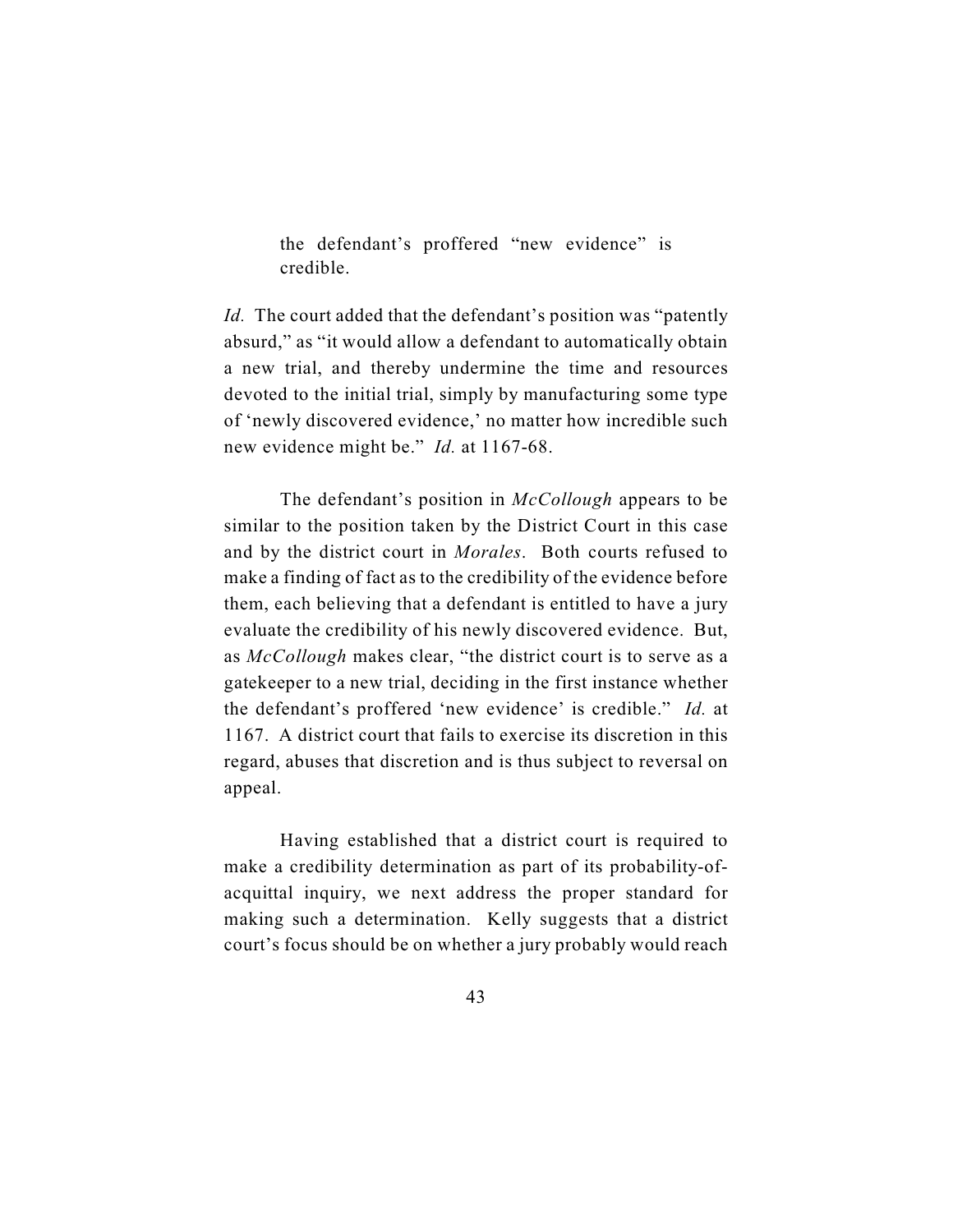the defendant's proffered "new evidence" is credible.

*Id.* The court added that the defendant's position was "patently absurd," as "it would allow a defendant to automatically obtain a new trial, and thereby undermine the time and resources devoted to the initial trial, simply by manufacturing some type of 'newly discovered evidence,' no matter how incredible such new evidence might be." *Id.* at 1167-68.

The defendant's position in *McCollough* appears to be similar to the position taken by the District Court in this case and by the district court in *Morales*. Both courts refused to make a finding of fact as to the credibility of the evidence before them, each believing that a defendant is entitled to have a jury evaluate the credibility of his newly discovered evidence. But, as *McCollough* makes clear, "the district court is to serve as a gatekeeper to a new trial, deciding in the first instance whether the defendant's proffered 'new evidence' is credible." *Id.* at 1167. A district court that fails to exercise its discretion in this regard, abuses that discretion and is thus subject to reversal on appeal.

Having established that a district court is required to make a credibility determination as part of its probability-ofacquittal inquiry, we next address the proper standard for making such a determination. Kelly suggests that a district court's focus should be on whether a jury probably would reach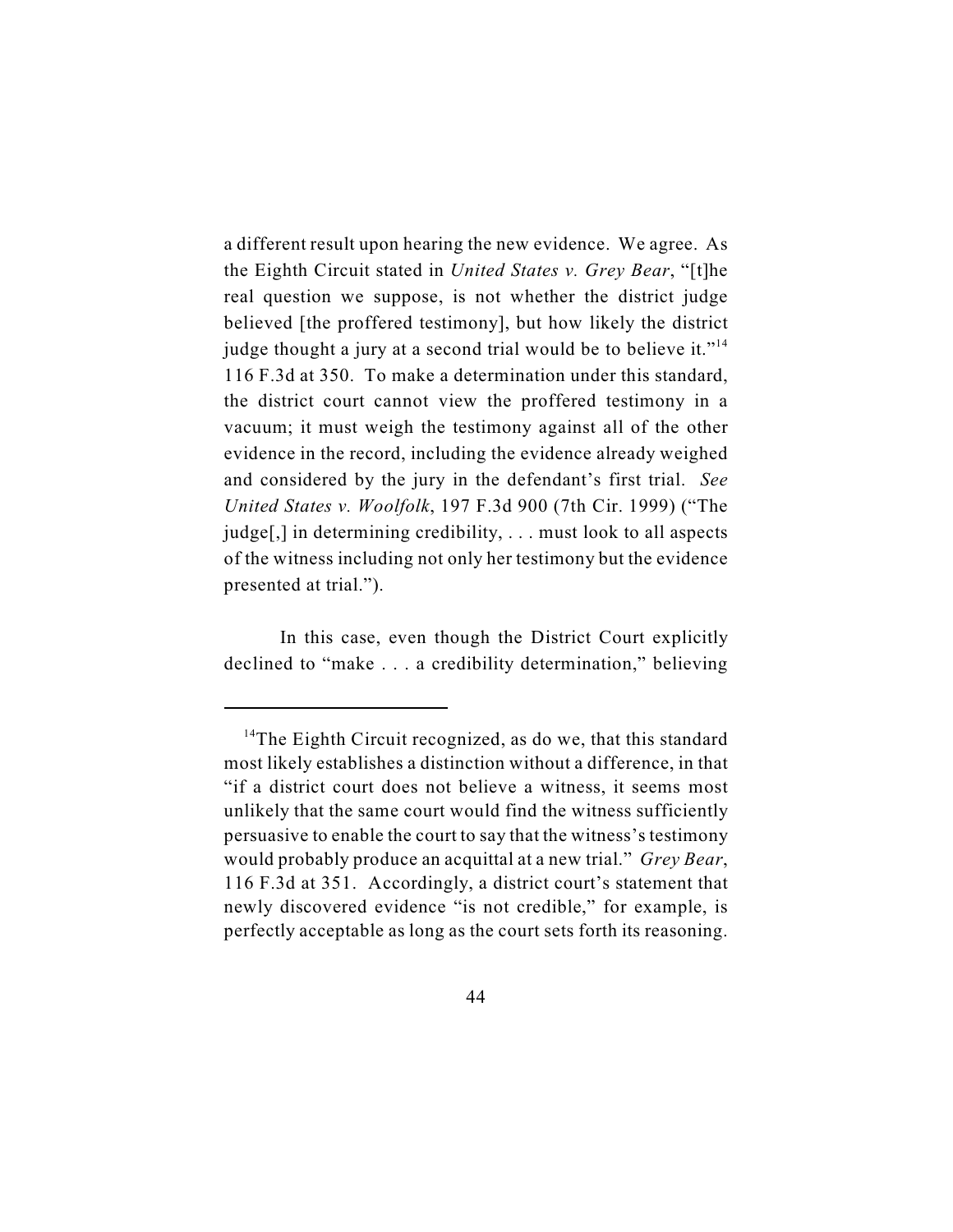a different result upon hearing the new evidence. We agree. As the Eighth Circuit stated in *United States v. Grey Bear*, "[t]he real question we suppose, is not whether the district judge believed [the proffered testimony], but how likely the district judge thought a jury at a second trial would be to believe it."<sup>14</sup> 116 F.3d at 350. To make a determination under this standard, the district court cannot view the proffered testimony in a vacuum; it must weigh the testimony against all of the other evidence in the record, including the evidence already weighed and considered by the jury in the defendant's first trial. *See United States v. Woolfolk*, 197 F.3d 900 (7th Cir. 1999) ("The judge[,] in determining credibility, . . . must look to all aspects of the witness including not only her testimony but the evidence presented at trial.").

In this case, even though the District Court explicitly declined to "make . . . a credibility determination," believing

<sup>&</sup>lt;sup>14</sup>The Eighth Circuit recognized, as do we, that this standard most likely establishes a distinction without a difference, in that "if a district court does not believe a witness, it seems most unlikely that the same court would find the witness sufficiently persuasive to enable the court to say that the witness's testimony would probably produce an acquittal at a new trial." *Grey Bear*, 116 F.3d at 351. Accordingly, a district court's statement that newly discovered evidence "is not credible," for example, is perfectly acceptable as long as the court sets forth its reasoning.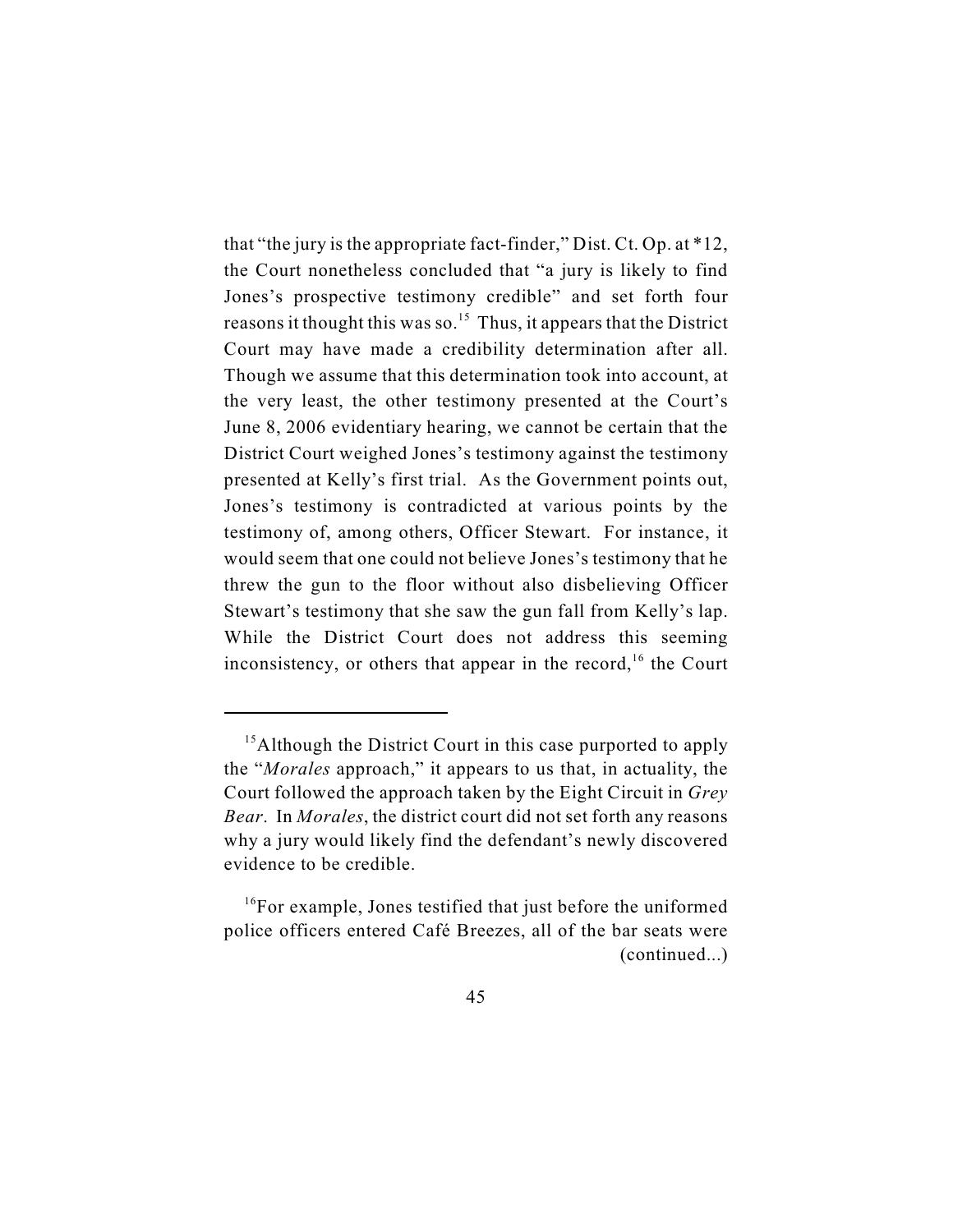that "the jury is the appropriate fact-finder," Dist. Ct. Op. at \*12, the Court nonetheless concluded that "a jury is likely to find Jones's prospective testimony credible" and set forth four reasons it thought this was so.<sup>15</sup> Thus, it appears that the District Court may have made a credibility determination after all. Though we assume that this determination took into account, at the very least, the other testimony presented at the Court's June 8, 2006 evidentiary hearing, we cannot be certain that the District Court weighed Jones's testimony against the testimony presented at Kelly's first trial. As the Government points out, Jones's testimony is contradicted at various points by the testimony of, among others, Officer Stewart. For instance, it would seem that one could not believe Jones's testimony that he threw the gun to the floor without also disbelieving Officer Stewart's testimony that she saw the gun fall from Kelly's lap. While the District Court does not address this seeming inconsistency, or others that appear in the record,  $16$  the Court

 $<sup>15</sup>$ Although the District Court in this case purported to apply</sup> the "*Morales* approach," it appears to us that, in actuality, the Court followed the approach taken by the Eight Circuit in *Grey Bear*. In *Morales*, the district court did not set forth any reasons why a jury would likely find the defendant's newly discovered evidence to be credible.

 $^{16}$ For example, Jones testified that just before the uniformed police officers entered Café Breezes, all of the bar seats were (continued...)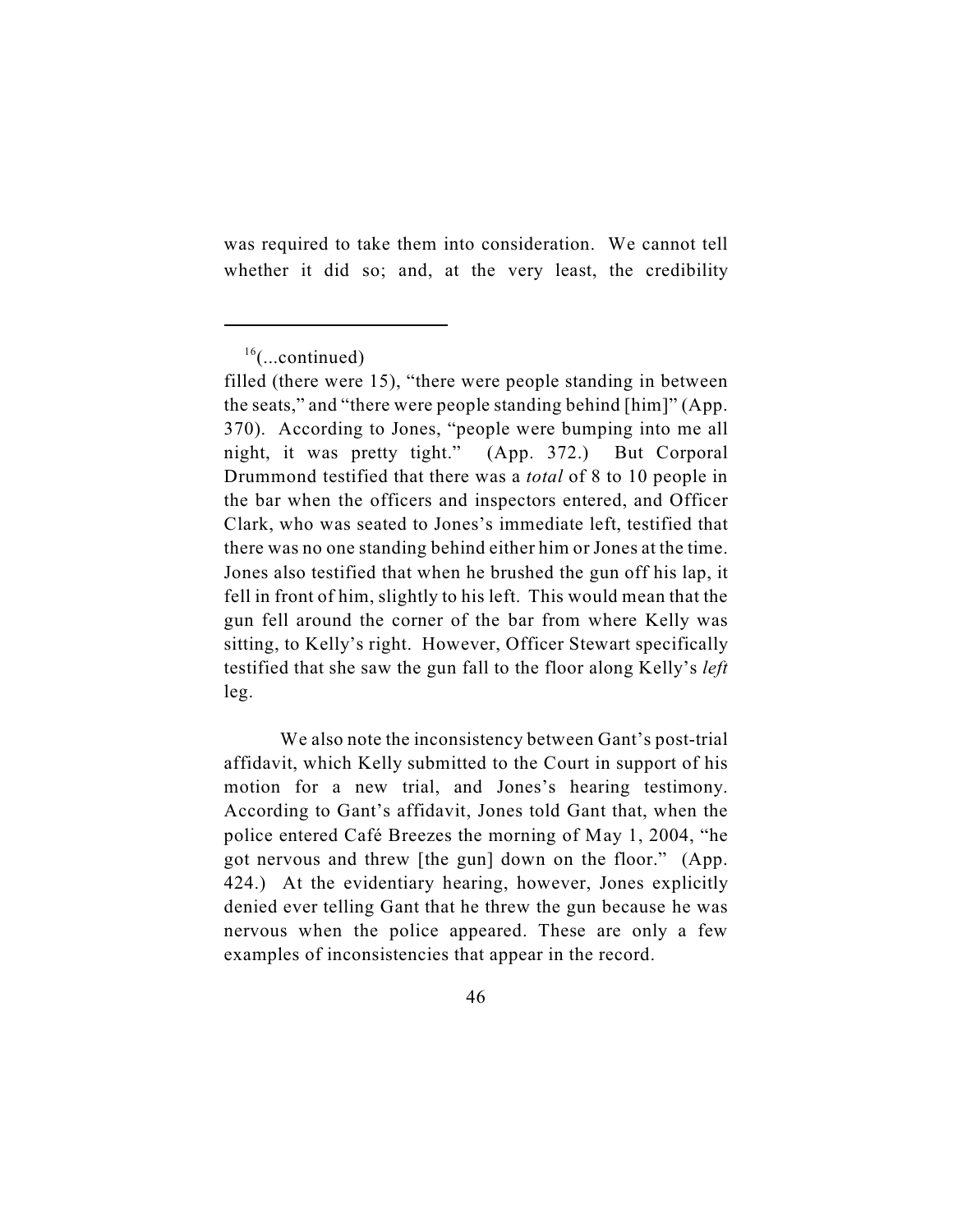was required to take them into consideration. We cannot tell whether it did so; and, at the very least, the credibility

We also note the inconsistency between Gant's post-trial affidavit, which Kelly submitted to the Court in support of his motion for a new trial, and Jones's hearing testimony. According to Gant's affidavit, Jones told Gant that, when the police entered Café Breezes the morning of May 1, 2004, "he got nervous and threw [the gun] down on the floor." (App. 424.) At the evidentiary hearing, however, Jones explicitly denied ever telling Gant that he threw the gun because he was nervous when the police appeared. These are only a few examples of inconsistencies that appear in the record.

 $16$ (...continued)

filled (there were 15), "there were people standing in between the seats," and "there were people standing behind [him]" (App. 370). According to Jones, "people were bumping into me all night, it was pretty tight." (App. 372.) But Corporal Drummond testified that there was a *total* of 8 to 10 people in the bar when the officers and inspectors entered, and Officer Clark, who was seated to Jones's immediate left, testified that there was no one standing behind either him or Jones at the time. Jones also testified that when he brushed the gun off his lap, it fell in front of him, slightly to his left. This would mean that the gun fell around the corner of the bar from where Kelly was sitting, to Kelly's right. However, Officer Stewart specifically testified that she saw the gun fall to the floor along Kelly's *left* leg.